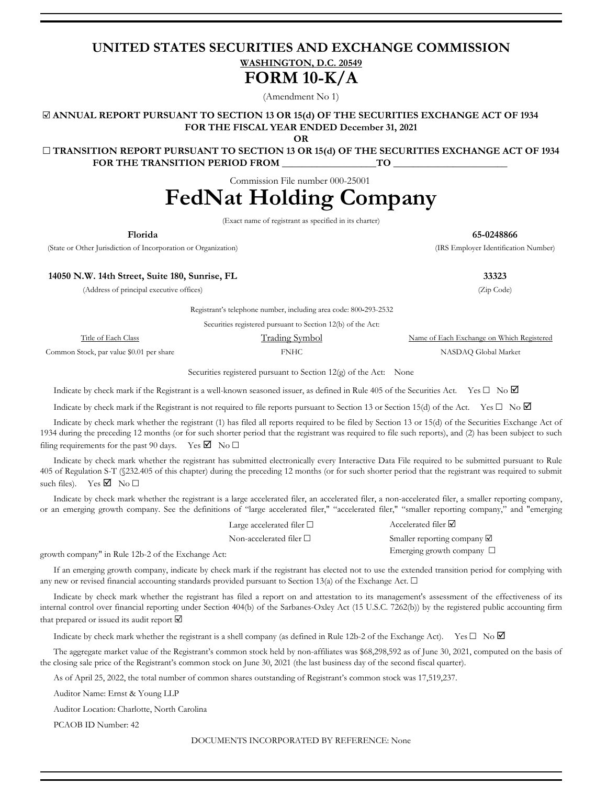# **UNITED STATES SECURITIES AND EXCHANGE COMMISSION WASHINGTON, D.C. 20549 FORM 10-K/A**

(Amendment No 1)

☑ **ANNUAL REPORT PURSUANT TO SECTION 13 OR 15(d) OF THE SECURITIES EXCHANGE ACT OF 1934 FOR THE FISCAL YEAR ENDED December 31, 2021**

**OR**

☐ **TRANSITION REPORT PURSUANT TO SECTION 13 OR 15(d) OF THE SECURITIES EXCHANGE ACT OF 1934** FOR THE TRANSITION PERIOD FROM TO

Commission File number 000-25001

# **FedNat Holding Company**

(Exact name of registrant as specified in its charter)

(State or Other Jurisdiction of Incorporation or Organization) (IRS Employer Identification Number)

**Florida 65-0248866**

**14050 N.W. 14th Street, Suite 180, Sunrise, FL 33323**

(Address of principal executive offices) (Zip Code)

Registrant's telephone number, including area code: 800**-**293-2532

|                                          | Securities registered pursuant to Section 12(b) of the Act: |                                           |
|------------------------------------------|-------------------------------------------------------------|-------------------------------------------|
| Title of Each Class                      | <b>Trading Symbol</b>                                       | Name of Each Exchange on Which Registered |
| Common Stock, par value \$0.01 per share | FNHC                                                        | NASDAO Global Market                      |

Securities registered pursuant to Section 12(g) of the Act: None

Indicate by check mark if the Registrant is a well-known seasoned issuer, as defined in Rule 405 of the Securities Act. Yes  $\Box$  No  $\Box$ 

Indicate by check mark if the Registrant is not required to file reports pursuant to Section 13 or Section 15(d) of the Act. Yes  $\square$  No  $\square$ 

Indicate by check mark whether the registrant (1) has filed all reports required to be filed by Section 13 or 15(d) of the Securities Exchange Act of 1934 during the preceding 12 months (or for such shorter period that the registrant was required to file such reports), and (2) has been subject to such filing requirements for the past 90 days. Yes  $\boxtimes$  No  $\square$ 

Indicate by check mark whether the registrant has submitted electronically every Interactive Data File required to be submitted pursuant to Rule 405 of Regulation S-T (§232.405 of this chapter) during the preceding 12 months (or for such shorter period that the registrant was required to submit such files). Yes  $\blacksquare$  No  $\square$ 

Indicate by check mark whether the registrant is a large accelerated filer, an accelerated filer, a non-accelerated filer, a smaller reporting company, or an emerging growth company. See the definitions of "large accelerated filer," "accelerated filer," "smaller reporting company," and "emerging

| Large accelerated filer $\Box$ | Accelerated filer $\Delta$            |
|--------------------------------|---------------------------------------|
| Non-accelerated filer $\Box$   | Smaller reporting company $\boxtimes$ |
| → Actr                         | Emerging growth company $\Box$        |

growth company" in Rule 12b-2 of the Exchange Act:

If an emerging growth company, indicate by check mark if the registrant has elected not to use the extended transition period for complying with any new or revised financial accounting standards provided pursuant to Section 13(a) of the Exchange Act.  $\Box$ 

Indicate by check mark whether the registrant has filed a report on and attestation to its management's assessment of the effectiveness of its internal control over financial reporting under Section 404(b) of the Sarbanes-Oxley Act (15 U.S.C. 7262(b)) by the registered public accounting firm that prepared or issued its audit report ☑

Indicate by check mark whether the registrant is a shell company (as defined in Rule 12b-2 of the Exchange Act). Yes  $\Box$  No  $\Box$ 

The aggregate market value of the Registrant's common stock held by non-affiliates was \$68,298,592 as of June 30, 2021, computed on the basis of the closing sale price of the Registrant's common stock on June 30, 2021 (the last business day of the second fiscal quarter).

As of April 25, 2022, the total number of common shares outstanding of Registrant's common stock was 17,519,237.

Auditor Name: Ernst & Young LLP

Auditor Location: Charlotte, North Carolina

PCAOB ID Number: 42

DOCUMENTS INCORPORATED BY REFERENCE: None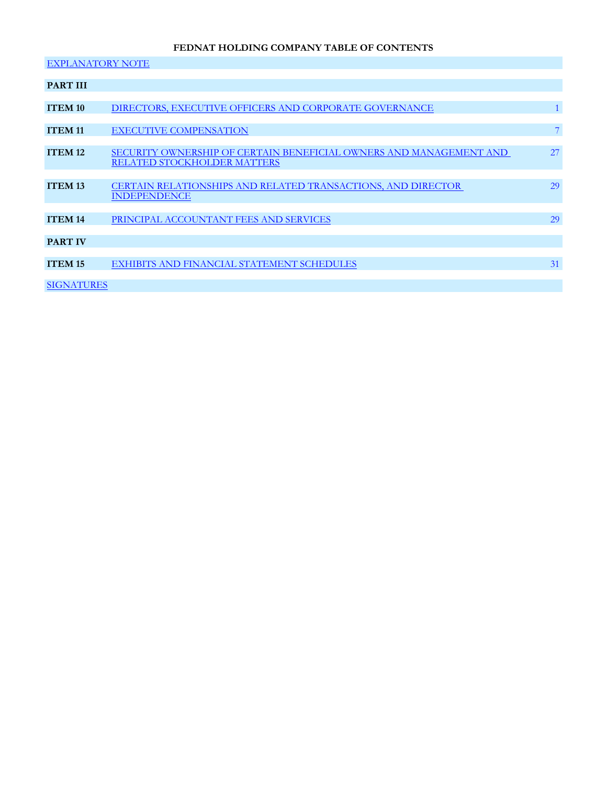# **FEDNAT HOLDING COMPANY TABLE OF CONTENTS**

| <b>EXPLANATORY NOTE</b> |                                                                    |                 |
|-------------------------|--------------------------------------------------------------------|-----------------|
|                         |                                                                    |                 |
| <b>PART III</b>         |                                                                    |                 |
|                         |                                                                    |                 |
| <b>ITEM 10</b>          | DIRECTORS, EXECUTIVE OFFICERS AND CORPORATE GOVERNANCE             |                 |
|                         |                                                                    |                 |
| <b>ITEM 11</b>          | <b>EXECUTIVE COMPENSATION</b>                                      | $7\phantom{.0}$ |
|                         |                                                                    |                 |
| <b>ITEM 12</b>          | SECURITY OWNERSHIP OF CERTAIN BENEFICIAL OWNERS AND MANAGEMENT AND | 27              |
|                         | <b>RELATED STOCKHOLDER MATTERS</b>                                 |                 |
|                         |                                                                    |                 |
| <b>ITEM 13</b>          | CERTAIN RELATIONSHIPS AND RELATED TRANSACTIONS, AND DIRECTOR       | 29              |
|                         | <b>INDEPENDENCE</b>                                                |                 |
|                         |                                                                    |                 |
| <b>ITEM 14</b>          | PRINCIPAL ACCOUNTANT FEES AND SERVICES                             | 29              |
|                         |                                                                    |                 |
| <b>PART IV</b>          |                                                                    |                 |
|                         |                                                                    |                 |
| <b>ITEM 15</b>          | EXHIBITS AND FINANCIAL STATEMENT SCHEDULES                         | 31              |
|                         |                                                                    |                 |
| <b>SIGNATURES</b>       |                                                                    |                 |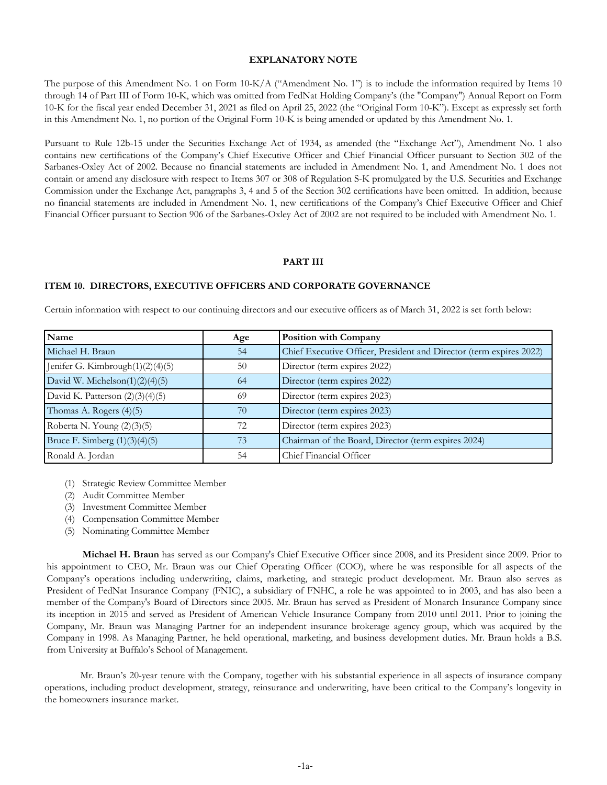# **EXPLANATORY NOTE**

<span id="page-2-0"></span>The purpose of this Amendment No. 1 on Form 10-K/A ("Amendment No. 1") is to include the information required by Items 10 through 14 of Part III of Form 10-K, which was omitted from FedNat Holding Company's (the "Company") Annual Report on Form 10-K for the fiscal year ended December 31, 2021 as filed on April 25, 2022 (the "Original Form 10-K"). Except as expressly set forth in this Amendment No. 1, no portion of the Original Form 10-K is being amended or updated by this Amendment No. 1.

Pursuant to Rule 12b-15 under the Securities Exchange Act of 1934, as amended (the "Exchange Act"), Amendment No. 1 also contains new certifications of the Company's Chief Executive Officer and Chief Financial Officer pursuant to Section 302 of the Sarbanes-Oxley Act of 2002. Because no financial statements are included in Amendment No. 1, and Amendment No. 1 does not contain or amend any disclosure with respect to Items 307 or 308 of Regulation S-K promulgated by the U.S. Securities and Exchange Commission under the Exchange Act, paragraphs 3, 4 and 5 of the Section 302 certifications have been omitted. In addition, because no financial statements are included in Amendment No. 1, new certifications of the Company's Chief Executive Officer and Chief Financial Officer pursuant to Section 906 of the Sarbanes-Oxley Act of 2002 are not required to be included with Amendment No. 1.

# **PART III**

# **ITEM 10. DIRECTORS, EXECUTIVE OFFICERS AND CORPORATE GOVERNANCE**

Certain information with respect to our continuing directors and our executive officers as of March 31, 2022 is set forth below:

| Name                              | Age | <b>Position with Company</b>                                        |
|-----------------------------------|-----|---------------------------------------------------------------------|
| Michael H. Braun                  | 54  | Chief Executive Officer, President and Director (term expires 2022) |
| Jenifer G. Kimbrough(1)(2)(4)(5)  | 50  | Director (term expires 2022)                                        |
| David W. Michelson $(1)(2)(4)(5)$ | 64  | Director (term expires 2022)                                        |
| David K. Patterson $(2)(3)(4)(5)$ | 69  | Director (term expires 2023)                                        |
| Thomas A. Rogers (4)(5)           | 70  | Director (term expires 2023)                                        |
| Roberta N. Young (2)(3)(5)        | 72  | Director (term expires 2023)                                        |
| Bruce F. Simberg $(1)(3)(4)(5)$   | 73  | Chairman of the Board, Director (term expires 2024)                 |
| Ronald A. Jordan                  | 54  | Chief Financial Officer                                             |

- (1) Strategic Review Committee Member
- (2) Audit Committee Member
- (3) Investment Committee Member
- (4) Compensation Committee Member
- (5) Nominating Committee Member

**Michael H. Braun** has served as our Company's Chief Executive Officer since 2008, and its President since 2009. Prior to his appointment to CEO, Mr. Braun was our Chief Operating Officer (COO), where he was responsible for all aspects of the Company's operations including underwriting, claims, marketing, and strategic product development. Mr. Braun also serves as President of FedNat Insurance Company (FNIC), a subsidiary of FNHC, a role he was appointed to in 2003, and has also been a member of the Company's Board of Directors since 2005. Mr. Braun has served as President of Monarch Insurance Company since its inception in 2015 and served as President of American Vehicle Insurance Company from 2010 until 2011. Prior to joining the Company, Mr. Braun was Managing Partner for an independent insurance brokerage agency group, which was acquired by the Company in 1998. As Managing Partner, he held operational, marketing, and business development duties. Mr. Braun holds a B.S. from University at Buffalo's School of Management.

Mr. Braun's 20-year tenure with the Company, together with his substantial experience in all aspects of insurance company operations, including product development, strategy, reinsurance and underwriting, have been critical to the Company's longevity in the homeowners insurance market.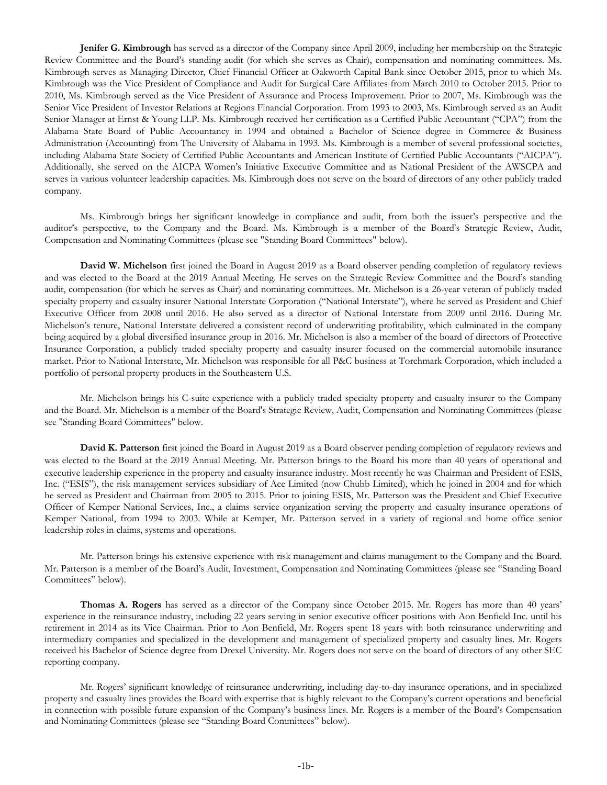**Jenifer G. Kimbrough** has served as a director of the Company since April 2009, including her membership on the Strategic Review Committee and the Board's standing audit (for which she serves as Chair), compensation and nominating committees. Ms. Kimbrough serves as Managing Director, Chief Financial Officer at Oakworth Capital Bank since October 2015, prior to which Ms. Kimbrough was the Vice President of Compliance and Audit for Surgical Care Affiliates from March 2010 to October 2015. Prior to 2010, Ms. Kimbrough served as the Vice President of Assurance and Process Improvement. Prior to 2007, Ms. Kimbrough was the Senior Vice President of Investor Relations at Regions Financial Corporation. From 1993 to 2003, Ms. Kimbrough served as an Audit Senior Manager at Ernst & Young LLP. Ms. Kimbrough received her certification as a Certified Public Accountant ("CPA") from the Alabama State Board of Public Accountancy in 1994 and obtained a Bachelor of Science degree in Commerce & Business Administration (Accounting) from The University of Alabama in 1993. Ms. Kimbrough is a member of several professional societies, including Alabama State Society of Certified Public Accountants and American Institute of Certified Public Accountants ("AICPA"). Additionally, she served on the AICPA Women's Initiative Executive Committee and as National President of the AWSCPA and serves in various volunteer leadership capacities. Ms. Kimbrough does not serve on the board of directors of any other publicly traded company.

Ms. Kimbrough brings her significant knowledge in compliance and audit, from both the issuer's perspective and the auditor's perspective, to the Company and the Board. Ms. Kimbrough is a member of the Board's Strategic Review, Audit, Compensation and Nominating Committees (please see "Standing Board Committees" below).

**David W. Michelson** first joined the Board in August 2019 as a Board observer pending completion of regulatory reviews and was elected to the Board at the 2019 Annual Meeting. He serves on the Strategic Review Committee and the Board's standing audit, compensation (for which he serves as Chair) and nominating committees. Mr. Michelson is a 26-year veteran of publicly traded specialty property and casualty insurer National Interstate Corporation ("National Interstate"), where he served as President and Chief Executive Officer from 2008 until 2016. He also served as a director of National Interstate from 2009 until 2016. During Mr. Michelson's tenure, National Interstate delivered a consistent record of underwriting profitability, which culminated in the company being acquired by a global diversified insurance group in 2016. Mr. Michelson is also a member of the board of directors of Protective Insurance Corporation, a publicly traded specialty property and casualty insurer focused on the commercial automobile insurance market. Prior to National Interstate, Mr. Michelson was responsible for all P&C business at Torchmark Corporation, which included a portfolio of personal property products in the Southeastern U.S.

Mr. Michelson brings his C-suite experience with a publicly traded specialty property and casualty insurer to the Company and the Board. Mr. Michelson is a member of the Board's Strategic Review, Audit, Compensation and Nominating Committees (please see "Standing Board Committees" below.

**David K. Patterson** first joined the Board in August 2019 as a Board observer pending completion of regulatory reviews and was elected to the Board at the 2019 Annual Meeting. Mr. Patterson brings to the Board his more than 40 years of operational and executive leadership experience in the property and casualty insurance industry. Most recently he was Chairman and President of ESIS, Inc. ("ESIS"), the risk management services subsidiary of Ace Limited (now Chubb Limited), which he joined in 2004 and for which he served as President and Chairman from 2005 to 2015. Prior to joining ESIS, Mr. Patterson was the President and Chief Executive Officer of Kemper National Services, Inc., a claims service organization serving the property and casualty insurance operations of Kemper National, from 1994 to 2003. While at Kemper, Mr. Patterson served in a variety of regional and home office senior leadership roles in claims, systems and operations.

Mr. Patterson brings his extensive experience with risk management and claims management to the Company and the Board. Mr. Patterson is a member of the Board's Audit, Investment, Compensation and Nominating Committees (please see "Standing Board Committees" below).

**Thomas A. Rogers** has served as a director of the Company since October 2015. Mr. Rogers has more than 40 years' experience in the reinsurance industry, including 22 years serving in senior executive officer positions with Aon Benfield Inc. until his retirement in 2014 as its Vice Chairman. Prior to Aon Benfield, Mr. Rogers spent 18 years with both reinsurance underwriting and intermediary companies and specialized in the development and management of specialized property and casualty lines. Mr. Rogers received his Bachelor of Science degree from Drexel University. Mr. Rogers does not serve on the board of directors of any other SEC reporting company.

Mr. Rogers' significant knowledge of reinsurance underwriting, including day-to-day insurance operations, and in specialized property and casualty lines provides the Board with expertise that is highly relevant to the Company's current operations and beneficial in connection with possible future expansion of the Company's business lines. Mr. Rogers is a member of the Board's Compensation and Nominating Committees (please see "Standing Board Committees" below).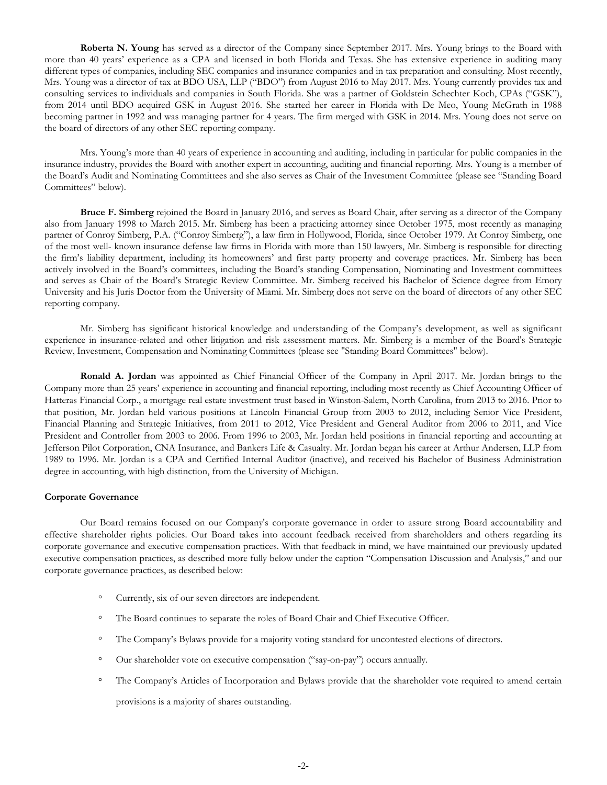**Roberta N. Young** has served as a director of the Company since September 2017. Mrs. Young brings to the Board with more than 40 years' experience as a CPA and licensed in both Florida and Texas. She has extensive experience in auditing many different types of companies, including SEC companies and insurance companies and in tax preparation and consulting. Most recently, Mrs. Young was a director of tax at BDO USA, LLP ("BDO") from August 2016 to May 2017. Mrs. Young currently provides tax and consulting services to individuals and companies in South Florida. She was a partner of Goldstein Schechter Koch, CPAs ("GSK"), from 2014 until BDO acquired GSK in August 2016. She started her career in Florida with De Meo, Young McGrath in 1988 becoming partner in 1992 and was managing partner for 4 years. The firm merged with GSK in 2014. Mrs. Young does not serve on the board of directors of any other SEC reporting company.

Mrs. Young's more than 40 years of experience in accounting and auditing, including in particular for public companies in the insurance industry, provides the Board with another expert in accounting, auditing and financial reporting. Mrs. Young is a member of the Board's Audit and Nominating Committees and she also serves as Chair of the Investment Committee (please see "Standing Board Committees" below).

**Bruce F. Simberg** rejoined the Board in January 2016, and serves as Board Chair, after serving as a director of the Company also from January 1998 to March 2015. Mr. Simberg has been a practicing attorney since October 1975, most recently as managing partner of Conroy Simberg, P.A. ("Conroy Simberg"), a law firm in Hollywood, Florida, since October 1979. At Conroy Simberg, one of the most well- known insurance defense law firms in Florida with more than 150 lawyers, Mr. Simberg is responsible for directing the firm's liability department, including its homeowners' and first party property and coverage practices. Mr. Simberg has been actively involved in the Board's committees, including the Board's standing Compensation, Nominating and Investment committees and serves as Chair of the Board's Strategic Review Committee. Mr. Simberg received his Bachelor of Science degree from Emory University and his Juris Doctor from the University of Miami. Mr. Simberg does not serve on the board of directors of any other SEC reporting company.

Mr. Simberg has significant historical knowledge and understanding of the Company's development, as well as significant experience in insurance-related and other litigation and risk assessment matters. Mr. Simberg is a member of the Board's Strategic Review, Investment, Compensation and Nominating Committees (please see "Standing Board Committees" below).

**Ronald A. Jordan** was appointed as Chief Financial Officer of the Company in April 2017. Mr. Jordan brings to the Company more than 25 years' experience in accounting and financial reporting, including most recently as Chief Accounting Officer of Hatteras Financial Corp., a mortgage real estate investment trust based in Winston-Salem, North Carolina, from 2013 to 2016. Prior to that position, Mr. Jordan held various positions at Lincoln Financial Group from 2003 to 2012, including Senior Vice President, Financial Planning and Strategic Initiatives, from 2011 to 2012, Vice President and General Auditor from 2006 to 2011, and Vice President and Controller from 2003 to 2006. From 1996 to 2003, Mr. Jordan held positions in financial reporting and accounting at Jefferson Pilot Corporation, CNA Insurance, and Bankers Life & Casualty. Mr. Jordan began his career at Arthur Andersen, LLP from 1989 to 1996. Mr. Jordan is a CPA and Certified Internal Auditor (inactive), and received his Bachelor of Business Administration degree in accounting, with high distinction, from the University of Michigan.

#### **Corporate Governance**

Our Board remains focused on our Company's corporate governance in order to assure strong Board accountability and effective shareholder rights policies. Our Board takes into account feedback received from shareholders and others regarding its corporate governance and executive compensation practices. With that feedback in mind, we have maintained our previously updated executive compensation practices, as described more fully below under the caption "Compensation Discussion and Analysis," and our corporate governance practices, as described below:

- Currently, six of our seven directors are independent.
- The Board continues to separate the roles of Board Chair and Chief Executive Officer.
- The Company's Bylaws provide for a majority voting standard for uncontested elections of directors.
- Our shareholder vote on executive compensation ("say-on-pay") occurs annually.
- The Company's Articles of Incorporation and Bylaws provide that the shareholder vote required to amend certain provisions is a majority of shares outstanding.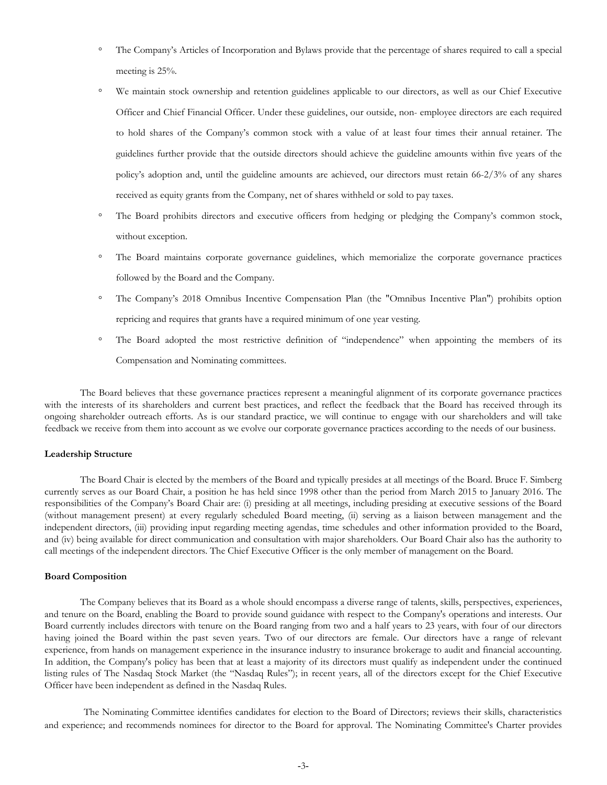- The Company's Articles of Incorporation and Bylaws provide that the percentage of shares required to call a special meeting is 25%.
- We maintain stock ownership and retention guidelines applicable to our directors, as well as our Chief Executive Officer and Chief Financial Officer. Under these guidelines, our outside, non- employee directors are each required to hold shares of the Company's common stock with a value of at least four times their annual retainer. The guidelines further provide that the outside directors should achieve the guideline amounts within five years of the policy's adoption and, until the guideline amounts are achieved, our directors must retain 66-2/3% of any shares received as equity grants from the Company, net of shares withheld or sold to pay taxes.
- The Board prohibits directors and executive officers from hedging or pledging the Company's common stock, without exception.
- The Board maintains corporate governance guidelines, which memorialize the corporate governance practices followed by the Board and the Company.
- The Company's 2018 Omnibus Incentive Compensation Plan (the "Omnibus Incentive Plan") prohibits option repricing and requires that grants have a required minimum of one year vesting.
- The Board adopted the most restrictive definition of "independence" when appointing the members of its Compensation and Nominating committees.

The Board believes that these governance practices represent a meaningful alignment of its corporate governance practices with the interests of its shareholders and current best practices, and reflect the feedback that the Board has received through its ongoing shareholder outreach efforts. As is our standard practice, we will continue to engage with our shareholders and will take feedback we receive from them into account as we evolve our corporate governance practices according to the needs of our business.

#### **Leadership Structure**

The Board Chair is elected by the members of the Board and typically presides at all meetings of the Board. Bruce F. Simberg currently serves as our Board Chair, a position he has held since 1998 other than the period from March 2015 to January 2016. The responsibilities of the Company's Board Chair are: (i) presiding at all meetings, including presiding at executive sessions of the Board (without management present) at every regularly scheduled Board meeting, (ii) serving as a liaison between management and the independent directors, (iii) providing input regarding meeting agendas, time schedules and other information provided to the Board, and (iv) being available for direct communication and consultation with major shareholders. Our Board Chair also has the authority to call meetings of the independent directors. The Chief Executive Officer is the only member of management on the Board.

### **Board Composition**

The Company believes that its Board as a whole should encompass a diverse range of talents, skills, perspectives, experiences, and tenure on the Board, enabling the Board to provide sound guidance with respect to the Company's operations and interests. Our Board currently includes directors with tenure on the Board ranging from two and a half years to 23 years, with four of our directors having joined the Board within the past seven years. Two of our directors are female. Our directors have a range of relevant experience, from hands on management experience in the insurance industry to insurance brokerage to audit and financial accounting. In addition, the Company's policy has been that at least a majority of its directors must qualify as independent under the continued listing rules of The Nasdaq Stock Market (the "Nasdaq Rules"); in recent years, all of the directors except for the Chief Executive Officer have been independent as defined in the Nasdaq Rules.

The Nominating Committee identifies candidates for election to the Board of Directors; reviews their skills, characteristics and experience; and recommends nominees for director to the Board for approval. The Nominating Committee's Charter provides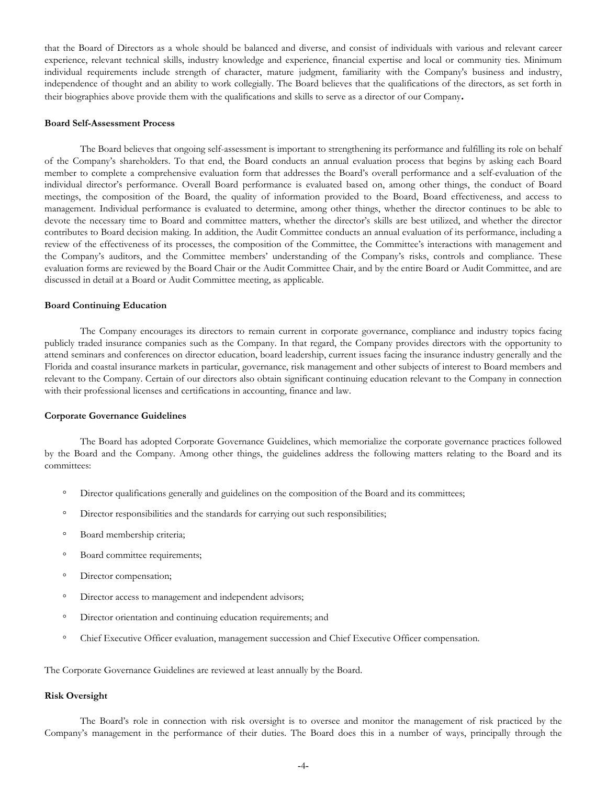that the Board of Directors as a whole should be balanced and diverse, and consist of individuals with various and relevant career experience, relevant technical skills, industry knowledge and experience, financial expertise and local or community ties. Minimum individual requirements include strength of character, mature judgment, familiarity with the Company's business and industry, independence of thought and an ability to work collegially. The Board believes that the qualifications of the directors, as set forth in their biographies above provide them with the qualifications and skills to serve as a director of our Company**.**

#### **Board Self-Assessment Process**

The Board believes that ongoing self-assessment is important to strengthening its performance and fulfilling its role on behalf of the Company's shareholders. To that end, the Board conducts an annual evaluation process that begins by asking each Board member to complete a comprehensive evaluation form that addresses the Board's overall performance and a self-evaluation of the individual director's performance. Overall Board performance is evaluated based on, among other things, the conduct of Board meetings, the composition of the Board, the quality of information provided to the Board, Board effectiveness, and access to management. Individual performance is evaluated to determine, among other things, whether the director continues to be able to devote the necessary time to Board and committee matters, whether the director's skills are best utilized, and whether the director contributes to Board decision making. In addition, the Audit Committee conducts an annual evaluation of its performance, including a review of the effectiveness of its processes, the composition of the Committee, the Committee's interactions with management and the Company's auditors, and the Committee members' understanding of the Company's risks, controls and compliance. These evaluation forms are reviewed by the Board Chair or the Audit Committee Chair, and by the entire Board or Audit Committee, and are discussed in detail at a Board or Audit Committee meeting, as applicable.

### **Board Continuing Education**

The Company encourages its directors to remain current in corporate governance, compliance and industry topics facing publicly traded insurance companies such as the Company. In that regard, the Company provides directors with the opportunity to attend seminars and conferences on director education, board leadership, current issues facing the insurance industry generally and the Florida and coastal insurance markets in particular, governance, risk management and other subjects of interest to Board members and relevant to the Company. Certain of our directors also obtain significant continuing education relevant to the Company in connection with their professional licenses and certifications in accounting, finance and law.

# **Corporate Governance Guidelines**

The Board has adopted Corporate Governance Guidelines, which memorialize the corporate governance practices followed by the Board and the Company. Among other things, the guidelines address the following matters relating to the Board and its committees:

- Director qualifications generally and guidelines on the composition of the Board and its committees;
- Director responsibilities and the standards for carrying out such responsibilities;
- Board membership criteria;
- Board committee requirements;
- Director compensation;
- Director access to management and independent advisors;
- Director orientation and continuing education requirements; and
- Chief Executive Officer evaluation, management succession and Chief Executive Officer compensation.

The Corporate Governance Guidelines are reviewed at least annually by the Board.

#### **Risk Oversight**

The Board's role in connection with risk oversight is to oversee and monitor the management of risk practiced by the Company's management in the performance of their duties. The Board does this in a number of ways, principally through the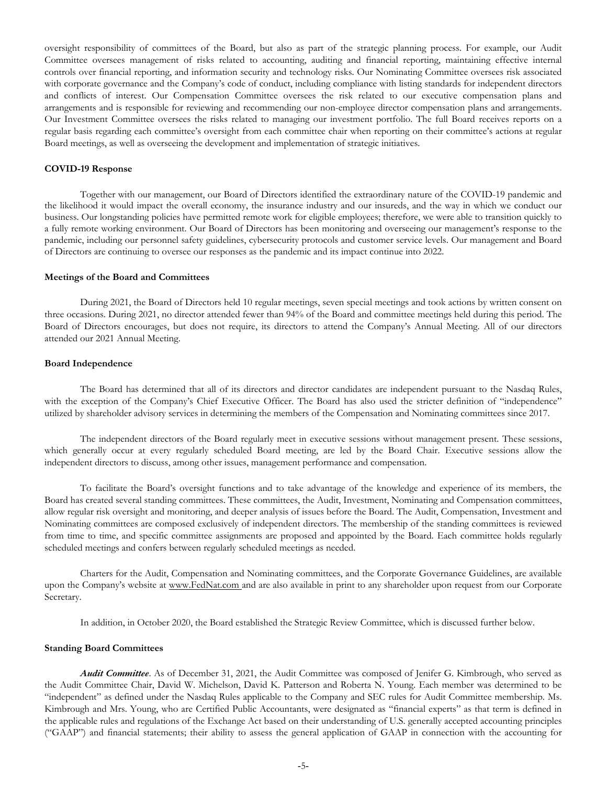oversight responsibility of committees of the Board, but also as part of the strategic planning process. For example, our Audit Committee oversees management of risks related to accounting, auditing and financial reporting, maintaining effective internal controls over financial reporting, and information security and technology risks. Our Nominating Committee oversees risk associated with corporate governance and the Company's code of conduct, including compliance with listing standards for independent directors and conflicts of interest. Our Compensation Committee oversees the risk related to our executive compensation plans and arrangements and is responsible for reviewing and recommending our non-employee director compensation plans and arrangements. Our Investment Committee oversees the risks related to managing our investment portfolio. The full Board receives reports on a regular basis regarding each committee's oversight from each committee chair when reporting on their committee's actions at regular Board meetings, as well as overseeing the development and implementation of strategic initiatives.

# **COVID-19 Response**

Together with our management, our Board of Directors identified the extraordinary nature of the COVID-19 pandemic and the likelihood it would impact the overall economy, the insurance industry and our insureds, and the way in which we conduct our business. Our longstanding policies have permitted remote work for eligible employees; therefore, we were able to transition quickly to a fully remote working environment. Our Board of Directors has been monitoring and overseeing our management's response to the pandemic, including our personnel safety guidelines, cybersecurity protocols and customer service levels. Our management and Board of Directors are continuing to oversee our responses as the pandemic and its impact continue into 2022.

### **Meetings of the Board and Committees**

During 2021, the Board of Directors held 10 regular meetings, seven special meetings and took actions by written consent on three occasions. During 2021, no director attended fewer than 94% of the Board and committee meetings held during this period. The Board of Directors encourages, but does not require, its directors to attend the Company's Annual Meeting. All of our directors attended our 2021 Annual Meeting.

# **Board Independence**

The Board has determined that all of its directors and director candidates are independent pursuant to the Nasdaq Rules, with the exception of the Company's Chief Executive Officer. The Board has also used the stricter definition of "independence" utilized by shareholder advisory services in determining the members of the Compensation and Nominating committees since 2017.

The independent directors of the Board regularly meet in executive sessions without management present. These sessions, which generally occur at every regularly scheduled Board meeting, are led by the Board Chair. Executive sessions allow the independent directors to discuss, among other issues, management performance and compensation.

To facilitate the Board's oversight functions and to take advantage of the knowledge and experience of its members, the Board has created several standing committees. These committees, the Audit, Investment, Nominating and Compensation committees, allow regular risk oversight and monitoring, and deeper analysis of issues before the Board. The Audit, Compensation, Investment and Nominating committees are composed exclusively of independent directors. The membership of the standing committees is reviewed from time to time, and specific committee assignments are proposed and appointed by the Board. Each committee holds regularly scheduled meetings and confers between regularly scheduled meetings as needed.

Charters for the Audit, Compensation and Nominating committees, and the Corporate Governance Guidelines, are available upon the Company's website at www.FedNat.com and are also available in print to any shareholder upon request from our Corporate Secretary.

In addition, in October 2020, the Board established the Strategic Review Committee, which is discussed further below.

#### **Standing Board Committees**

*Audit Committee*. As of December 31, 2021, the Audit Committee was composed of Jenifer G. Kimbrough, who served as the Audit Committee Chair, David W. Michelson, David K. Patterson and Roberta N. Young. Each member was determined to be "independent" as defined under the Nasdaq Rules applicable to the Company and SEC rules for Audit Committee membership. Ms. Kimbrough and Mrs. Young, who are Certified Public Accountants, were designated as "financial experts" as that term is defined in the applicable rules and regulations of the Exchange Act based on their understanding of U.S. generally accepted accounting principles ("GAAP") and financial statements; their ability to assess the general application of GAAP in connection with the accounting for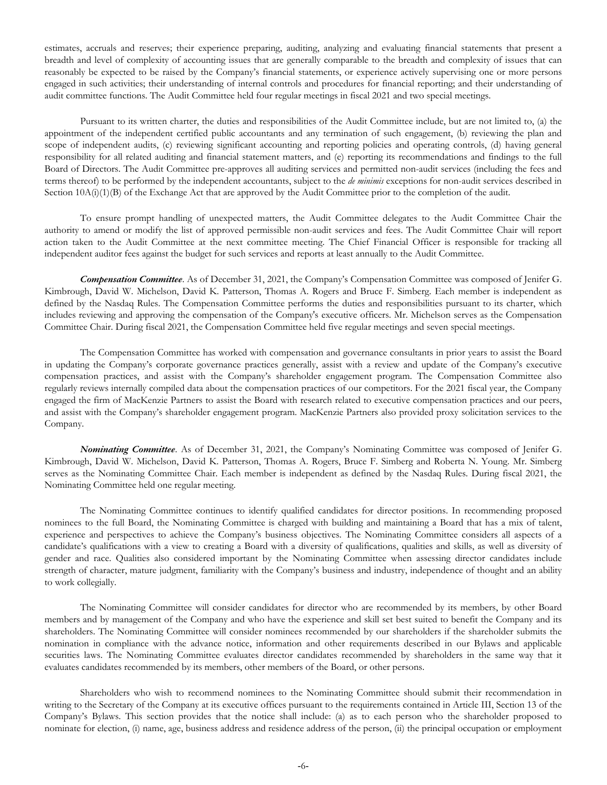estimates, accruals and reserves; their experience preparing, auditing, analyzing and evaluating financial statements that present a breadth and level of complexity of accounting issues that are generally comparable to the breadth and complexity of issues that can reasonably be expected to be raised by the Company's financial statements, or experience actively supervising one or more persons engaged in such activities; their understanding of internal controls and procedures for financial reporting; and their understanding of audit committee functions. The Audit Committee held four regular meetings in fiscal 2021 and two special meetings.

Pursuant to its written charter, the duties and responsibilities of the Audit Committee include, but are not limited to, (a) the appointment of the independent certified public accountants and any termination of such engagement, (b) reviewing the plan and scope of independent audits, (c) reviewing significant accounting and reporting policies and operating controls, (d) having general responsibility for all related auditing and financial statement matters, and (e) reporting its recommendations and findings to the full Board of Directors. The Audit Committee pre-approves all auditing services and permitted non-audit services (including the fees and terms thereof) to be performed by the independent accountants, subject to the *de minimis* exceptions for non-audit services described in Section  $10A(i)(1)(B)$  of the Exchange Act that are approved by the Audit Committee prior to the completion of the audit.

To ensure prompt handling of unexpected matters, the Audit Committee delegates to the Audit Committee Chair the authority to amend or modify the list of approved permissible non-audit services and fees. The Audit Committee Chair will report action taken to the Audit Committee at the next committee meeting. The Chief Financial Officer is responsible for tracking all independent auditor fees against the budget for such services and reports at least annually to the Audit Committee.

*Compensation Committee*. As of December 31, 2021, the Company's Compensation Committee was composed of Jenifer G. Kimbrough, David W. Michelson, David K. Patterson, Thomas A. Rogers and Bruce F. Simberg. Each member is independent as defined by the Nasdaq Rules. The Compensation Committee performs the duties and responsibilities pursuant to its charter, which includes reviewing and approving the compensation of the Company's executive officers. Mr. Michelson serves as the Compensation Committee Chair. During fiscal 2021, the Compensation Committee held five regular meetings and seven special meetings.

The Compensation Committee has worked with compensation and governance consultants in prior years to assist the Board in updating the Company's corporate governance practices generally, assist with a review and update of the Company's executive compensation practices, and assist with the Company's shareholder engagement program. The Compensation Committee also regularly reviews internally compiled data about the compensation practices of our competitors. For the 2021 fiscal year, the Company engaged the firm of MacKenzie Partners to assist the Board with research related to executive compensation practices and our peers, and assist with the Company's shareholder engagement program. MacKenzie Partners also provided proxy solicitation services to the Company.

*Nominating Committee*. As of December 31, 2021, the Company's Nominating Committee was composed of Jenifer G. Kimbrough, David W. Michelson, David K. Patterson, Thomas A. Rogers, Bruce F. Simberg and Roberta N. Young. Mr. Simberg serves as the Nominating Committee Chair. Each member is independent as defined by the Nasdaq Rules. During fiscal 2021, the Nominating Committee held one regular meeting.

The Nominating Committee continues to identify qualified candidates for director positions. In recommending proposed nominees to the full Board, the Nominating Committee is charged with building and maintaining a Board that has a mix of talent, experience and perspectives to achieve the Company's business objectives. The Nominating Committee considers all aspects of a candidate's qualifications with a view to creating a Board with a diversity of qualifications, qualities and skills, as well as diversity of gender and race. Qualities also considered important by the Nominating Committee when assessing director candidates include strength of character, mature judgment, familiarity with the Company's business and industry, independence of thought and an ability to work collegially.

The Nominating Committee will consider candidates for director who are recommended by its members, by other Board members and by management of the Company and who have the experience and skill set best suited to benefit the Company and its shareholders. The Nominating Committee will consider nominees recommended by our shareholders if the shareholder submits the nomination in compliance with the advance notice, information and other requirements described in our Bylaws and applicable securities laws. The Nominating Committee evaluates director candidates recommended by shareholders in the same way that it evaluates candidates recommended by its members, other members of the Board, or other persons.

Shareholders who wish to recommend nominees to the Nominating Committee should submit their recommendation in writing to the Secretary of the Company at its executive offices pursuant to the requirements contained in Article III, Section 13 of the Company's Bylaws. This section provides that the notice shall include: (a) as to each person who the shareholder proposed to nominate for election, (i) name, age, business address and residence address of the person, (ii) the principal occupation or employment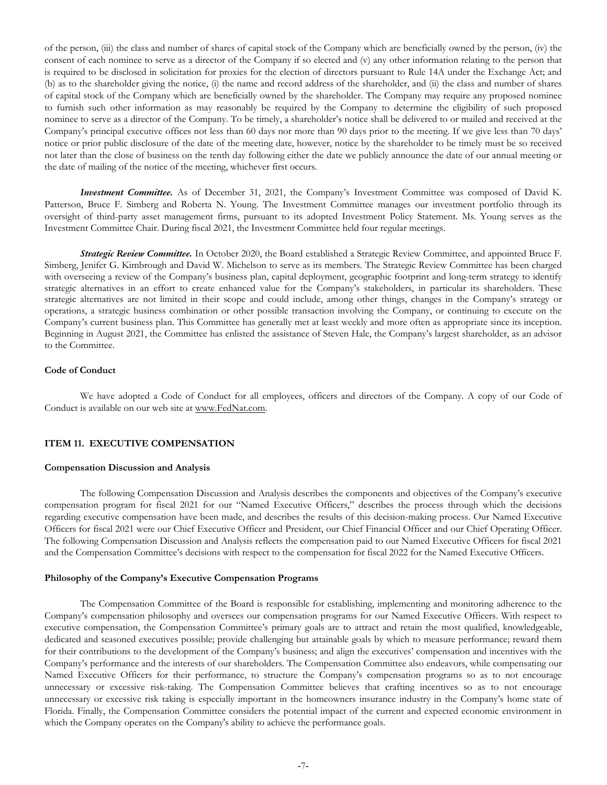<span id="page-9-0"></span>of the person, (iii) the class and number of shares of capital stock of the Company which are beneficially owned by the person, (iv) the consent of each nominee to serve as a director of the Company if so elected and (v) any other information relating to the person that is required to be disclosed in solicitation for proxies for the election of directors pursuant to Rule 14A under the Exchange Act; and (b) as to the shareholder giving the notice, (i) the name and record address of the shareholder, and (ii) the class and number of shares of capital stock of the Company which are beneficially owned by the shareholder. The Company may require any proposed nominee to furnish such other information as may reasonably be required by the Company to determine the eligibility of such proposed nominee to serve as a director of the Company. To be timely, a shareholder's notice shall be delivered to or mailed and received at the Company's principal executive offices not less than 60 days nor more than 90 days prior to the meeting. If we give less than 70 days' notice or prior public disclosure of the date of the meeting date, however, notice by the shareholder to be timely must be so received not later than the close of business on the tenth day following either the date we publicly announce the date of our annual meeting or the date of mailing of the notice of the meeting, whichever first occurs.

*Investment Committee.* As of December 31, 2021, the Company's Investment Committee was composed of David K. Patterson, Bruce F. Simberg and Roberta N. Young. The Investment Committee manages our investment portfolio through its oversight of third-party asset management firms, pursuant to its adopted Investment Policy Statement. Ms. Young serves as the Investment Committee Chair. During fiscal 2021, the Investment Committee held four regular meetings.

*Strategic Review Committee.* In October 2020, the Board established a Strategic Review Committee, and appointed Bruce F. Simberg, Jenifer G. Kimbrough and David W. Michelson to serve as its members. The Strategic Review Committee has been charged with overseeing a review of the Company's business plan, capital deployment, geographic footprint and long-term strategy to identify strategic alternatives in an effort to create enhanced value for the Company's stakeholders, in particular its shareholders. These strategic alternatives are not limited in their scope and could include, among other things, changes in the Company's strategy or operations, a strategic business combination or other possible transaction involving the Company, or continuing to execute on the Company's current business plan. This Committee has generally met at least weekly and more often as appropriate since its inception. Beginning in August 2021, the Committee has enlisted the assistance of Steven Hale, the Company's largest shareholder, as an advisor to the Committee.

# **Code of Conduct**

We have adopted a Code of Conduct for all employees, officers and directors of the Company. A copy of our Code of Conduct is available on our web site at www.FedNat.com.

# **ITEM 11. EXECUTIVE COMPENSATION**

#### **Compensation Discussion and Analysis**

The following Compensation Discussion and Analysis describes the components and objectives of the Company's executive compensation program for fiscal 2021 for our "Named Executive Officers," describes the process through which the decisions regarding executive compensation have been made, and describes the results of this decision-making process. Our Named Executive Officers for fiscal 2021 were our Chief Executive Officer and President, our Chief Financial Officer and our Chief Operating Officer. The following Compensation Discussion and Analysis reflects the compensation paid to our Named Executive Officers for fiscal 2021 and the Compensation Committee's decisions with respect to the compensation for fiscal 2022 for the Named Executive Officers.

# **Philosophy of the Company's Executive Compensation Programs**

The Compensation Committee of the Board is responsible for establishing, implementing and monitoring adherence to the Company's compensation philosophy and oversees our compensation programs for our Named Executive Officers. With respect to executive compensation, the Compensation Committee's primary goals are to attract and retain the most qualified, knowledgeable, dedicated and seasoned executives possible; provide challenging but attainable goals by which to measure performance; reward them for their contributions to the development of the Company's business; and align the executives' compensation and incentives with the Company's performance and the interests of our shareholders. The Compensation Committee also endeavors, while compensating our Named Executive Officers for their performance, to structure the Company's compensation programs so as to not encourage unnecessary or excessive risk-taking. The Compensation Committee believes that crafting incentives so as to not encourage unnecessary or excessive risk taking is especially important in the homeowners insurance industry in the Company's home state of Florida. Finally, the Compensation Committee considers the potential impact of the current and expected economic environment in which the Company operates on the Company's ability to achieve the performance goals.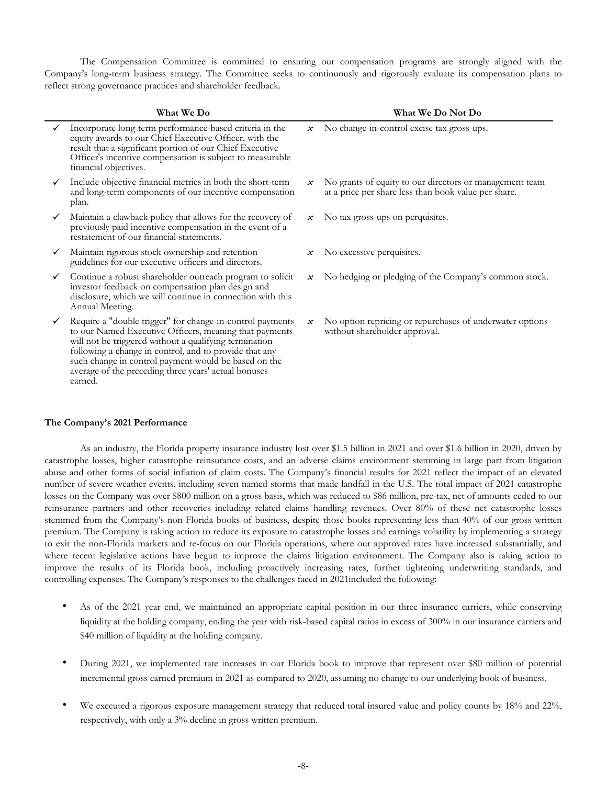The Compensation Committee is committed to ensuring our compensation programs are strongly aligned with the Company's long-term business strategy. The Committee seeks to continuously and rigorously evaluate its compensation plans to reflect strong governance practices and shareholder feedback.

|              | What We Do                                                                                                                                                                                                                                                                                                                                                         |                            | What We Do Not Do                                                                                               |
|--------------|--------------------------------------------------------------------------------------------------------------------------------------------------------------------------------------------------------------------------------------------------------------------------------------------------------------------------------------------------------------------|----------------------------|-----------------------------------------------------------------------------------------------------------------|
|              | Incorporate long-term performance-based criteria in the<br>equity awards to our Chief Executive Officer, with the<br>result that a significant portion of our Chief Executive<br>Officer's incentive compensation is subject to measurable<br>financial objectives.                                                                                                | $\mathcal{\mathcal{X}}$    | No change-in-control excise tax gross-ups.                                                                      |
| $\checkmark$ | Include objective financial metrics in both the short-term<br>and long-term components of our incentive compensation<br>plan.                                                                                                                                                                                                                                      | $\mathcal{X}$              | No grants of equity to our directors or management team<br>at a price per share less than book value per share. |
| ✓            | Maintain a clawback policy that allows for the recovery of<br>previously paid incentive compensation in the event of a<br>restatement of our financial statements.                                                                                                                                                                                                 | $\mathcal{\mathcal{X}}$    | No tax gross-ups on perquisites.                                                                                |
| ✓            | Maintain rigorous stock ownership and retention<br>guidelines for our executive officers and directors.                                                                                                                                                                                                                                                            | $\mathcal{\mathcal{X}}$    | No excessive perquisites.                                                                                       |
| ✓            | Continue a robust shareholder outreach program to solicit<br>investor feedback on compensation plan design and<br>disclosure, which we will continue in connection with this<br>Annual Meeting.                                                                                                                                                                    | $\boldsymbol{\mathcal{X}}$ | No hedging or pledging of the Company's common stock.                                                           |
| ✓            | Require a "double trigger" for change-in-control payments<br>to our Named Executive Officers, meaning that payments<br>will not be triggered without a qualifying termination<br>following a change in control, and to provide that any<br>such change in control payment would be based on the<br>average of the preceding three years' actual bonuses<br>earned. | $\boldsymbol{\mathcal{X}}$ | No option repricing or repurchases of underwater options<br>without shareholder approval.                       |

# **The Company's 2021 Performance**

As an industry, the Florida property insurance industry lost over \$1.5 billion in 2021 and over \$1.6 billion in 2020, driven by catastrophe losses, higher catastrophe reinsurance costs, and an adverse claims environment stemming in large part from litigation abuse and other forms of social inflation of claim costs. The Company's financial results for 2021 reflect the impact of an elevated number of severe weather events, including seven named storms that made landfall in the U.S. The total impact of 2021 catastrophe losses on the Company was over \$800 million on a gross basis, which was reduced to \$86 million, pre-tax, net of amounts ceded to our reinsurance partners and other recoveries including related claims handling revenues. Over 80% of these net catastrophe losses stemmed from the Company's non-Florida books of business, despite those books representing less than 40% of our gross written premium. The Company is taking action to reduce its exposure to catastrophe losses and earnings volatility by implementing a strategy to exit the non-Florida markets and re-focus on our Florida operations, where our approved rates have increased substantially, and where recent legislative actions have begun to improve the claims litigation environment. The Company also is taking action to improve the results of its Florida book, including proactively increasing rates, further tightening underwriting standards, and controlling expenses. The Company's responses to the challenges faced in 2021included the following:

- As of the 2021 year end, we maintained an appropriate capital position in our three insurance carriers, while conserving liquidity at the holding company, ending the year with risk-based capital ratios in excess of 300% in our insurance carriers and \$40 million of liquidity at the holding company.
- During 2021, we implemented rate increases in our Florida book to improve that represent over \$80 million of potential incremental gross earned premium in 2021 as compared to 2020, assuming no change to our underlying book of business.
- We executed a rigorous exposure management strategy that reduced total insured value and policy counts by 18% and 22%, respectively, with only a 3% decline in gross written premium.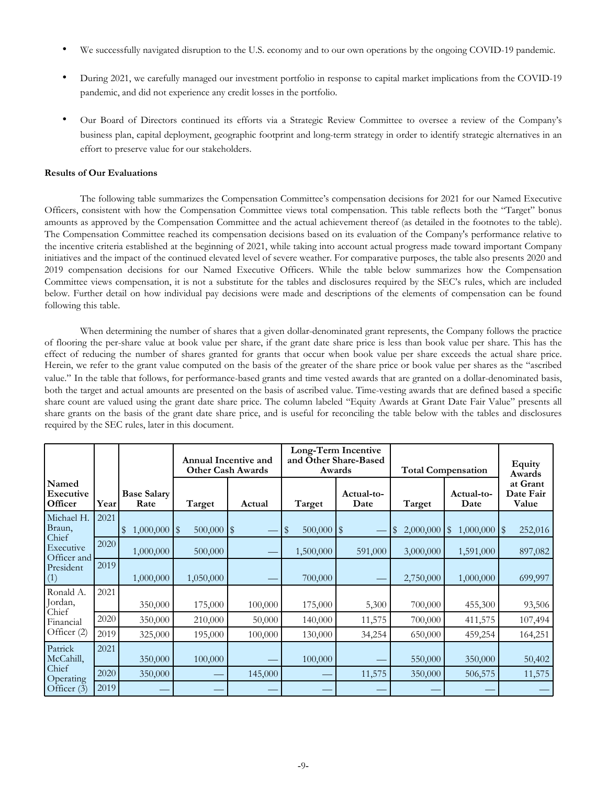- We successfully navigated disruption to the U.S. economy and to our own operations by the ongoing COVID-19 pandemic.
- During 2021, we carefully managed our investment portfolio in response to capital market implications from the COVID-19 pandemic, and did not experience any credit losses in the portfolio.
- Our Board of Directors continued its efforts via a Strategic Review Committee to oversee a review of the Company's business plan, capital deployment, geographic footprint and long-term strategy in order to identify strategic alternatives in an effort to preserve value for our stakeholders.

# **Results of Our Evaluations**

The following table summarizes the Compensation Committee's compensation decisions for 2021 for our Named Executive Officers, consistent with how the Compensation Committee views total compensation. This table reflects both the "Target" bonus amounts as approved by the Compensation Committee and the actual achievement thereof (as detailed in the footnotes to the table). The Compensation Committee reached its compensation decisions based on its evaluation of the Company's performance relative to the incentive criteria established at the beginning of 2021, while taking into account actual progress made toward important Company initiatives and the impact of the continued elevated level of severe weather. For comparative purposes, the table also presents 2020 and 2019 compensation decisions for our Named Executive Officers. While the table below summarizes how the Compensation Committee views compensation, it is not a substitute for the tables and disclosures required by the SEC's rules, which are included below. Further detail on how individual pay decisions were made and descriptions of the elements of compensation can be found following this table.

When determining the number of shares that a given dollar-denominated grant represents, the Company follows the practice of flooring the per-share value at book value per share, if the grant date share price is less than book value per share. This has the effect of reducing the number of shares granted for grants that occur when book value per share exceeds the actual share price. Herein, we refer to the grant value computed on the basis of the greater of the share price or book value per shares as the "ascribed value." In the table that follows, for performance-based grants and time vested awards that are granted on a dollar-denominated basis, both the target and actual amounts are presented on the basis of ascribed value. Time-vesting awards that are defined based a specific share count are valued using the grant date share price. The column labeled "Equity Awards at Grant Date Fair Value" presents all share grants on the basis of the grant date share price, and is useful for reconciling the table below with the tables and disclosures required by the SEC rules, later in this document.

|                                   |      |                            |                | Annual Incentive and<br><b>Other Cash Awards</b> |                              | Long-Term Incentive<br>and Other Share-Based<br>Awards | <b>Total Compensation</b> | Equity<br>Awards        |         |
|-----------------------------------|------|----------------------------|----------------|--------------------------------------------------|------------------------------|--------------------------------------------------------|---------------------------|-------------------------|---------|
| Named<br>Executive<br>Officer     | Year | <b>Base Salary</b><br>Rate | Target         | Actual                                           | Actual-to-<br>Target<br>Date |                                                        | Target                    | Actual-to-<br>Date      |         |
| Michael H.<br>Braun,              | 2021 | $1,000,000$ \$<br>\$       | $500,000$   \$ |                                                  | $500,000$   \$<br>S          |                                                        | 2,000,000<br> \$          | $1,000,000$   \$<br> \$ | 252,016 |
| Chief<br>Executive<br>Officer and | 2020 | 1,000,000                  | 500,000        |                                                  | 1,500,000                    | 591,000                                                | 3,000,000                 | 1,591,000               | 897,082 |
| President<br>(1)                  | 2019 | 1,000,000                  | 1,050,000      |                                                  | 700,000                      |                                                        | 2,750,000                 | 1,000,000               | 699,997 |
| Ronald A.<br>Jordan,<br>Chief     | 2021 | 350,000                    | 175,000        | 100,000                                          | 175,000                      | 5,300                                                  | 700,000                   | 455,300                 | 93,506  |
| Financial                         | 2020 | 350,000                    | 210,000        | 50,000                                           | 140,000                      | 11,575                                                 | 700,000                   | 411,575                 | 107,494 |
| Officer (2)                       | 2019 | 325,000                    | 195,000        | 100,000                                          | 130,000                      | 34,254                                                 | 650,000                   | 459,254                 | 164,251 |
| Patrick<br>McCahill,              | 2021 | 350,000                    | 100,000        |                                                  | 100,000                      |                                                        | 550,000                   | 350,000                 | 50,402  |
| Chief<br>Operating                | 2020 | 350,000                    |                | 145,000                                          |                              | 11,575                                                 | 350,000                   | 506,575                 | 11,575  |
| Officer (3)                       | 2019 |                            |                |                                                  |                              |                                                        |                           |                         |         |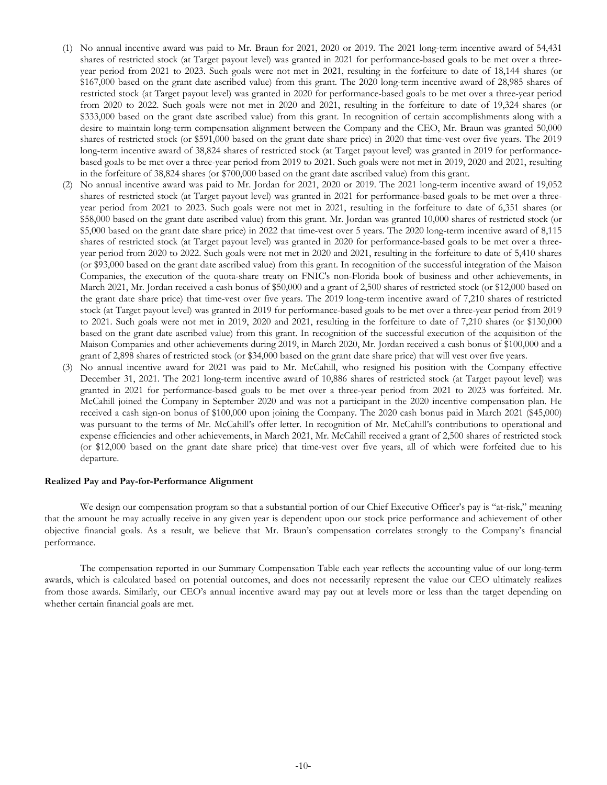- (1) No annual incentive award was paid to Mr. Braun for 2021, 2020 or 2019. The 2021 long-term incentive award of 54,431 shares of restricted stock (at Target payout level) was granted in 2021 for performance-based goals to be met over a threeyear period from 2021 to 2023. Such goals were not met in 2021, resulting in the forfeiture to date of 18,144 shares (or \$167,000 based on the grant date ascribed value) from this grant. The 2020 long-term incentive award of 28,985 shares of restricted stock (at Target payout level) was granted in 2020 for performance-based goals to be met over a three-year period from 2020 to 2022. Such goals were not met in 2020 and 2021, resulting in the forfeiture to date of 19,324 shares (or \$333,000 based on the grant date ascribed value) from this grant. In recognition of certain accomplishments along with a desire to maintain long-term compensation alignment between the Company and the CEO, Mr. Braun was granted 50,000 shares of restricted stock (or \$591,000 based on the grant date share price) in 2020 that time-vest over five years. The 2019 long-term incentive award of 38,824 shares of restricted stock (at Target payout level) was granted in 2019 for performancebased goals to be met over a three-year period from 2019 to 2021. Such goals were not met in 2019, 2020 and 2021, resulting in the forfeiture of 38,824 shares (or \$700,000 based on the grant date ascribed value) from this grant.
- (2) No annual incentive award was paid to Mr. Jordan for 2021, 2020 or 2019. The 2021 long-term incentive award of 19,052 shares of restricted stock (at Target payout level) was granted in 2021 for performance-based goals to be met over a threeyear period from 2021 to 2023. Such goals were not met in 2021, resulting in the forfeiture to date of 6,351 shares (or \$58,000 based on the grant date ascribed value) from this grant. Mr. Jordan was granted 10,000 shares of restricted stock (or \$5,000 based on the grant date share price) in 2022 that time-vest over 5 years. The 2020 long-term incentive award of 8,115 shares of restricted stock (at Target payout level) was granted in 2020 for performance-based goals to be met over a threeyear period from 2020 to 2022. Such goals were not met in 2020 and 2021, resulting in the forfeiture to date of 5,410 shares (or \$93,000 based on the grant date ascribed value) from this grant. In recognition of the successful integration of the Maison Companies, the execution of the quota-share treaty on FNIC's non-Florida book of business and other achievements, in March 2021, Mr. Jordan received a cash bonus of \$50,000 and a grant of 2,500 shares of restricted stock (or \$12,000 based on the grant date share price) that time-vest over five years. The 2019 long-term incentive award of 7,210 shares of restricted stock (at Target payout level) was granted in 2019 for performance-based goals to be met over a three-year period from 2019 to 2021. Such goals were not met in 2019, 2020 and 2021, resulting in the forfeiture to date of 7,210 shares (or \$130,000 based on the grant date ascribed value) from this grant. In recognition of the successful execution of the acquisition of the Maison Companies and other achievements during 2019, in March 2020, Mr. Jordan received a cash bonus of \$100,000 and a grant of 2,898 shares of restricted stock (or \$34,000 based on the grant date share price) that will vest over five years.
- (3) No annual incentive award for 2021 was paid to Mr. McCahill, who resigned his position with the Company effective December 31, 2021. The 2021 long-term incentive award of 10,886 shares of restricted stock (at Target payout level) was granted in 2021 for performance-based goals to be met over a three-year period from 2021 to 2023 was forfeited. Mr. McCahill joined the Company in September 2020 and was not a participant in the 2020 incentive compensation plan. He received a cash sign-on bonus of \$100,000 upon joining the Company. The 2020 cash bonus paid in March 2021 (\$45,000) was pursuant to the terms of Mr. McCahill's offer letter. In recognition of Mr. McCahill's contributions to operational and expense efficiencies and other achievements, in March 2021, Mr. McCahill received a grant of 2,500 shares of restricted stock (or \$12,000 based on the grant date share price) that time-vest over five years, all of which were forfeited due to his departure.

#### **Realized Pay and Pay-for-Performance Alignment**

We design our compensation program so that a substantial portion of our Chief Executive Officer's pay is "at-risk," meaning that the amount he may actually receive in any given year is dependent upon our stock price performance and achievement of other objective financial goals. As a result, we believe that Mr. Braun's compensation correlates strongly to the Company's financial performance.

The compensation reported in our Summary Compensation Table each year reflects the accounting value of our long-term awards, which is calculated based on potential outcomes, and does not necessarily represent the value our CEO ultimately realizes from those awards. Similarly, our CEO's annual incentive award may pay out at levels more or less than the target depending on whether certain financial goals are met.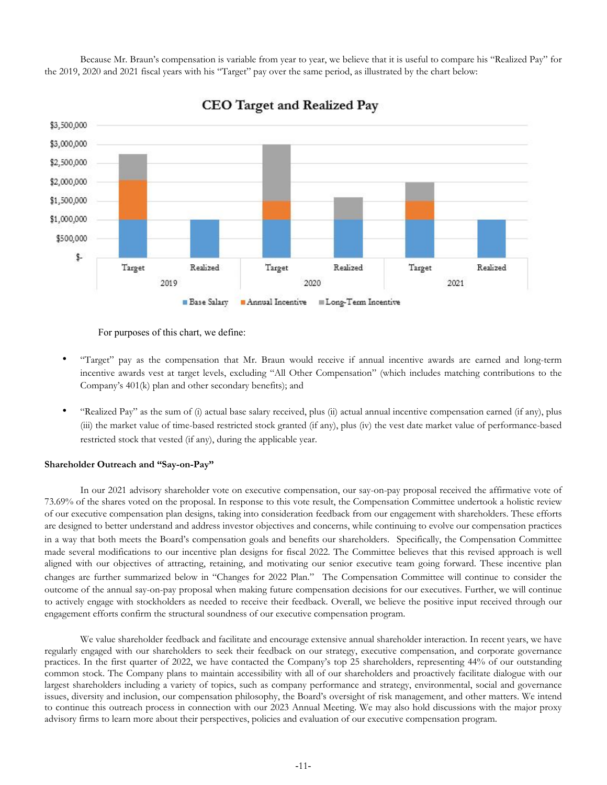Because Mr. Braun's compensation is variable from year to year, we believe that it is useful to compare his "Realized Pay" for the 2019, 2020 and 2021 fiscal years with his "Target" pay over the same period, as illustrated by the chart below:



CEO Target and Realized Pay

For purposes of this chart, we define:

- "Target" pay as the compensation that Mr. Braun would receive if annual incentive awards are earned and long-term incentive awards vest at target levels, excluding "All Other Compensation" (which includes matching contributions to the Company's 401(k) plan and other secondary benefits); and
- "Realized Pay" as the sum of (i) actual base salary received, plus (ii) actual annual incentive compensation earned (if any), plus (iii) the market value of time-based restricted stock granted (if any), plus (iv) the vest date market value of performance-based restricted stock that vested (if any), during the applicable year.

# **Shareholder Outreach and "Say-on-Pay"**

In our 2021 advisory shareholder vote on executive compensation, our say-on-pay proposal received the affirmative vote of 73.69% of the shares voted on the proposal. In response to this vote result, the Compensation Committee undertook a holistic review of our executive compensation plan designs, taking into consideration feedback from our engagement with shareholders. These efforts are designed to better understand and address investor objectives and concerns, while continuing to evolve our compensation practices in a way that both meets the Board's compensation goals and benefits our shareholders. Specifically, the Compensation Committee made several modifications to our incentive plan designs for fiscal 2022. The Committee believes that this revised approach is well aligned with our objectives of attracting, retaining, and motivating our senior executive team going forward. These incentive plan changes are further summarized below in "Changes for 2022 Plan." The Compensation Committee will continue to consider the outcome of the annual say-on-pay proposal when making future compensation decisions for our executives. Further, we will continue to actively engage with stockholders as needed to receive their feedback. Overall, we believe the positive input received through our engagement efforts confirm the structural soundness of our executive compensation program.

We value shareholder feedback and facilitate and encourage extensive annual shareholder interaction. In recent years, we have regularly engaged with our shareholders to seek their feedback on our strategy, executive compensation, and corporate governance practices. In the first quarter of 2022, we have contacted the Company's top 25 shareholders, representing 44% of our outstanding common stock. The Company plans to maintain accessibility with all of our shareholders and proactively facilitate dialogue with our largest shareholders including a variety of topics, such as company performance and strategy, environmental, social and governance issues, diversity and inclusion, our compensation philosophy, the Board's oversight of risk management, and other matters. We intend to continue this outreach process in connection with our 2023 Annual Meeting. We may also hold discussions with the major proxy advisory firms to learn more about their perspectives, policies and evaluation of our executive compensation program.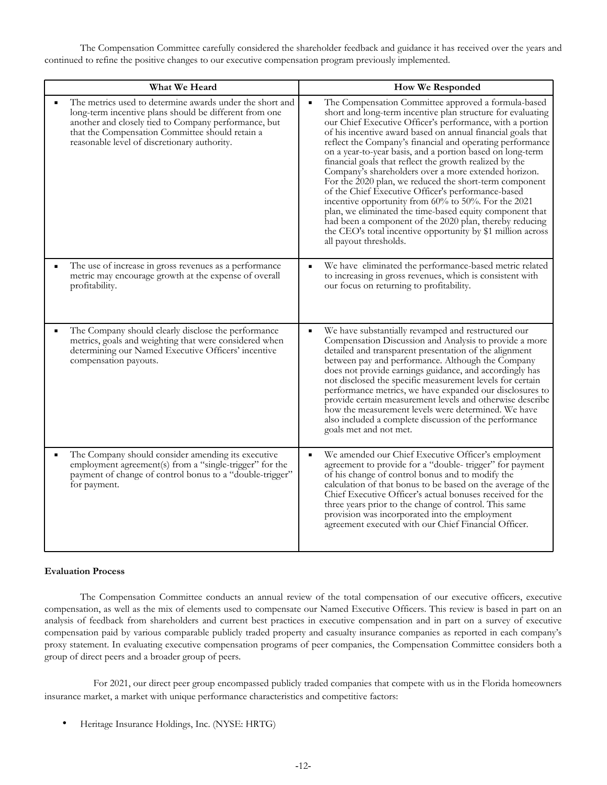The Compensation Committee carefully considered the shareholder feedback and guidance it has received over the years and continued to refine the positive changes to our executive compensation program previously implemented.

| What We Heard                                                                                                                                                                                                                                                                 | <b>How We Responded</b>                                                                                                                                                                                                                                                                                                                                                                                                                                                                                                                                                                                                                                                                                                                                                                                                                                                                              |
|-------------------------------------------------------------------------------------------------------------------------------------------------------------------------------------------------------------------------------------------------------------------------------|------------------------------------------------------------------------------------------------------------------------------------------------------------------------------------------------------------------------------------------------------------------------------------------------------------------------------------------------------------------------------------------------------------------------------------------------------------------------------------------------------------------------------------------------------------------------------------------------------------------------------------------------------------------------------------------------------------------------------------------------------------------------------------------------------------------------------------------------------------------------------------------------------|
| The metrics used to determine awards under the short and<br>long-term incentive plans should be different from one<br>another and closely tied to Company performance, but<br>that the Compensation Committee should retain a<br>reasonable level of discretionary authority. | The Compensation Committee approved a formula-based<br>$\blacksquare$<br>short and long-term incentive plan structure for evaluating<br>our Chief Executive Officer's performance, with a portion<br>of his incentive award based on annual financial goals that<br>reflect the Company's financial and operating performance<br>on a year-to-year basis, and a portion based on long-term<br>financial goals that reflect the growth realized by the<br>Company's shareholders over a more extended horizon.<br>For the 2020 plan, we reduced the short-term component<br>of the Chief Executive Officer's performance-based<br>incentive opportunity from 60% to 50%. For the 2021<br>plan, we eliminated the time-based equity component that<br>had been a component of the 2020 plan, thereby reducing<br>the CEO's total incentive opportunity by \$1 million across<br>all payout thresholds. |
| The use of increase in gross revenues as a performance<br>metric may encourage growth at the expense of overall<br>profitability.                                                                                                                                             | We have eliminated the performance-based metric related<br>to increasing in gross revenues, which is consistent with<br>our focus on returning to profitability.                                                                                                                                                                                                                                                                                                                                                                                                                                                                                                                                                                                                                                                                                                                                     |
| The Company should clearly disclose the performance<br>metrics, goals and weighting that were considered when<br>determining our Named Executive Officers' incentive<br>compensation payouts.                                                                                 | We have substantially revamped and restructured our<br>Compensation Discussion and Analysis to provide a more<br>detailed and transparent presentation of the alignment<br>between pay and performance. Although the Company<br>does not provide earnings guidance, and accordingly has<br>not disclosed the specific measurement levels for certain<br>performance metrics, we have expanded our disclosures to<br>provide certain measurement levels and otherwise describe<br>how the measurement levels were determined. We have<br>also included a complete discussion of the performance<br>goals met and not met.                                                                                                                                                                                                                                                                             |
| The Company should consider amending its executive<br>employment agreement(s) from a "single-trigger" for the<br>payment of change of control bonus to a "double-trigger"<br>for payment.                                                                                     | We amended our Chief Executive Officer's employment<br>$\blacksquare$<br>agreement to provide for a "double-trigger" for payment<br>of his change of control bonus and to modify the<br>calculation of that bonus to be based on the average of the<br>Chief Executive Officer's actual bonuses received for the<br>three years prior to the change of control. This same<br>provision was incorporated into the employment<br>agreement executed with our Chief Financial Officer.                                                                                                                                                                                                                                                                                                                                                                                                                  |

# **Evaluation Process**

The Compensation Committee conducts an annual review of the total compensation of our executive officers, executive compensation, as well as the mix of elements used to compensate our Named Executive Officers. This review is based in part on an analysis of feedback from shareholders and current best practices in executive compensation and in part on a survey of executive compensation paid by various comparable publicly traded property and casualty insurance companies as reported in each company's proxy statement. In evaluating executive compensation programs of peer companies, the Compensation Committee considers both a group of direct peers and a broader group of peers.

 For 2021, our direct peer group encompassed publicly traded companies that compete with us in the Florida homeowners insurance market, a market with unique performance characteristics and competitive factors:

• Heritage Insurance Holdings, Inc. (NYSE: HRTG)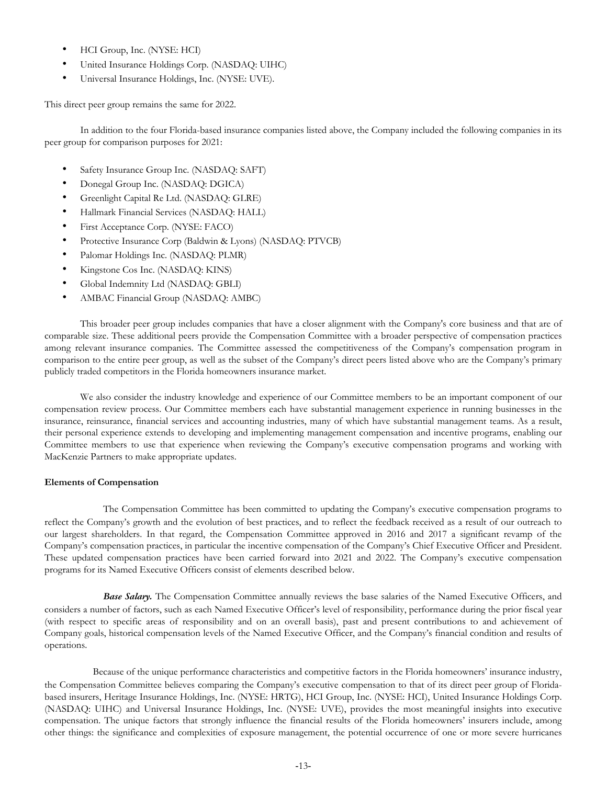- HCI Group, Inc. (NYSE: HCI)
- United Insurance Holdings Corp. (NASDAQ: UIHC)
- Universal Insurance Holdings, Inc. (NYSE: UVE).

This direct peer group remains the same for 2022.

In addition to the four Florida-based insurance companies listed above, the Company included the following companies in its peer group for comparison purposes for 2021:

- Safety Insurance Group Inc. (NASDAQ: SAFT)
- Donegal Group Inc. (NASDAQ: DGICA)
- Greenlight Capital Re Ltd. (NASDAQ: GLRE)
- Hallmark Financial Services (NASDAQ: HALL)
- First Acceptance Corp. (NYSE: FACO)
- Protective Insurance Corp (Baldwin & Lyons) (NASDAQ: PTVCB)
- Palomar Holdings Inc. (NASDAQ: PLMR)
- Kingstone Cos Inc. (NASDAQ: KINS)
- Global Indemnity Ltd (NASDAQ: GBLI)
- AMBAC Financial Group (NASDAQ: AMBC)

This broader peer group includes companies that have a closer alignment with the Company's core business and that are of comparable size. These additional peers provide the Compensation Committee with a broader perspective of compensation practices among relevant insurance companies. The Committee assessed the competitiveness of the Company's compensation program in comparison to the entire peer group, as well as the subset of the Company's direct peers listed above who are the Company's primary publicly traded competitors in the Florida homeowners insurance market.

We also consider the industry knowledge and experience of our Committee members to be an important component of our compensation review process. Our Committee members each have substantial management experience in running businesses in the insurance, reinsurance, financial services and accounting industries, many of which have substantial management teams. As a result, their personal experience extends to developing and implementing management compensation and incentive programs, enabling our Committee members to use that experience when reviewing the Company's executive compensation programs and working with MacKenzie Partners to make appropriate updates.

#### **Elements of Compensation**

 The Compensation Committee has been committed to updating the Company's executive compensation programs to reflect the Company's growth and the evolution of best practices, and to reflect the feedback received as a result of our outreach to our largest shareholders. In that regard, the Compensation Committee approved in 2016 and 2017 a significant revamp of the Company's compensation practices, in particular the incentive compensation of the Company's Chief Executive Officer and President. These updated compensation practices have been carried forward into 2021 and 2022. The Company's executive compensation programs for its Named Executive Officers consist of elements described below.

*Base Salary.* The Compensation Committee annually reviews the base salaries of the Named Executive Officers, and considers a number of factors, such as each Named Executive Officer's level of responsibility, performance during the prior fiscal year (with respect to specific areas of responsibility and on an overall basis), past and present contributions to and achievement of Company goals, historical compensation levels of the Named Executive Officer, and the Company's financial condition and results of operations.

 Because of the unique performance characteristics and competitive factors in the Florida homeowners' insurance industry, the Compensation Committee believes comparing the Company's executive compensation to that of its direct peer group of Floridabased insurers, Heritage Insurance Holdings, Inc. (NYSE: HRTG), HCI Group, Inc. (NYSE: HCI), United Insurance Holdings Corp. (NASDAQ: UIHC) and Universal Insurance Holdings, Inc. (NYSE: UVE), provides the most meaningful insights into executive compensation. The unique factors that strongly influence the financial results of the Florida homeowners' insurers include, among other things: the significance and complexities of exposure management, the potential occurrence of one or more severe hurricanes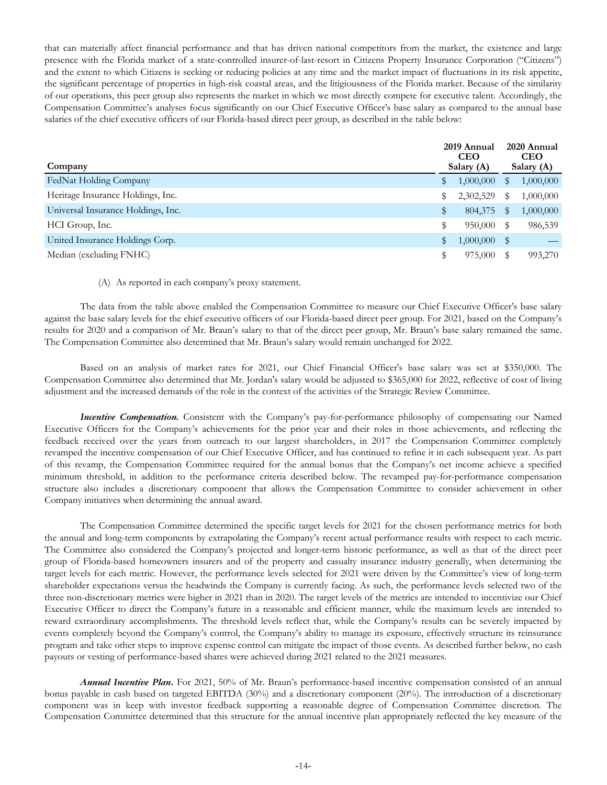that can materially affect financial performance and that has driven national competitors from the market, the existence and large presence with the Florida market of a state-controlled insurer-of-last-resort in Citizens Property Insurance Corporation ("Citizens") and the extent to which Citizens is seeking or reducing policies at any time and the market impact of fluctuations in its risk appetite, the significant percentage of properties in high-risk coastal areas, and the litigiousness of the Florida market. Because of the similarity of our operations, this peer group also represents the market in which we most directly compete for executive talent. Accordingly, the Compensation Committee's analyses focus significantly on our Chief Executive Officer's base salary as compared to the annual base salaries of the chief executive officers of our Florida-based direct peer group, as described in the table below:

| Company                            | 2019 Annual<br><b>CEO</b><br>Salary (A) |           |               | 2020 Annual<br><b>CEO</b><br>Salary (A) |  |
|------------------------------------|-----------------------------------------|-----------|---------------|-----------------------------------------|--|
| FedNat Holding Company             | ₩                                       | 1,000,000 | \$            | 1,000,000                               |  |
| Heritage Insurance Holdings, Inc.  | S.                                      | 2,302,529 | S             | 1,000,000                               |  |
| Universal Insurance Holdings, Inc. | \$                                      | 804,375   | \$            | 1,000,000                               |  |
| HCI Group, Inc.                    | \$                                      | 950,000   |               | 986,539                                 |  |
| United Insurance Holdings Corp.    |                                         | 1,000,000 | $\mathbf{\$}$ |                                         |  |
| Median (excluding FNHC)            | \$                                      | 975,000   |               | 993,270                                 |  |

### (A) As reported in each company's proxy statement.

The data from the table above enabled the Compensation Committee to measure our Chief Executive Officer's base salary against the base salary levels for the chief executive officers of our Florida-based direct peer group. For 2021, based on the Company's results for 2020 and a comparison of Mr. Braun's salary to that of the direct peer group, Mr. Braun's base salary remained the same. The Compensation Committee also determined that Mr. Braun's salary would remain unchanged for 2022.

Based on an analysis of market rates for 2021, our Chief Financial Officer's base salary was set at \$350,000. The Compensation Committee also determined that Mr. Jordan's salary would be adjusted to \$365,000 for 2022, reflective of cost of living adjustment and the increased demands of the role in the context of the activities of the Strategic Review Committee.

*Incentive Compensation.* Consistent with the Company's pay-for-performance philosophy of compensating our Named Executive Officers for the Company's achievements for the prior year and their roles in those achievements, and reflecting the feedback received over the years from outreach to our largest shareholders, in 2017 the Compensation Committee completely revamped the incentive compensation of our Chief Executive Officer, and has continued to refine it in each subsequent year. As part of this revamp, the Compensation Committee required for the annual bonus that the Company's net income achieve a specified minimum threshold, in addition to the performance criteria described below. The revamped pay-for-performance compensation structure also includes a discretionary component that allows the Compensation Committee to consider achievement in other Company initiatives when determining the annual award.

The Compensation Committee determined the specific target levels for 2021 for the chosen performance metrics for both the annual and long-term components by extrapolating the Company's recent actual performance results with respect to each metric. The Committee also considered the Company's projected and longer-term historic performance, as well as that of the direct peer group of Florida-based homeowners insurers and of the property and casualty insurance industry generally, when determining the target levels for each metric. However, the performance levels selected for 2021 were driven by the Committee's view of long-term shareholder expectations versus the headwinds the Company is currently facing. As such, the performance levels selected two of the three non-discretionary metrics were higher in 2021 than in 2020. The target levels of the metrics are intended to incentivize our Chief Executive Officer to direct the Company's future in a reasonable and efficient manner, while the maximum levels are intended to reward extraordinary accomplishments. The threshold levels reflect that, while the Company's results can be severely impacted by events completely beyond the Company's control, the Company's ability to manage its exposure, effectively structure its reinsurance program and take other steps to improve expense control can mitigate the impact of those events. As described further below, no cash payouts or vesting of performance-based shares were achieved during 2021 related to the 2021 measures.

*Annual Incentive Plan***.** For 2021, 50% of Mr. Braun's performance-based incentive compensation consisted of an annual bonus payable in cash based on targeted EBITDA (30%) and a discretionary component (20%). The introduction of a discretionary component was in keep with investor feedback supporting a reasonable degree of Compensation Committee discretion. The Compensation Committee determined that this structure for the annual incentive plan appropriately reflected the key measure of the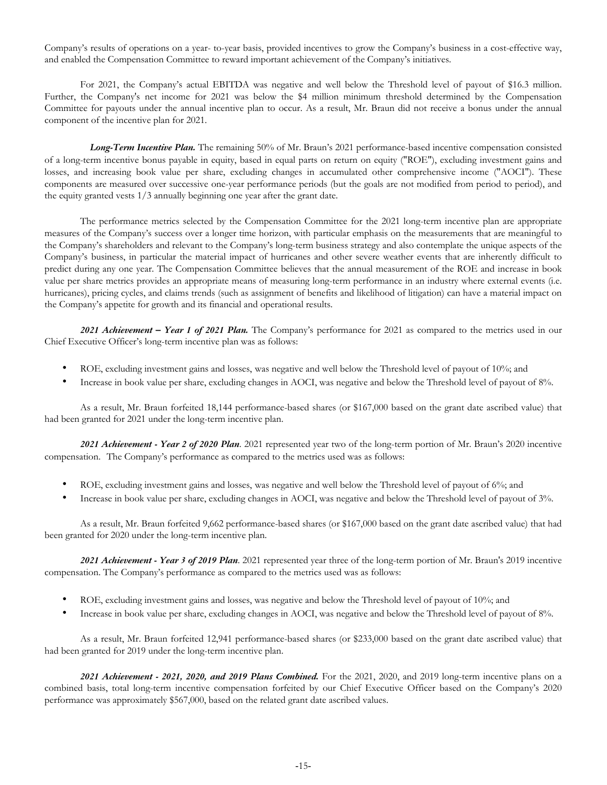Company's results of operations on a year- to-year basis, provided incentives to grow the Company's business in a cost-effective way, and enabled the Compensation Committee to reward important achievement of the Company's initiatives.

For 2021, the Company's actual EBITDA was negative and well below the Threshold level of payout of \$16.3 million. Further, the Company's net income for 2021 was below the \$4 million minimum threshold determined by the Compensation Committee for payouts under the annual incentive plan to occur. As a result, Mr. Braun did not receive a bonus under the annual component of the incentive plan for 2021.

 *Long-Term Incentive Plan.* The remaining 50% of Mr. Braun's 2021 performance-based incentive compensation consisted of a long-term incentive bonus payable in equity, based in equal parts on return on equity ("ROE"), excluding investment gains and losses, and increasing book value per share, excluding changes in accumulated other comprehensive income ("AOCI"). These components are measured over successive one-year performance periods (but the goals are not modified from period to period), and the equity granted vests 1/3 annually beginning one year after the grant date.

The performance metrics selected by the Compensation Committee for the 2021 long-term incentive plan are appropriate measures of the Company's success over a longer time horizon, with particular emphasis on the measurements that are meaningful to the Company's shareholders and relevant to the Company's long-term business strategy and also contemplate the unique aspects of the Company's business, in particular the material impact of hurricanes and other severe weather events that are inherently difficult to predict during any one year. The Compensation Committee believes that the annual measurement of the ROE and increase in book value per share metrics provides an appropriate means of measuring long-term performance in an industry where external events (i.e. hurricanes), pricing cycles, and claims trends (such as assignment of benefits and likelihood of litigation) can have a material impact on the Company's appetite for growth and its financial and operational results.

*2021 Achievement – Year 1 of 2021 Plan.* The Company's performance for 2021 as compared to the metrics used in our Chief Executive Officer's long-term incentive plan was as follows:

- ROE, excluding investment gains and losses, was negative and well below the Threshold level of payout of 10%; and
- Increase in book value per share, excluding changes in AOCI, was negative and below the Threshold level of payout of 8%.

As a result, Mr. Braun forfeited 18,144 performance-based shares (or \$167,000 based on the grant date ascribed value) that had been granted for 2021 under the long-term incentive plan.

*2021 Achievement - Year 2 of 2020 Plan*. 2021 represented year two of the long-term portion of Mr. Braun's 2020 incentive compensation. The Company's performance as compared to the metrics used was as follows:

- ROE, excluding investment gains and losses, was negative and well below the Threshold level of payout of 6%; and
- Increase in book value per share, excluding changes in AOCI, was negative and below the Threshold level of payout of 3%.

As a result, Mr. Braun forfeited 9,662 performance-based shares (or \$167,000 based on the grant date ascribed value) that had been granted for 2020 under the long-term incentive plan.

*2021 Achievement - Year 3 of 2019 Plan*. 2021 represented year three of the long-term portion of Mr. Braun's 2019 incentive compensation. The Company's performance as compared to the metrics used was as follows:

- ROE, excluding investment gains and losses, was negative and below the Threshold level of payout of 10%; and
- Increase in book value per share, excluding changes in AOCI, was negative and below the Threshold level of payout of 8%.

As a result, Mr. Braun forfeited 12,941 performance-based shares (or \$233,000 based on the grant date ascribed value) that had been granted for 2019 under the long-term incentive plan.

*2021 Achievement - 2021, 2020, and 2019 Plans Combined.* For the 2021, 2020, and 2019 long-term incentive plans on a combined basis, total long-term incentive compensation forfeited by our Chief Executive Officer based on the Company's 2020 performance was approximately \$567,000, based on the related grant date ascribed values.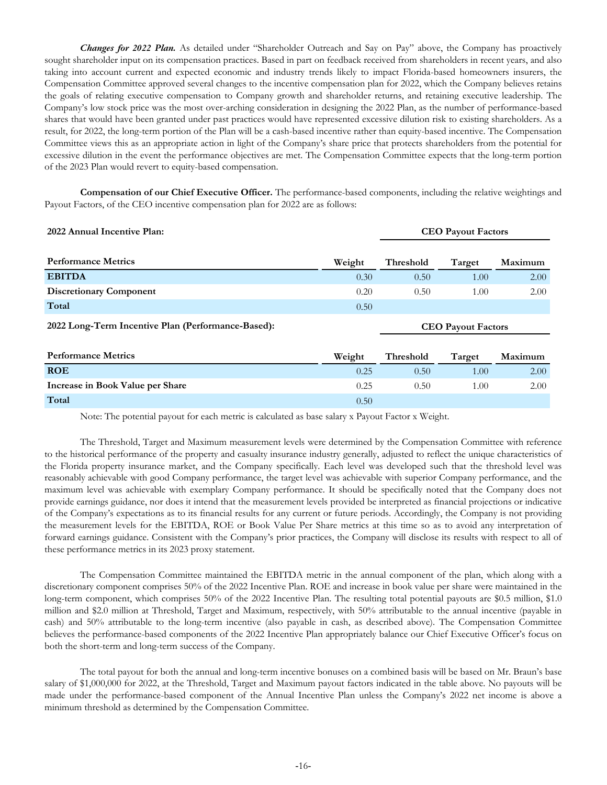*Changes for 2022 Plan.* As detailed under "Shareholder Outreach and Say on Pay" above, the Company has proactively sought shareholder input on its compensation practices. Based in part on feedback received from shareholders in recent years, and also taking into account current and expected economic and industry trends likely to impact Florida-based homeowners insurers, the Compensation Committee approved several changes to the incentive compensation plan for 2022, which the Company believes retains the goals of relating executive compensation to Company growth and shareholder returns, and retaining executive leadership. The Company's low stock price was the most over-arching consideration in designing the 2022 Plan, as the number of performance-based shares that would have been granted under past practices would have represented excessive dilution risk to existing shareholders. As a result, for 2022, the long-term portion of the Plan will be a cash-based incentive rather than equity-based incentive. The Compensation Committee views this as an appropriate action in light of the Company's share price that protects shareholders from the potential for excessive dilution in the event the performance objectives are met. The Compensation Committee expects that the long-term portion of the 2023 Plan would revert to equity-based compensation.

**Compensation of our Chief Executive Officer.** The performance-based components, including the relative weightings and Payout Factors, of the CEO incentive compensation plan for 2022 are as follows:

| 2022 Annual Incentive Plan:                        |        | <b>CEO Payout Factors</b> |        |         |
|----------------------------------------------------|--------|---------------------------|--------|---------|
|                                                    |        |                           |        |         |
| <b>Performance Metrics</b>                         | Weight | <b>Threshold</b>          | Target | Maximum |
| <b>EBITDA</b>                                      | 0.30   | 0.50                      | 1.00   | 2.00    |
| <b>Discretionary Component</b>                     | 0.20   | 0.50                      | 1.00   | 2.00    |
| Total                                              | 0.50   |                           |        |         |
| 2022 Long-Term Incentive Plan (Performance-Based): |        | <b>CEO Payout Factors</b> |        |         |
|                                                    |        |                           |        |         |

| <b>Performance Metrics</b>       | Weight | Threshold | Target   | Maximum |
|----------------------------------|--------|-----------|----------|---------|
| <b>ROE</b>                       | 0.25   | 0.50      | $.00 \,$ | 2.00    |
| Increase in Book Value per Share | 0.25   | 0.50      | .00      | 2.00    |
| Total                            | 0.50   |           |          |         |

Note: The potential payout for each metric is calculated as base salary x Payout Factor x Weight.

The Threshold, Target and Maximum measurement levels were determined by the Compensation Committee with reference to the historical performance of the property and casualty insurance industry generally, adjusted to reflect the unique characteristics of the Florida property insurance market, and the Company specifically. Each level was developed such that the threshold level was reasonably achievable with good Company performance, the target level was achievable with superior Company performance, and the maximum level was achievable with exemplary Company performance. It should be specifically noted that the Company does not provide earnings guidance, nor does it intend that the measurement levels provided be interpreted as financial projections or indicative of the Company's expectations as to its financial results for any current or future periods. Accordingly, the Company is not providing the measurement levels for the EBITDA, ROE or Book Value Per Share metrics at this time so as to avoid any interpretation of forward earnings guidance. Consistent with the Company's prior practices, the Company will disclose its results with respect to all of these performance metrics in its 2023 proxy statement.

The Compensation Committee maintained the EBITDA metric in the annual component of the plan, which along with a discretionary component comprises 50% of the 2022 Incentive Plan. ROE and increase in book value per share were maintained in the long-term component, which comprises 50% of the 2022 Incentive Plan. The resulting total potential payouts are \$0.5 million, \$1.0 million and \$2.0 million at Threshold, Target and Maximum, respectively, with 50% attributable to the annual incentive (payable in cash) and 50% attributable to the long-term incentive (also payable in cash, as described above). The Compensation Committee believes the performance-based components of the 2022 Incentive Plan appropriately balance our Chief Executive Officer's focus on both the short-term and long-term success of the Company.

The total payout for both the annual and long-term incentive bonuses on a combined basis will be based on Mr. Braun's base salary of \$1,000,000 for 2022, at the Threshold, Target and Maximum payout factors indicated in the table above. No payouts will be made under the performance-based component of the Annual Incentive Plan unless the Company's 2022 net income is above a minimum threshold as determined by the Compensation Committee.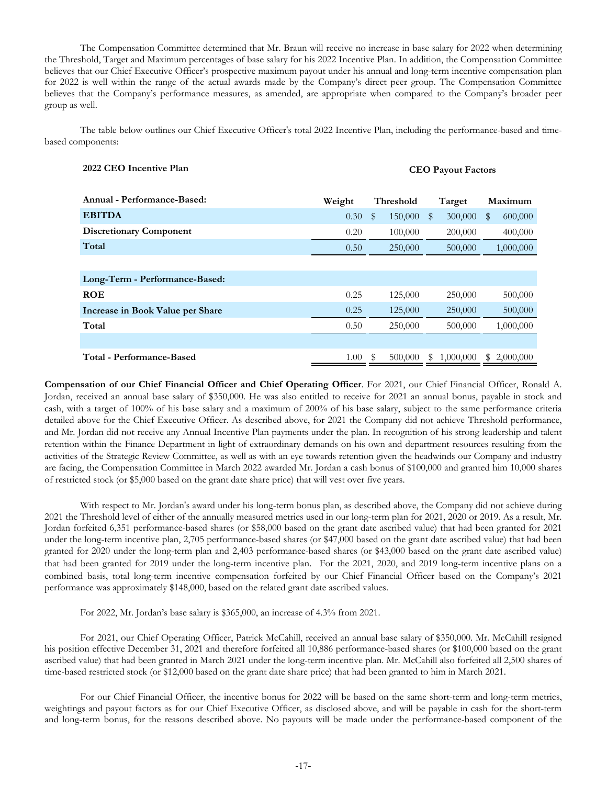The Compensation Committee determined that Mr. Braun will receive no increase in base salary for 2022 when determining the Threshold, Target and Maximum percentages of base salary for his 2022 Incentive Plan. In addition, the Compensation Committee believes that our Chief Executive Officer's prospective maximum payout under his annual and long-term incentive compensation plan for 2022 is well within the range of the actual awards made by the Company's direct peer group. The Compensation Committee believes that the Company's performance measures, as amended, are appropriate when compared to the Company's broader peer group as well.

The table below outlines our Chief Executive Officer's total 2022 Incentive Plan, including the performance-based and timebased components:

| 2022 CEO Incentive Plan | <b>CEO Payout Factors</b> |
|-------------------------|---------------------------|
|                         |                           |

| Annual - Performance-Based:      | Weight | Threshold       | Target         | Maximum         |  |
|----------------------------------|--------|-----------------|----------------|-----------------|--|
| <b>EBITDA</b>                    | 0.30   | 150,000<br>S    | 300,000<br>\$  | 600,000<br>\$   |  |
| <b>Discretionary Component</b>   | 0.20   | 100,000         | 200,000        | 400,000         |  |
| Total                            | 0.50   | 250,000         | 500,000        | 1,000,000       |  |
|                                  |        |                 |                |                 |  |
| Long-Term - Performance-Based:   |        |                 |                |                 |  |
| <b>ROE</b>                       | 0.25   | 125,000         | 250,000        | 500,000         |  |
| Increase in Book Value per Share | 0.25   | 125,000         | 250,000        | 500,000         |  |
| Total                            | 0.50   | 250,000         | 500,000        | 1,000,000       |  |
|                                  |        |                 |                |                 |  |
| Total - Performance-Based        | 1.00   | - \$<br>500,000 | 1,000,000<br>S | 2,000,000<br>S. |  |

**Compensation of our Chief Financial Officer and Chief Operating Officer**. For 2021, our Chief Financial Officer, Ronald A. Jordan, received an annual base salary of \$350,000. He was also entitled to receive for 2021 an annual bonus, payable in stock and cash, with a target of 100% of his base salary and a maximum of 200% of his base salary, subject to the same performance criteria detailed above for the Chief Executive Officer. As described above, for 2021 the Company did not achieve Threshold performance, and Mr. Jordan did not receive any Annual Incentive Plan payments under the plan. In recognition of his strong leadership and talent retention within the Finance Department in light of extraordinary demands on his own and department resources resulting from the activities of the Strategic Review Committee, as well as with an eye towards retention given the headwinds our Company and industry are facing, the Compensation Committee in March 2022 awarded Mr. Jordan a cash bonus of \$100,000 and granted him 10,000 shares of restricted stock (or \$5,000 based on the grant date share price) that will vest over five years.

With respect to Mr. Jordan's award under his long-term bonus plan, as described above, the Company did not achieve during 2021 the Threshold level of either of the annually measured metrics used in our long-term plan for 2021, 2020 or 2019. As a result, Mr. Jordan forfeited 6,351 performance-based shares (or \$58,000 based on the grant date ascribed value) that had been granted for 2021 under the long-term incentive plan, 2,705 performance-based shares (or \$47,000 based on the grant date ascribed value) that had been granted for 2020 under the long-term plan and 2,403 performance-based shares (or \$43,000 based on the grant date ascribed value) that had been granted for 2019 under the long-term incentive plan. For the 2021, 2020, and 2019 long-term incentive plans on a combined basis, total long-term incentive compensation forfeited by our Chief Financial Officer based on the Company's 2021 performance was approximately \$148,000, based on the related grant date ascribed values.

For 2022, Mr. Jordan's base salary is \$365,000, an increase of 4.3% from 2021.

For 2021, our Chief Operating Officer, Patrick McCahill, received an annual base salary of \$350,000. Mr. McCahill resigned his position effective December 31, 2021 and therefore forfeited all 10,886 performance-based shares (or \$100,000 based on the grant ascribed value) that had been granted in March 2021 under the long-term incentive plan. Mr. McCahill also forfeited all 2,500 shares of time-based restricted stock (or \$12,000 based on the grant date share price) that had been granted to him in March 2021.

For our Chief Financial Officer, the incentive bonus for 2022 will be based on the same short-term and long-term metrics, weightings and payout factors as for our Chief Executive Officer, as disclosed above, and will be payable in cash for the short-term and long-term bonus, for the reasons described above. No payouts will be made under the performance-based component of the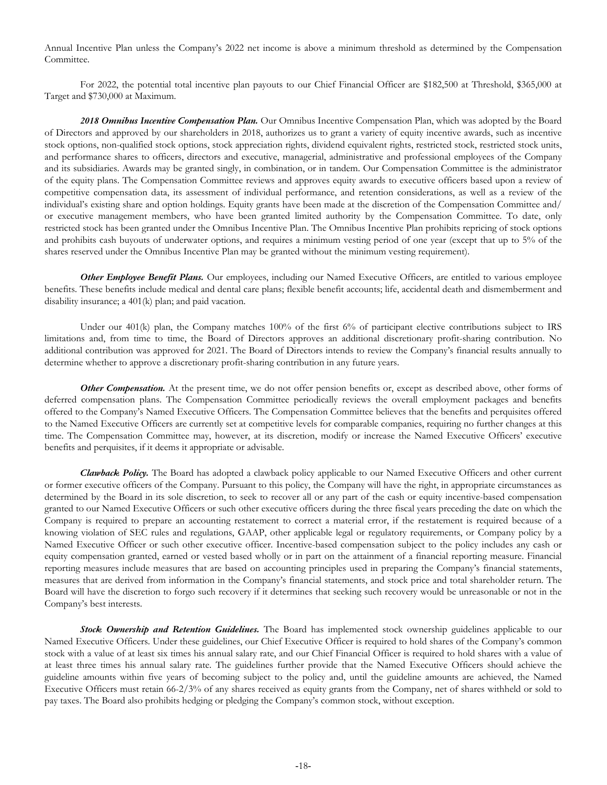Annual Incentive Plan unless the Company's 2022 net income is above a minimum threshold as determined by the Compensation Committee.

For 2022, the potential total incentive plan payouts to our Chief Financial Officer are \$182,500 at Threshold, \$365,000 at Target and \$730,000 at Maximum.

*2018 Omnibus Incentive Compensation Plan.* Our Omnibus Incentive Compensation Plan, which was adopted by the Board of Directors and approved by our shareholders in 2018, authorizes us to grant a variety of equity incentive awards, such as incentive stock options, non-qualified stock options, stock appreciation rights, dividend equivalent rights, restricted stock, restricted stock units, and performance shares to officers, directors and executive, managerial, administrative and professional employees of the Company and its subsidiaries. Awards may be granted singly, in combination, or in tandem. Our Compensation Committee is the administrator of the equity plans. The Compensation Committee reviews and approves equity awards to executive officers based upon a review of competitive compensation data, its assessment of individual performance, and retention considerations, as well as a review of the individual's existing share and option holdings. Equity grants have been made at the discretion of the Compensation Committee and/ or executive management members, who have been granted limited authority by the Compensation Committee. To date, only restricted stock has been granted under the Omnibus Incentive Plan. The Omnibus Incentive Plan prohibits repricing of stock options and prohibits cash buyouts of underwater options, and requires a minimum vesting period of one year (except that up to 5% of the shares reserved under the Omnibus Incentive Plan may be granted without the minimum vesting requirement).

*Other Employee Benefit Plans.* Our employees, including our Named Executive Officers, are entitled to various employee benefits. These benefits include medical and dental care plans; flexible benefit accounts; life, accidental death and dismemberment and disability insurance; a 401(k) plan; and paid vacation.

Under our 401(k) plan, the Company matches 100% of the first 6% of participant elective contributions subject to IRS limitations and, from time to time, the Board of Directors approves an additional discretionary profit-sharing contribution. No additional contribution was approved for 2021. The Board of Directors intends to review the Company's financial results annually to determine whether to approve a discretionary profit-sharing contribution in any future years.

**Other Compensation.** At the present time, we do not offer pension benefits or, except as described above, other forms of deferred compensation plans. The Compensation Committee periodically reviews the overall employment packages and benefits offered to the Company's Named Executive Officers. The Compensation Committee believes that the benefits and perquisites offered to the Named Executive Officers are currently set at competitive levels for comparable companies, requiring no further changes at this time. The Compensation Committee may, however, at its discretion, modify or increase the Named Executive Officers' executive benefits and perquisites, if it deems it appropriate or advisable.

*Clawback Policy.* The Board has adopted a clawback policy applicable to our Named Executive Officers and other current or former executive officers of the Company. Pursuant to this policy, the Company will have the right, in appropriate circumstances as determined by the Board in its sole discretion, to seek to recover all or any part of the cash or equity incentive-based compensation granted to our Named Executive Officers or such other executive officers during the three fiscal years preceding the date on which the Company is required to prepare an accounting restatement to correct a material error, if the restatement is required because of a knowing violation of SEC rules and regulations, GAAP, other applicable legal or regulatory requirements, or Company policy by a Named Executive Officer or such other executive officer. Incentive-based compensation subject to the policy includes any cash or equity compensation granted, earned or vested based wholly or in part on the attainment of a financial reporting measure. Financial reporting measures include measures that are based on accounting principles used in preparing the Company's financial statements, measures that are derived from information in the Company's financial statements, and stock price and total shareholder return. The Board will have the discretion to forgo such recovery if it determines that seeking such recovery would be unreasonable or not in the Company's best interests.

*Stock Ownership and Retention Guidelines.* The Board has implemented stock ownership guidelines applicable to our Named Executive Officers. Under these guidelines, our Chief Executive Officer is required to hold shares of the Company's common stock with a value of at least six times his annual salary rate, and our Chief Financial Officer is required to hold shares with a value of at least three times his annual salary rate. The guidelines further provide that the Named Executive Officers should achieve the guideline amounts within five years of becoming subject to the policy and, until the guideline amounts are achieved, the Named Executive Officers must retain 66-2/3% of any shares received as equity grants from the Company, net of shares withheld or sold to pay taxes. The Board also prohibits hedging or pledging the Company's common stock, without exception.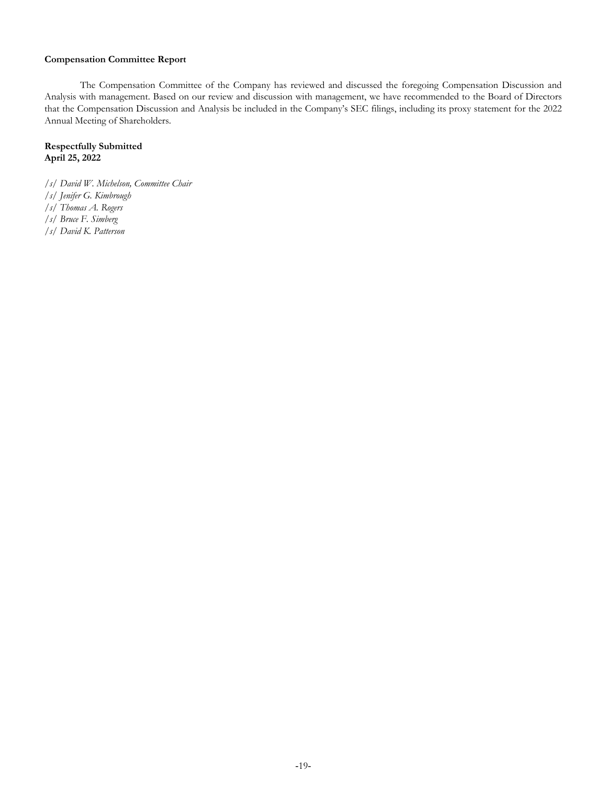# **Compensation Committee Report**

The Compensation Committee of the Company has reviewed and discussed the foregoing Compensation Discussion and Analysis with management. Based on our review and discussion with management, we have recommended to the Board of Directors that the Compensation Discussion and Analysis be included in the Company's SEC filings, including its proxy statement for the 2022 Annual Meeting of Shareholders.

# **Respectfully Submitted April 25, 2022**

- */s/ David W. Michelson, Committee Chair*
- */s/ Jenifer G. Kimbrough*
- */s/ Thomas A. Rogers*
- */s/ Bruce F. Simberg*
- */s/ David K. Patterson*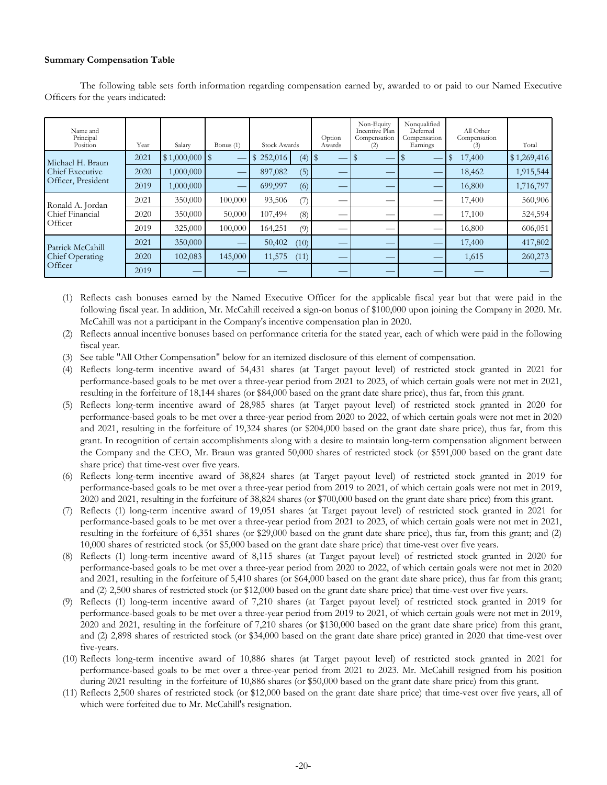# **Summary Compensation Table**

The following table sets forth information regarding compensation earned by, awarded to or paid to our Named Executive Officers for the years indicated:

| Name and<br>Principal<br>Position                     | Year | Salary              | Bonus $(1)$ | <b>Stock Awards</b> | Option<br>Awards | Non-Equity<br>Incentive Plan<br>Compensation<br>(2) | Nonqualified<br>Deferred<br>Compensation<br>Earnings | All Other<br>Compensation<br>(3) | Total       |
|-------------------------------------------------------|------|---------------------|-------------|---------------------|------------------|-----------------------------------------------------|------------------------------------------------------|----------------------------------|-------------|
| Michael H. Braun                                      | 2021 | $$1,000,000$ \ \ \$ |             | (4)<br>252,016      |                  |                                                     |                                                      | 17,400                           | \$1,269,416 |
| Chief Executive                                       | 2020 | 1,000,000           |             | (5)<br>897,082      | —                |                                                     |                                                      | 18,462                           | 1,915,544   |
| Officer, President                                    | 2019 | 1,000,000           |             | (6)<br>699,997      |                  |                                                     |                                                      | 16,800                           | 1,716,797   |
| Ronald A. Jordan                                      | 2021 | 350,000             | 100,000     | 93,506<br>7)        | __               |                                                     |                                                      | 17,400                           | 560,906     |
| Chief Financial                                       | 2020 | 350,000             | 50,000      | 107,494<br>(8)      | ___              |                                                     | __                                                   | 17,100                           | 524,594     |
| Officer                                               | 2019 | 325,000             | 100,000     | 164,251<br>(9)      |                  |                                                     |                                                      | 16,800                           | 606,051     |
| Patrick McCahill<br><b>Chief Operating</b><br>Officer | 2021 | 350,000             |             | 50,402<br>(10)      | __               |                                                     |                                                      | 17,400                           | 417,802     |
|                                                       | 2020 | 102,083             | 145,000     | 11,575<br>(11)      | __               |                                                     |                                                      | 1,615                            | 260,273     |
|                                                       | 2019 |                     |             |                     | __               |                                                     |                                                      |                                  |             |

(1) Reflects cash bonuses earned by the Named Executive Officer for the applicable fiscal year but that were paid in the following fiscal year. In addition, Mr. McCahill received a sign-on bonus of \$100,000 upon joining the Company in 2020. Mr. McCahill was not a participant in the Company's incentive compensation plan in 2020.

(2) Reflects annual incentive bonuses based on performance criteria for the stated year, each of which were paid in the following fiscal year.

(3) See table "All Other Compensation" below for an itemized disclosure of this element of compensation.

(4) Reflects long-term incentive award of 54,431 shares (at Target payout level) of restricted stock granted in 2021 for performance-based goals to be met over a three-year period from 2021 to 2023, of which certain goals were not met in 2021, resulting in the forfeiture of 18,144 shares (or \$84,000 based on the grant date share price), thus far, from this grant.

- (5) Reflects long-term incentive award of 28,985 shares (at Target payout level) of restricted stock granted in 2020 for performance-based goals to be met over a three-year period from 2020 to 2022, of which certain goals were not met in 2020 and 2021, resulting in the forfeiture of 19,324 shares (or \$204,000 based on the grant date share price), thus far, from this grant. In recognition of certain accomplishments along with a desire to maintain long-term compensation alignment between the Company and the CEO, Mr. Braun was granted 50,000 shares of restricted stock (or \$591,000 based on the grant date share price) that time-vest over five years.
- (6) Reflects long-term incentive award of 38,824 shares (at Target payout level) of restricted stock granted in 2019 for performance-based goals to be met over a three-year period from 2019 to 2021, of which certain goals were not met in 2019, 2020 and 2021, resulting in the forfeiture of 38,824 shares (or \$700,000 based on the grant date share price) from this grant.
- (7) Reflects (1) long-term incentive award of 19,051 shares (at Target payout level) of restricted stock granted in 2021 for performance-based goals to be met over a three-year period from 2021 to 2023, of which certain goals were not met in 2021, resulting in the forfeiture of 6,351 shares (or \$29,000 based on the grant date share price), thus far, from this grant; and (2) 10,000 shares of restricted stock (or \$5,000 based on the grant date share price) that time-vest over five years.
- (8) Reflects (1) long-term incentive award of 8,115 shares (at Target payout level) of restricted stock granted in 2020 for performance-based goals to be met over a three-year period from 2020 to 2022, of which certain goals were not met in 2020 and 2021, resulting in the forfeiture of 5,410 shares (or \$64,000 based on the grant date share price), thus far from this grant; and (2) 2,500 shares of restricted stock (or \$12,000 based on the grant date share price) that time-vest over five years.
- (9) Reflects (1) long-term incentive award of 7,210 shares (at Target payout level) of restricted stock granted in 2019 for performance-based goals to be met over a three-year period from 2019 to 2021, of which certain goals were not met in 2019, 2020 and 2021, resulting in the forfeiture of 7,210 shares (or \$130,000 based on the grant date share price) from this grant, and (2) 2,898 shares of restricted stock (or \$34,000 based on the grant date share price) granted in 2020 that time-vest over five-years.
- (10) Reflects long-term incentive award of 10,886 shares (at Target payout level) of restricted stock granted in 2021 for performance-based goals to be met over a three-year period from 2021 to 2023. Mr. McCahill resigned from his position during 2021 resulting in the forfeiture of 10,886 shares (or \$50,000 based on the grant date share price) from this grant.
- (11) Reflects 2,500 shares of restricted stock (or \$12,000 based on the grant date share price) that time-vest over five years, all of which were forfeited due to Mr. McCahill's resignation.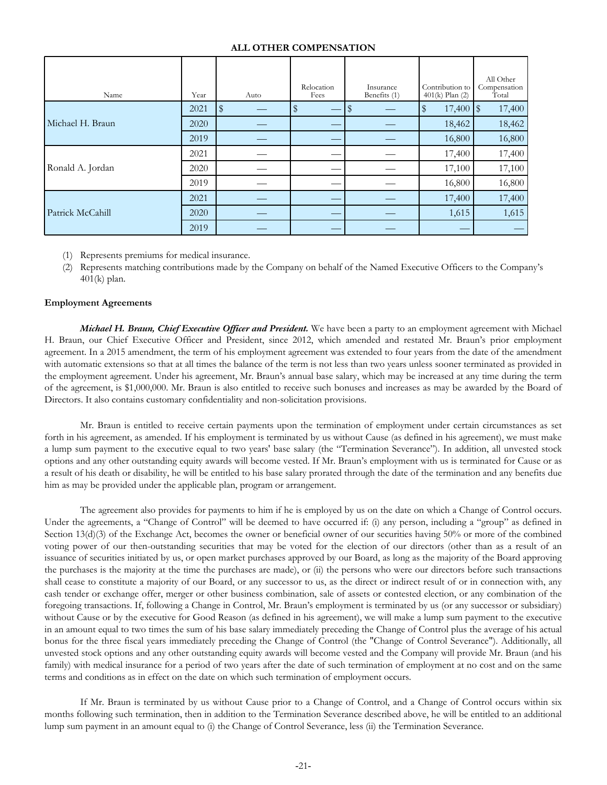# **ALL OTHER COMPENSATION**

| Name             | Year | Auto | Relocation<br>Fees | Insurance<br>Benefits (1) | Contribution to<br>$401(k)$ Plan $(2)$ | All Other<br>Compensation<br>Total |
|------------------|------|------|--------------------|---------------------------|----------------------------------------|------------------------------------|
|                  | 2021 | \$   | $\mathbb S$        |                           | $\frac{4}{3}$                          | 17,400                             |
| Michael H. Braun | 2020 |      |                    |                           | 18,462                                 | 18,462                             |
|                  | 2019 |      |                    |                           | 16,800                                 | 16,800                             |
|                  | 2021 |      |                    |                           | 17,400                                 | 17,400                             |
| Ronald A. Jordan | 2020 |      |                    |                           | 17,100                                 | 17,100                             |
|                  | 2019 |      |                    |                           | 16,800                                 | 16,800                             |
|                  | 2021 |      |                    |                           | 17,400                                 | 17,400                             |
| Patrick McCahill | 2020 |      |                    |                           | 1,615                                  | 1,615                              |
|                  | 2019 |      |                    |                           |                                        |                                    |

- (1) Represents premiums for medical insurance.
- (2) Represents matching contributions made by the Company on behalf of the Named Executive Officers to the Company's 401(k) plan.

# **Employment Agreements**

*Michael H. Braun, Chief Executive Officer and President.* We have been a party to an employment agreement with Michael H. Braun, our Chief Executive Officer and President, since 2012, which amended and restated Mr. Braun's prior employment agreement. In a 2015 amendment, the term of his employment agreement was extended to four years from the date of the amendment with automatic extensions so that at all times the balance of the term is not less than two years unless sooner terminated as provided in the employment agreement. Under his agreement, Mr. Braun's annual base salary, which may be increased at any time during the term of the agreement, is \$1,000,000. Mr. Braun is also entitled to receive such bonuses and increases as may be awarded by the Board of Directors. It also contains customary confidentiality and non-solicitation provisions.

Mr. Braun is entitled to receive certain payments upon the termination of employment under certain circumstances as set forth in his agreement, as amended. If his employment is terminated by us without Cause (as defined in his agreement), we must make a lump sum payment to the executive equal to two years' base salary (the "Termination Severance"). In addition, all unvested stock options and any other outstanding equity awards will become vested. If Mr. Braun's employment with us is terminated for Cause or as a result of his death or disability, he will be entitled to his base salary prorated through the date of the termination and any benefits due him as may be provided under the applicable plan, program or arrangement.

The agreement also provides for payments to him if he is employed by us on the date on which a Change of Control occurs. Under the agreements, a "Change of Control" will be deemed to have occurred if: (i) any person, including a "group" as defined in Section 13(d)(3) of the Exchange Act, becomes the owner or beneficial owner of our securities having 50% or more of the combined voting power of our then-outstanding securities that may be voted for the election of our directors (other than as a result of an issuance of securities initiated by us, or open market purchases approved by our Board, as long as the majority of the Board approving the purchases is the majority at the time the purchases are made), or (ii) the persons who were our directors before such transactions shall cease to constitute a majority of our Board, or any successor to us, as the direct or indirect result of or in connection with, any cash tender or exchange offer, merger or other business combination, sale of assets or contested election, or any combination of the foregoing transactions. If, following a Change in Control, Mr. Braun's employment is terminated by us (or any successor or subsidiary) without Cause or by the executive for Good Reason (as defined in his agreement), we will make a lump sum payment to the executive in an amount equal to two times the sum of his base salary immediately preceding the Change of Control plus the average of his actual bonus for the three fiscal years immediately preceding the Change of Control (the "Change of Control Severance"). Additionally, all unvested stock options and any other outstanding equity awards will become vested and the Company will provide Mr. Braun (and his family) with medical insurance for a period of two years after the date of such termination of employment at no cost and on the same terms and conditions as in effect on the date on which such termination of employment occurs.

If Mr. Braun is terminated by us without Cause prior to a Change of Control, and a Change of Control occurs within six months following such termination, then in addition to the Termination Severance described above, he will be entitled to an additional lump sum payment in an amount equal to (i) the Change of Control Severance, less (ii) the Termination Severance.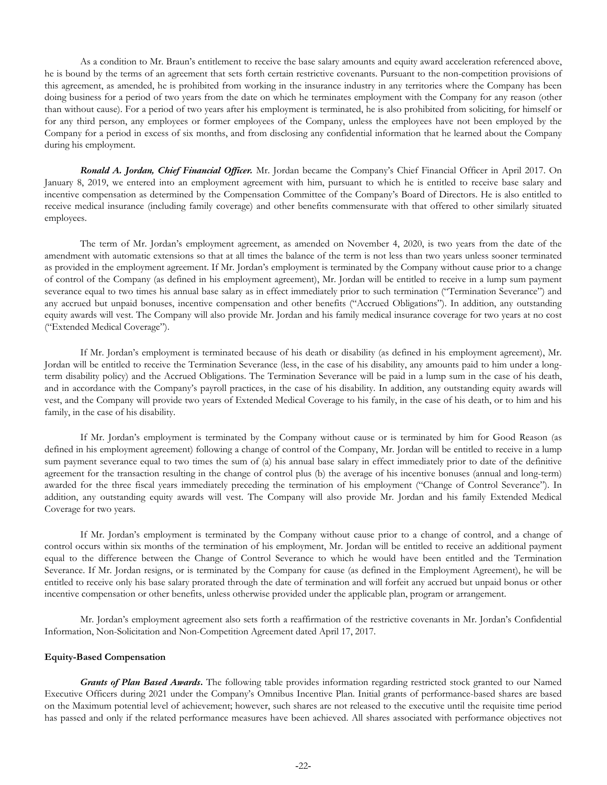As a condition to Mr. Braun's entitlement to receive the base salary amounts and equity award acceleration referenced above, he is bound by the terms of an agreement that sets forth certain restrictive covenants. Pursuant to the non-competition provisions of this agreement, as amended, he is prohibited from working in the insurance industry in any territories where the Company has been doing business for a period of two years from the date on which he terminates employment with the Company for any reason (other than without cause). For a period of two years after his employment is terminated, he is also prohibited from soliciting, for himself or for any third person, any employees or former employees of the Company, unless the employees have not been employed by the Company for a period in excess of six months, and from disclosing any confidential information that he learned about the Company during his employment.

*Ronald A. Jordan, Chief Financial Officer.* Mr. Jordan became the Company's Chief Financial Officer in April 2017. On January 8, 2019, we entered into an employment agreement with him, pursuant to which he is entitled to receive base salary and incentive compensation as determined by the Compensation Committee of the Company's Board of Directors. He is also entitled to receive medical insurance (including family coverage) and other benefits commensurate with that offered to other similarly situated employees.

The term of Mr. Jordan's employment agreement, as amended on November 4, 2020, is two years from the date of the amendment with automatic extensions so that at all times the balance of the term is not less than two years unless sooner terminated as provided in the employment agreement. If Mr. Jordan's employment is terminated by the Company without cause prior to a change of control of the Company (as defined in his employment agreement), Mr. Jordan will be entitled to receive in a lump sum payment severance equal to two times his annual base salary as in effect immediately prior to such termination ("Termination Severance") and any accrued but unpaid bonuses, incentive compensation and other benefits ("Accrued Obligations"). In addition, any outstanding equity awards will vest. The Company will also provide Mr. Jordan and his family medical insurance coverage for two years at no cost ("Extended Medical Coverage").

If Mr. Jordan's employment is terminated because of his death or disability (as defined in his employment agreement), Mr. Jordan will be entitled to receive the Termination Severance (less, in the case of his disability, any amounts paid to him under a longterm disability policy) and the Accrued Obligations. The Termination Severance will be paid in a lump sum in the case of his death, and in accordance with the Company's payroll practices, in the case of his disability. In addition, any outstanding equity awards will vest, and the Company will provide two years of Extended Medical Coverage to his family, in the case of his death, or to him and his family, in the case of his disability.

If Mr. Jordan's employment is terminated by the Company without cause or is terminated by him for Good Reason (as defined in his employment agreement) following a change of control of the Company, Mr. Jordan will be entitled to receive in a lump sum payment severance equal to two times the sum of (a) his annual base salary in effect immediately prior to date of the definitive agreement for the transaction resulting in the change of control plus (b) the average of his incentive bonuses (annual and long-term) awarded for the three fiscal years immediately preceding the termination of his employment ("Change of Control Severance"). In addition, any outstanding equity awards will vest. The Company will also provide Mr. Jordan and his family Extended Medical Coverage for two years.

If Mr. Jordan's employment is terminated by the Company without cause prior to a change of control, and a change of control occurs within six months of the termination of his employment, Mr. Jordan will be entitled to receive an additional payment equal to the difference between the Change of Control Severance to which he would have been entitled and the Termination Severance. If Mr. Jordan resigns, or is terminated by the Company for cause (as defined in the Employment Agreement), he will be entitled to receive only his base salary prorated through the date of termination and will forfeit any accrued but unpaid bonus or other incentive compensation or other benefits, unless otherwise provided under the applicable plan, program or arrangement.

Mr. Jordan's employment agreement also sets forth a reaffirmation of the restrictive covenants in Mr. Jordan's Confidential Information, Non-Solicitation and Non-Competition Agreement dated April 17, 2017.

#### **Equity-Based Compensation**

*Grants of Plan Based Awards***.** The following table provides information regarding restricted stock granted to our Named Executive Officers during 2021 under the Company's Omnibus Incentive Plan. Initial grants of performance-based shares are based on the Maximum potential level of achievement; however, such shares are not released to the executive until the requisite time period has passed and only if the related performance measures have been achieved. All shares associated with performance objectives not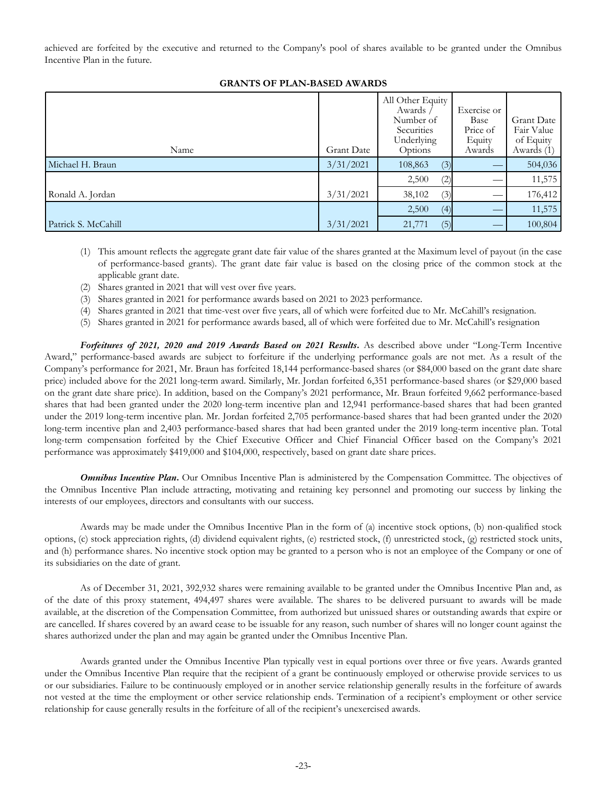achieved are forfeited by the executive and returned to the Company's pool of shares available to be granted under the Omnibus Incentive Plan in the future.

| Name                | <b>Grant Date</b> | All Other Equity<br>Awards /<br>Number of<br>Securities<br>Underlying<br>Options | Exercise or<br>Base<br>Price of<br>Equity<br>Awards | <b>Grant Date</b><br>Fair Value<br>of Equity<br>Awards (1) |
|---------------------|-------------------|----------------------------------------------------------------------------------|-----------------------------------------------------|------------------------------------------------------------|
| Michael H. Braun    | 3/31/2021         | (3)<br>108,863                                                                   |                                                     | 504,036                                                    |
|                     |                   | 2,500<br>(2)                                                                     |                                                     | 11,575                                                     |
| Ronald A. Jordan    | 3/31/2021         | 38,102<br>(3)                                                                    |                                                     | 176,412                                                    |
|                     |                   | 2,500<br>(4)                                                                     |                                                     | 11,575                                                     |
| Patrick S. McCahill | 3/31/2021         | (5)<br>21,771                                                                    |                                                     | 100,804                                                    |

# **GRANTS OF PLAN-BASED AWARDS**

- (1) This amount reflects the aggregate grant date fair value of the shares granted at the Maximum level of payout (in the case of performance-based grants). The grant date fair value is based on the closing price of the common stock at the applicable grant date.
- (2) Shares granted in 2021 that will vest over five years.
- (3) Shares granted in 2021 for performance awards based on 2021 to 2023 performance.
- (4) Shares granted in 2021 that time-vest over five years, all of which were forfeited due to Mr. McCahill's resignation.
- (5) Shares granted in 2021 for performance awards based, all of which were forfeited due to Mr. McCahill's resignation

*Forfeitures of 2021, 2020 and 2019 Awards Based on 2021 Results***.** As described above under "Long-Term Incentive Award," performance-based awards are subject to forfeiture if the underlying performance goals are not met. As a result of the Company's performance for 2021, Mr. Braun has forfeited 18,144 performance-based shares (or \$84,000 based on the grant date share price) included above for the 2021 long-term award. Similarly, Mr. Jordan forfeited 6,351 performance-based shares (or \$29,000 based on the grant date share price). In addition, based on the Company's 2021 performance, Mr. Braun forfeited 9,662 performance-based shares that had been granted under the 2020 long-term incentive plan and 12,941 performance-based shares that had been granted under the 2019 long-term incentive plan. Mr. Jordan forfeited 2,705 performance-based shares that had been granted under the 2020 long-term incentive plan and 2,403 performance-based shares that had been granted under the 2019 long-term incentive plan. Total long-term compensation forfeited by the Chief Executive Officer and Chief Financial Officer based on the Company's 2021 performance was approximately \$419,000 and \$104,000, respectively, based on grant date share prices.

**Omnibus Incentive Plan.** Our Omnibus Incentive Plan is administered by the Compensation Committee. The objectives of the Omnibus Incentive Plan include attracting, motivating and retaining key personnel and promoting our success by linking the interests of our employees, directors and consultants with our success.

Awards may be made under the Omnibus Incentive Plan in the form of (a) incentive stock options, (b) non-qualified stock options, (c) stock appreciation rights, (d) dividend equivalent rights, (e) restricted stock, (f) unrestricted stock, (g) restricted stock units, and (h) performance shares. No incentive stock option may be granted to a person who is not an employee of the Company or one of its subsidiaries on the date of grant.

As of December 31, 2021, 392,932 shares were remaining available to be granted under the Omnibus Incentive Plan and, as of the date of this proxy statement, 494,497 shares were available. The shares to be delivered pursuant to awards will be made available, at the discretion of the Compensation Committee, from authorized but unissued shares or outstanding awards that expire or are cancelled. If shares covered by an award cease to be issuable for any reason, such number of shares will no longer count against the shares authorized under the plan and may again be granted under the Omnibus Incentive Plan.

Awards granted under the Omnibus Incentive Plan typically vest in equal portions over three or five years. Awards granted under the Omnibus Incentive Plan require that the recipient of a grant be continuously employed or otherwise provide services to us or our subsidiaries. Failure to be continuously employed or in another service relationship generally results in the forfeiture of awards not vested at the time the employment or other service relationship ends. Termination of a recipient's employment or other service relationship for cause generally results in the forfeiture of all of the recipient's unexercised awards.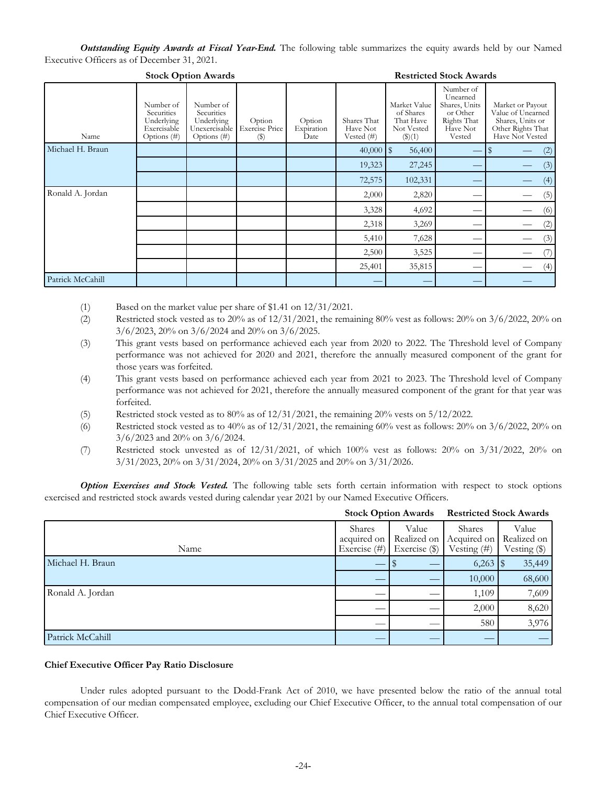*Outstanding Equity Awards at Fiscal Year-End.* The following table summarizes the equity awards held by our Named Executive Officers as of December 31, 2021.

| <b>SLUCK OPHOH AWAIUS</b><br>Resultued block Awards |                                                                     |                                                                       |                                                                 |                              |                                          |                                                                       |                                                                                         |                                                                                                   |
|-----------------------------------------------------|---------------------------------------------------------------------|-----------------------------------------------------------------------|-----------------------------------------------------------------|------------------------------|------------------------------------------|-----------------------------------------------------------------------|-----------------------------------------------------------------------------------------|---------------------------------------------------------------------------------------------------|
| Name                                                | Number of<br>Securities<br>Underlying<br>Exercisable<br>Options (#) | Number of<br>Securities<br>Underlying<br>Unexercisable<br>Options (#) | Option<br><b>Exercise Price</b><br>$\left( \frac{6}{2} \right)$ | Option<br>Expiration<br>Date | Shares That<br>Have Not<br>Vested $(\#)$ | Market Value<br>of Shares<br>That Have<br>Not Vested<br>$($ \$ $)(1)$ | Number of<br>Unearned<br>Shares, Units<br>or Other<br>Rights That<br>Have Not<br>Vested | Market or Payout<br>Value of Unearned<br>Shares, Units or<br>Other Rights That<br>Have Not Vested |
| Michael H. Braun                                    |                                                                     |                                                                       |                                                                 |                              | $40,000$   \$                            | 56,400                                                                |                                                                                         | (2)                                                                                               |
|                                                     |                                                                     |                                                                       |                                                                 |                              | 19,323                                   | 27,245                                                                |                                                                                         | (3)                                                                                               |
|                                                     |                                                                     |                                                                       |                                                                 |                              | 72,575                                   | 102,331                                                               |                                                                                         | (4)                                                                                               |
| Ronald A. Jordan                                    |                                                                     |                                                                       |                                                                 |                              | 2,000                                    | 2,820                                                                 |                                                                                         | (5)                                                                                               |
|                                                     |                                                                     |                                                                       |                                                                 |                              | 3,328                                    | 4,692                                                                 |                                                                                         | (6)                                                                                               |
|                                                     |                                                                     |                                                                       |                                                                 |                              | 2,318                                    | 3,269                                                                 |                                                                                         | (2)                                                                                               |
|                                                     |                                                                     |                                                                       |                                                                 |                              | 5,410                                    | 7,628                                                                 |                                                                                         | (3)                                                                                               |
|                                                     |                                                                     |                                                                       |                                                                 |                              | 2,500                                    | 3,525                                                                 |                                                                                         |                                                                                                   |
|                                                     |                                                                     |                                                                       |                                                                 |                              | 25,401                                   | 35,815                                                                |                                                                                         | (4)                                                                                               |
| Patrick McCahill                                    |                                                                     |                                                                       |                                                                 |                              |                                          |                                                                       |                                                                                         |                                                                                                   |

**Stock Option Awards Restricted Stock Awards**

(1) Based on the market value per share of \$1.41 on 12/31/2021.

- (2) Restricted stock vested as to  $20\%$  as of  $12/31/2021$ , the remaining  $80\%$  vest as follows:  $20\%$  on  $3/6/2022$ ,  $20\%$  on 3/6/2023, 20% on 3/6/2024 and 20% on 3/6/2025.
- (3) This grant vests based on performance achieved each year from 2020 to 2022. The Threshold level of Company performance was not achieved for 2020 and 2021, therefore the annually measured component of the grant for those years was forfeited.
- (4) This grant vests based on performance achieved each year from 2021 to 2023. The Threshold level of Company performance was not achieved for 2021, therefore the annually measured component of the grant for that year was forfeited.
- (5) Restricted stock vested as to  $80\%$  as of  $12/31/2021$ , the remaining  $20\%$  vests on  $5/12/2022$ .
- (6) Restricted stock vested as to  $40\%$  as of  $12/31/2021$ , the remaining  $60\%$  vest as follows:  $20\%$  on  $3/6/2022$ ,  $20\%$  on 3/6/2023 and 20% on 3/6/2024.
- (7) Restricted stock unvested as of  $12/31/2021$ , of which  $100\%$  vest as follows:  $20\%$  on  $3/31/2022$ ,  $20\%$  on 3/31/2023, 20% on 3/31/2024, 20% on 3/31/2025 and 20% on 3/31/2026.

*Option Exercises and Stock Vested.* The following table sets forth certain information with respect to stock options exercised and restricted stock awards vested during calendar year 2021 by our Named Executive Officers.

|                  | <b>Stock Option Awards</b>               |                                         | <b>Restricted Stock Awards</b>             |                                        |
|------------------|------------------------------------------|-----------------------------------------|--------------------------------------------|----------------------------------------|
| Name             | Shares<br>acquired on<br>Exercise $(\#)$ | Value<br>Realized on<br>Exercise $(\$)$ | Shares<br>Acquired on<br>Vesting $($ # $)$ | Value<br>Realized on<br>Vesting $(\$)$ |
| Michael H. Braun |                                          |                                         | 6,263                                      | 35,449                                 |
|                  |                                          |                                         | 10,000                                     | 68,600                                 |
| Ronald A. Jordan |                                          |                                         | 1,109                                      | 7,609                                  |
|                  |                                          |                                         | 2,000                                      | 8,620                                  |
|                  |                                          |                                         | 580                                        | 3,976                                  |
| Patrick McCahill |                                          |                                         |                                            |                                        |

# **Chief Executive Officer Pay Ratio Disclosure**

Under rules adopted pursuant to the Dodd-Frank Act of 2010, we have presented below the ratio of the annual total compensation of our median compensated employee, excluding our Chief Executive Officer, to the annual total compensation of our Chief Executive Officer.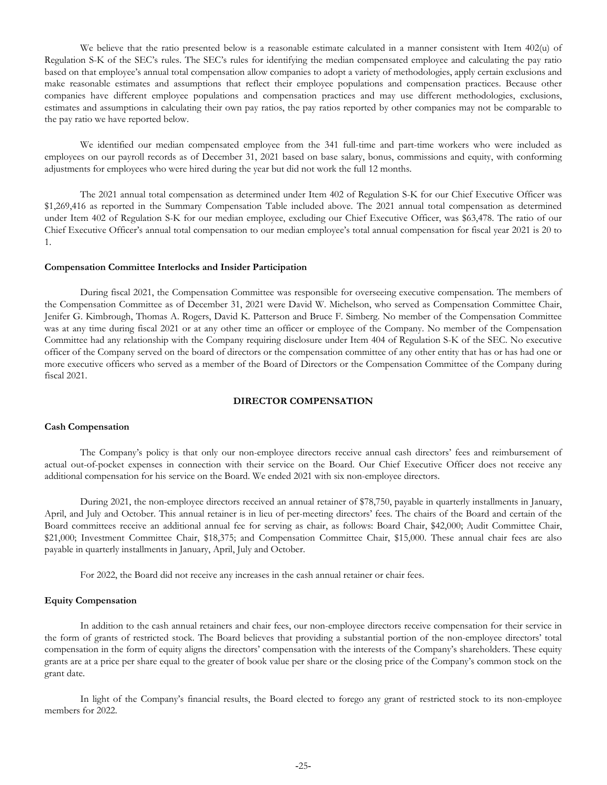We believe that the ratio presented below is a reasonable estimate calculated in a manner consistent with Item 402(u) of Regulation S-K of the SEC's rules. The SEC's rules for identifying the median compensated employee and calculating the pay ratio based on that employee's annual total compensation allow companies to adopt a variety of methodologies, apply certain exclusions and make reasonable estimates and assumptions that reflect their employee populations and compensation practices. Because other companies have different employee populations and compensation practices and may use different methodologies, exclusions, estimates and assumptions in calculating their own pay ratios, the pay ratios reported by other companies may not be comparable to the pay ratio we have reported below.

We identified our median compensated employee from the 341 full-time and part-time workers who were included as employees on our payroll records as of December 31, 2021 based on base salary, bonus, commissions and equity, with conforming adjustments for employees who were hired during the year but did not work the full 12 months.

The 2021 annual total compensation as determined under Item 402 of Regulation S-K for our Chief Executive Officer was \$1,269,416 as reported in the Summary Compensation Table included above. The 2021 annual total compensation as determined under Item 402 of Regulation S-K for our median employee, excluding our Chief Executive Officer, was \$63,478. The ratio of our Chief Executive Officer's annual total compensation to our median employee's total annual compensation for fiscal year 2021 is 20 to 1.

#### **Compensation Committee Interlocks and Insider Participation**

During fiscal 2021, the Compensation Committee was responsible for overseeing executive compensation. The members of the Compensation Committee as of December 31, 2021 were David W. Michelson, who served as Compensation Committee Chair, Jenifer G. Kimbrough, Thomas A. Rogers, David K. Patterson and Bruce F. Simberg. No member of the Compensation Committee was at any time during fiscal 2021 or at any other time an officer or employee of the Company. No member of the Compensation Committee had any relationship with the Company requiring disclosure under Item 404 of Regulation S-K of the SEC. No executive officer of the Company served on the board of directors or the compensation committee of any other entity that has or has had one or more executive officers who served as a member of the Board of Directors or the Compensation Committee of the Company during fiscal 2021.

# **DIRECTOR COMPENSATION**

# **Cash Compensation**

The Company's policy is that only our non-employee directors receive annual cash directors' fees and reimbursement of actual out-of-pocket expenses in connection with their service on the Board. Our Chief Executive Officer does not receive any additional compensation for his service on the Board. We ended 2021 with six non-employee directors.

During 2021, the non-employee directors received an annual retainer of \$78,750, payable in quarterly installments in January, April, and July and October. This annual retainer is in lieu of per-meeting directors' fees. The chairs of the Board and certain of the Board committees receive an additional annual fee for serving as chair, as follows: Board Chair, \$42,000; Audit Committee Chair, \$21,000; Investment Committee Chair, \$18,375; and Compensation Committee Chair, \$15,000. These annual chair fees are also payable in quarterly installments in January, April, July and October.

For 2022, the Board did not receive any increases in the cash annual retainer or chair fees.

### **Equity Compensation**

In addition to the cash annual retainers and chair fees, our non-employee directors receive compensation for their service in the form of grants of restricted stock. The Board believes that providing a substantial portion of the non-employee directors' total compensation in the form of equity aligns the directors' compensation with the interests of the Company's shareholders. These equity grants are at a price per share equal to the greater of book value per share or the closing price of the Company's common stock on the grant date.

In light of the Company's financial results, the Board elected to forego any grant of restricted stock to its non-employee members for 2022.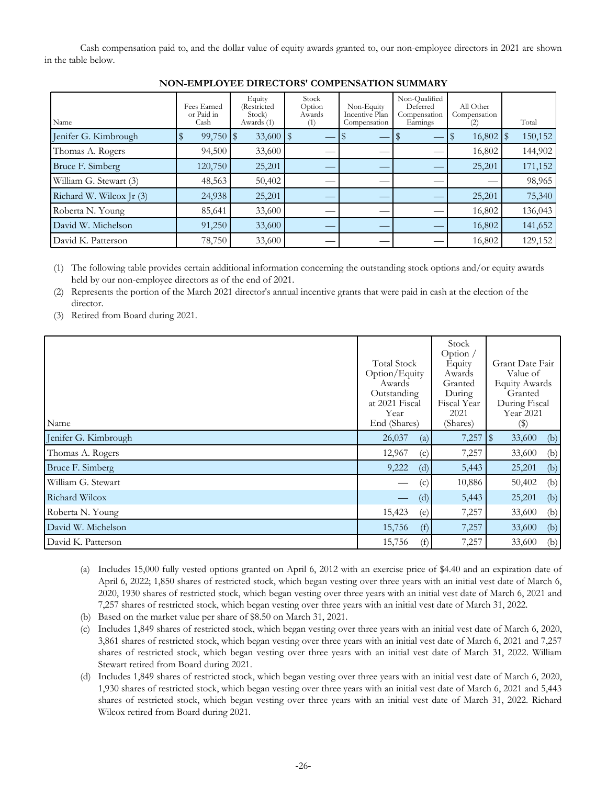Cash compensation paid to, and the dollar value of equity awards granted to, our non-employee directors in 2021 are shown in the table below.

| Name                     | Fees Earned<br>or Paid in<br>Cash | Equity<br>(Restricted)<br>Stock)<br>Awards (1) | Stock<br>Option<br>Awards<br>(1) | Non-Equity<br>Incentive Plan<br>Compensation | Non-Qualified<br>Deferred<br>Compensation<br>Earnings | All Other<br>Compensation<br>(2) | Total   |
|--------------------------|-----------------------------------|------------------------------------------------|----------------------------------|----------------------------------------------|-------------------------------------------------------|----------------------------------|---------|
| Jenifer G. Kimbrough     | 99,750                            | $\overline{15}$                                |                                  |                                              |                                                       | $16,802$   \$                    | 150,152 |
| Thomas A. Rogers         | 94,500                            | 33,600                                         |                                  |                                              |                                                       | 16,802                           | 144,902 |
| Bruce F. Simberg         | 120,750                           | 25,201                                         |                                  |                                              |                                                       | 25,201                           | 171,152 |
| William G. Stewart (3)   | 48,563                            | 50,402                                         |                                  |                                              |                                                       |                                  | 98,965  |
| Richard W. Wilcox Jr (3) | 24,938                            | 25,201                                         |                                  |                                              |                                                       | 25,201                           | 75,340  |
| Roberta N. Young         | 85,641                            | 33,600                                         |                                  |                                              |                                                       | 16,802                           | 136,043 |
| David W. Michelson       | 91,250                            | 33,600                                         |                                  |                                              |                                                       | 16,802                           | 141,652 |
| David K. Patterson       | 78,750                            | 33,600                                         |                                  |                                              |                                                       | 16,802                           | 129,152 |

# **NON-EMPLOYEE DIRECTORS' COMPENSATION SUMMARY**

(1) The following table provides certain additional information concerning the outstanding stock options and/or equity awards held by our non-employee directors as of the end of 2021.

(2) Represents the portion of the March 2021 director's annual incentive grants that were paid in cash at the election of the director.

(3) Retired from Board during 2021.

| Name                 | <b>Total Stock</b><br>Option/Equity<br>Awards<br>Outstanding<br>at 2021 Fiscal<br>Year<br>End (Shares) | Stock<br>Option $/$<br>Equity<br>Awards<br>Granted<br>During<br>Fiscal Year<br>2021<br>(Shares) | Grant Date Fair<br>Value of<br><b>Equity Awards</b><br>Granted<br>During Fiscal<br>Year 2021<br>$\left( \mathbb{S}\right)$ |
|----------------------|--------------------------------------------------------------------------------------------------------|-------------------------------------------------------------------------------------------------|----------------------------------------------------------------------------------------------------------------------------|
| Jenifer G. Kimbrough | 26,037<br>(a)                                                                                          | 7,257                                                                                           | $\sqrt{3}$<br>33,600<br>(b)                                                                                                |
| Thomas A. Rogers     | 12,967<br>(c)                                                                                          | 7,257                                                                                           | (b)<br>33,600                                                                                                              |
| Bruce F. Simberg     | 9,222<br>(d)                                                                                           | 5,443                                                                                           | 25,201<br>(b)                                                                                                              |
| William G. Stewart   | (c)                                                                                                    | 10,886                                                                                          | 50,402<br>(b)                                                                                                              |
| Richard Wilcox       | (d)                                                                                                    | 5,443                                                                                           | 25,201<br>(b)                                                                                                              |
| Roberta N. Young     | 15,423<br>(e)                                                                                          | 7,257                                                                                           | 33,600<br>(b)                                                                                                              |
| David W. Michelson   | 15,756<br>(f)                                                                                          | 7,257                                                                                           | (b)<br>33,600                                                                                                              |
| David K. Patterson   | 15,756<br>(f)                                                                                          | 7,257                                                                                           | 33,600<br>(b)                                                                                                              |

- (a) Includes 15,000 fully vested options granted on April 6, 2012 with an exercise price of \$4.40 and an expiration date of April 6, 2022; 1,850 shares of restricted stock, which began vesting over three years with an initial vest date of March 6, 2020, 1930 shares of restricted stock, which began vesting over three years with an initial vest date of March 6, 2021 and 7,257 shares of restricted stock, which began vesting over three years with an initial vest date of March 31, 2022.
- (b) Based on the market value per share of \$8.50 on March 31, 2021.
- (c) Includes 1,849 shares of restricted stock, which began vesting over three years with an initial vest date of March 6, 2020, 3,861 shares of restricted stock, which began vesting over three years with an initial vest date of March 6, 2021 and 7,257 shares of restricted stock, which began vesting over three years with an initial vest date of March 31, 2022. William Stewart retired from Board during 2021.
- (d) Includes 1,849 shares of restricted stock, which began vesting over three years with an initial vest date of March 6, 2020, 1,930 shares of restricted stock, which began vesting over three years with an initial vest date of March 6, 2021 and 5,443 shares of restricted stock, which began vesting over three years with an initial vest date of March 31, 2022. Richard Wilcox retired from Board during 2021.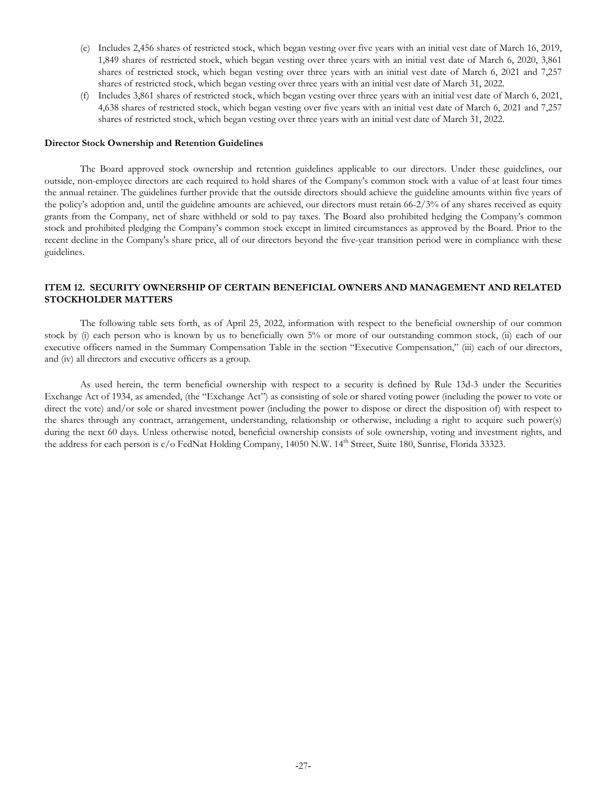- <span id="page-29-0"></span>(e) Includes 2,456 shares of restricted stock, which began vesting over five years with an initial vest date of March 16, 2019, 1,849 shares of restricted stock, which began vesting over three years with an initial vest date of March 6, 2020, 3,861 shares of restricted stock, which began vesting over three years with an initial vest date of March 6, 2021 and 7,257 shares of restricted stock, which began vesting over three years with an initial vest date of March 31, 2022.
- (f) Includes 3,861 shares of restricted stock, which began vesting over three years with an initial vest date of March 6, 2021, 4,638 shares of restricted stock, which began vesting over five years with an initial vest date of March 6, 2021 and 7,257 shares of restricted stock, which began vesting over three years with an initial vest date of March 31, 2022.

#### **Director Stock Ownership and Retention Guidelines**

The Board approved stock ownership and retention guidelines applicable to our directors. Under these guidelines, our outside, non-employee directors are each required to hold shares of the Company's common stock with a value of at least four times the annual retainer. The guidelines further provide that the outside directors should achieve the guideline amounts within five years of the policy's adoption and, until the guideline amounts are achieved, our directors must retain 66-2/3% of any shares received as equity grants from the Company, net of share withheld or sold to pay taxes. The Board also prohibited hedging the Company's common stock and prohibited pledging the Company's common stock except in limited circumstances as approved by the Board. Prior to the recent decline in the Company's share price, all of our directors beyond the five-year transition period were in compliance with these guidelines.

# **ITEM 12. SECURITY OWNERSHIP OF CERTAIN BENEFICIAL OWNERS AND MANAGEMENT AND RELATED STOCKHOLDER MATTERS**

The following table sets forth, as of April 25, 2022, information with respect to the beneficial ownership of our common stock by (i) each person who is known by us to beneficially own 5% or more of our outstanding common stock, (ii) each of our executive officers named in the Summary Compensation Table in the section "Executive Compensation," (iii) each of our directors, and (iv) all directors and executive officers as a group.

As used herein, the term beneficial ownership with respect to a security is defined by Rule 13d-3 under the Securities Exchange Act of 1934, as amended, (the "Exchange Act") as consisting of sole or shared voting power (including the power to vote or direct the vote) and/or sole or shared investment power (including the power to dispose or direct the disposition of) with respect to the shares through any contract, arrangement, understanding, relationship or otherwise, including a right to acquire such power(s) during the next 60 days. Unless otherwise noted, beneficial ownership consists of sole ownership, voting and investment rights, and the address for each person is c/o FedNat Holding Company, 14050 N.W. 14<sup>th</sup> Street, Suite 180, Sunrise, Florida 33323.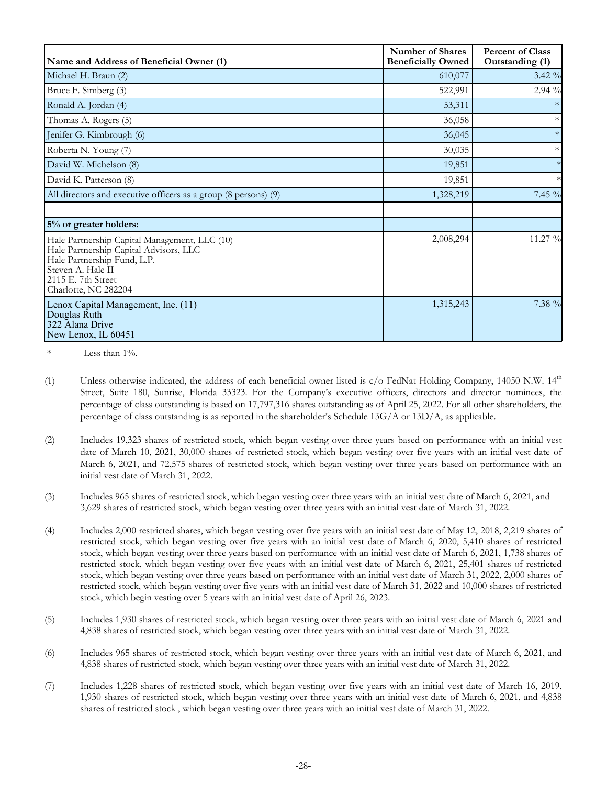| Name and Address of Beneficial Owner (1)                                                                                                                                                  | <b>Number of Shares</b><br><b>Beneficially Owned</b> | <b>Percent of Class</b><br>Outstanding (1) |
|-------------------------------------------------------------------------------------------------------------------------------------------------------------------------------------------|------------------------------------------------------|--------------------------------------------|
| Michael H. Braun (2)                                                                                                                                                                      | 610,077                                              | $3.42\%$                                   |
| Bruce F. Simberg (3)                                                                                                                                                                      | 522,991                                              | $2.94\%$                                   |
| Ronald A. Jordan (4)                                                                                                                                                                      | 53,311                                               |                                            |
| Thomas A. Rogers (5)                                                                                                                                                                      | 36,058                                               | $\ast$                                     |
| Jenifer G. Kimbrough (6)                                                                                                                                                                  | 36,045                                               | $\ast$                                     |
| Roberta N. Young (7)                                                                                                                                                                      | 30,035                                               | $\ast$                                     |
| David W. Michelson (8)                                                                                                                                                                    | 19,851                                               | $\ast$                                     |
| David K. Patterson (8)                                                                                                                                                                    | 19,851                                               |                                            |
| All directors and executive officers as a group (8 persons) (9)                                                                                                                           | 1,328,219                                            | 7.45 %                                     |
|                                                                                                                                                                                           |                                                      |                                            |
| 5% or greater holders:                                                                                                                                                                    |                                                      |                                            |
| Hale Partnership Capital Management, LLC (10)<br>Hale Partnership Capital Advisors, LLC<br>Hale Partnership Fund, L.P.<br>Steven A. Hale II<br>2115 E. 7th Street<br>Charlotte, NC 282204 | 2,008,294                                            | 11.27 %                                    |
| Lenox Capital Management, Inc. (11)<br>Douglas Ruth<br>322 Alana Drive<br>New Lenox, IL 60451                                                                                             | 1,315,243                                            | 7.38 %                                     |

 $*$  Less than  $1\%$ .

- (1) Unless otherwise indicated, the address of each beneficial owner listed is  $c/o$  FedNat Holding Company, 14050 N.W. 14<sup>th</sup> Street, Suite 180, Sunrise, Florida 33323. For the Company's executive officers, directors and director nominees, the percentage of class outstanding is based on 17,797,316 shares outstanding as of April 25, 2022. For all other shareholders, the percentage of class outstanding is as reported in the shareholder's Schedule 13G/A or 13D/A, as applicable.
- (2) Includes 19,323 shares of restricted stock, which began vesting over three years based on performance with an initial vest date of March 10, 2021, 30,000 shares of restricted stock, which began vesting over five years with an initial vest date of March 6, 2021, and 72,575 shares of restricted stock, which began vesting over three years based on performance with an initial vest date of March 31, 2022.
- (3) Includes 965 shares of restricted stock, which began vesting over three years with an initial vest date of March 6, 2021, and 3,629 shares of restricted stock, which began vesting over three years with an initial vest date of March 31, 2022.
- (4) Includes 2,000 restricted shares, which began vesting over five years with an initial vest date of May 12, 2018, 2,219 shares of restricted stock, which began vesting over five years with an initial vest date of March 6, 2020, 5,410 shares of restricted stock, which began vesting over three years based on performance with an initial vest date of March 6, 2021, 1,738 shares of restricted stock, which began vesting over five years with an initial vest date of March 6, 2021, 25,401 shares of restricted stock, which began vesting over three years based on performance with an initial vest date of March 31, 2022, 2,000 shares of restricted stock, which began vesting over five years with an initial vest date of March 31, 2022 and 10,000 shares of restricted stock, which begin vesting over 5 years with an initial vest date of April 26, 2023.
- (5) Includes 1,930 shares of restricted stock, which began vesting over three years with an initial vest date of March 6, 2021 and 4,838 shares of restricted stock, which began vesting over three years with an initial vest date of March 31, 2022.
- (6) Includes 965 shares of restricted stock, which began vesting over three years with an initial vest date of March 6, 2021, and 4,838 shares of restricted stock, which began vesting over three years with an initial vest date of March 31, 2022.
- (7) Includes 1,228 shares of restricted stock, which began vesting over five years with an initial vest date of March 16, 2019, 1,930 shares of restricted stock, which began vesting over three years with an initial vest date of March 6, 2021, and 4,838 shares of restricted stock , which began vesting over three years with an initial vest date of March 31, 2022.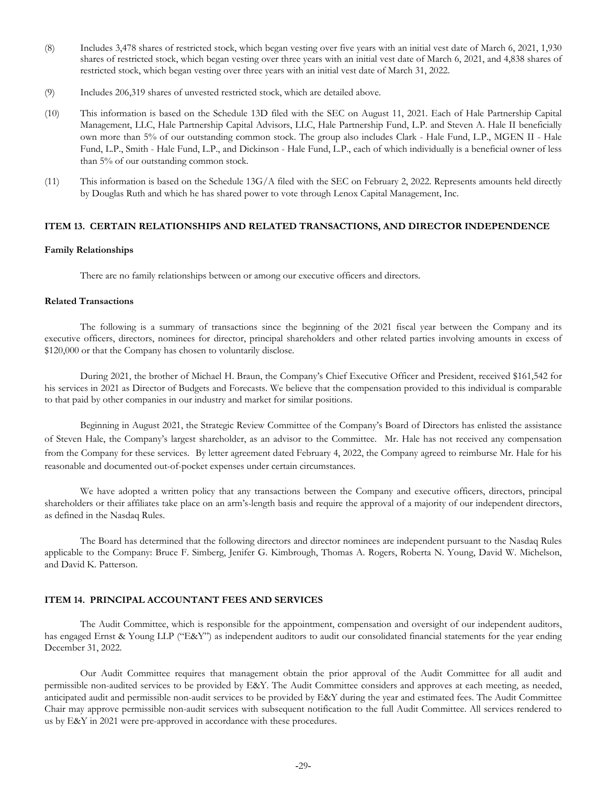- <span id="page-31-0"></span>(8) Includes 3,478 shares of restricted stock, which began vesting over five years with an initial vest date of March 6, 2021, 1,930 shares of restricted stock, which began vesting over three years with an initial vest date of March 6, 2021, and 4,838 shares of restricted stock, which began vesting over three years with an initial vest date of March 31, 2022.
- (9) Includes 206,319 shares of unvested restricted stock, which are detailed above.
- (10) This information is based on the Schedule 13D filed with the SEC on August 11, 2021. Each of Hale Partnership Capital Management, LLC, Hale Partnership Capital Advisors, LLC, Hale Partnership Fund, L.P. and Steven A. Hale II beneficially own more than 5% of our outstanding common stock. The group also includes Clark - Hale Fund, L.P., MGEN II - Hale Fund, L.P., Smith - Hale Fund, L.P., and Dickinson - Hale Fund, L.P., each of which individually is a beneficial owner of less than 5% of our outstanding common stock.
- (11) This information is based on the Schedule  $13G/A$  filed with the SEC on February 2, 2022. Represents amounts held directly by Douglas Ruth and which he has shared power to vote through Lenox Capital Management, Inc.

# **ITEM 13. CERTAIN RELATIONSHIPS AND RELATED TRANSACTIONS, AND DIRECTOR INDEPENDENCE**

# **Family Relationships**

There are no family relationships between or among our executive officers and directors.

# **Related Transactions**

The following is a summary of transactions since the beginning of the 2021 fiscal year between the Company and its executive officers, directors, nominees for director, principal shareholders and other related parties involving amounts in excess of \$120,000 or that the Company has chosen to voluntarily disclose.

During 2021, the brother of Michael H. Braun, the Company's Chief Executive Officer and President, received \$161,542 for his services in 2021 as Director of Budgets and Forecasts. We believe that the compensation provided to this individual is comparable to that paid by other companies in our industry and market for similar positions.

Beginning in August 2021, the Strategic Review Committee of the Company's Board of Directors has enlisted the assistance of Steven Hale, the Company's largest shareholder, as an advisor to the Committee. Mr. Hale has not received any compensation from the Company for these services. By letter agreement dated February 4, 2022, the Company agreed to reimburse Mr. Hale for his reasonable and documented out-of-pocket expenses under certain circumstances.

We have adopted a written policy that any transactions between the Company and executive officers, directors, principal shareholders or their affiliates take place on an arm's-length basis and require the approval of a majority of our independent directors, as defined in the Nasdaq Rules.

The Board has determined that the following directors and director nominees are independent pursuant to the Nasdaq Rules applicable to the Company: Bruce F. Simberg, Jenifer G. Kimbrough, Thomas A. Rogers, Roberta N. Young, David W. Michelson, and David K. Patterson.

# **ITEM 14. PRINCIPAL ACCOUNTANT FEES AND SERVICES**

The Audit Committee, which is responsible for the appointment, compensation and oversight of our independent auditors, has engaged Ernst & Young LLP ("E&Y") as independent auditors to audit our consolidated financial statements for the year ending December 31, 2022.

Our Audit Committee requires that management obtain the prior approval of the Audit Committee for all audit and permissible non-audited services to be provided by E&Y. The Audit Committee considers and approves at each meeting, as needed, anticipated audit and permissible non-audit services to be provided by E&Y during the year and estimated fees. The Audit Committee Chair may approve permissible non-audit services with subsequent notification to the full Audit Committee. All services rendered to us by E&Y in 2021 were pre-approved in accordance with these procedures.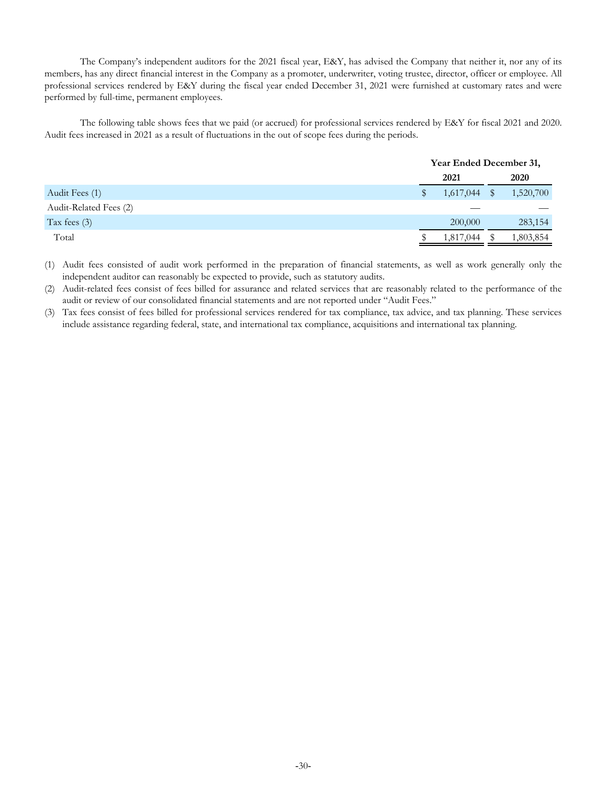The Company's independent auditors for the 2021 fiscal year, E&Y, has advised the Company that neither it, nor any of its members, has any direct financial interest in the Company as a promoter, underwriter, voting trustee, director, officer or employee. All professional services rendered by E&Y during the fiscal year ended December 31, 2021 were furnished at customary rates and were performed by full-time, permanent employees.

The following table shows fees that we paid (or accrued) for professional services rendered by E&Y for fiscal 2021 and 2020. Audit fees increased in 2021 as a result of fluctuations in the out of scope fees during the periods.

|                        | Year Ended December 31, |  |           |  |
|------------------------|-------------------------|--|-----------|--|
|                        | 2021                    |  | 2020      |  |
| Audit Fees (1)         | $1,617,044$ \$          |  | 1,520,700 |  |
| Audit-Related Fees (2) |                         |  |           |  |
| Tax fees $(3)$         | 200,000                 |  | 283,154   |  |
| Total                  | 1,817,044               |  | 1,803,854 |  |

(1) Audit fees consisted of audit work performed in the preparation of financial statements, as well as work generally only the independent auditor can reasonably be expected to provide, such as statutory audits.

(2) Audit-related fees consist of fees billed for assurance and related services that are reasonably related to the performance of the audit or review of our consolidated financial statements and are not reported under "Audit Fees."

(3) Tax fees consist of fees billed for professional services rendered for tax compliance, tax advice, and tax planning. These services include assistance regarding federal, state, and international tax compliance, acquisitions and international tax planning.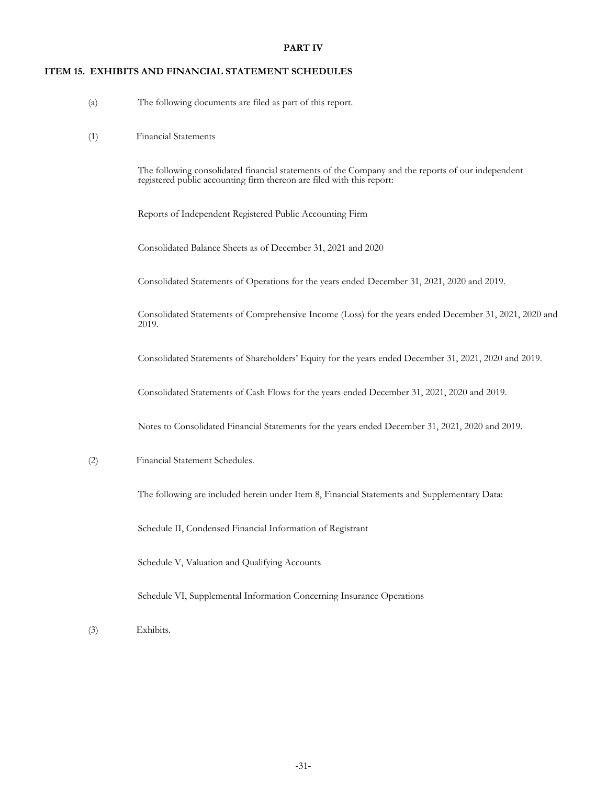# **PART IV**

# <span id="page-33-0"></span>**ITEM 15. EXHIBITS AND FINANCIAL STATEMENT SCHEDULES**

- (a) The following documents are filed as part of this report.
- (1) Financial Statements

The following consolidated financial statements of the Company and the reports of our independent registered public accounting firm thereon are filed with this report:

Reports of Independent Registered Public Accounting Firm

Consolidated Balance Sheets as of December 31, 2021 and 2020

Consolidated Statements of Operations for the years ended December 31, 2021, 2020 and 2019.

Consolidated Statements of Comprehensive Income (Loss) for the years ended December 31, 2021, 2020 and 2019.

Consolidated Statements of Shareholders' Equity for the years ended December 31, 2021, 2020 and 2019.

Consolidated Statements of Cash Flows for the years ended December 31, 2021, 2020 and 2019.

Notes to Consolidated Financial Statements for the years ended December 31, 2021, 2020 and 2019.

# (2) Financial Statement Schedules.

The following are included herein under Item 8, Financial Statements and Supplementary Data:

Schedule II, Condensed Financial Information of Registrant

Schedule V, Valuation and Qualifying Accounts

Schedule VI, Supplemental Information Concerning Insurance Operations

(3) Exhibits.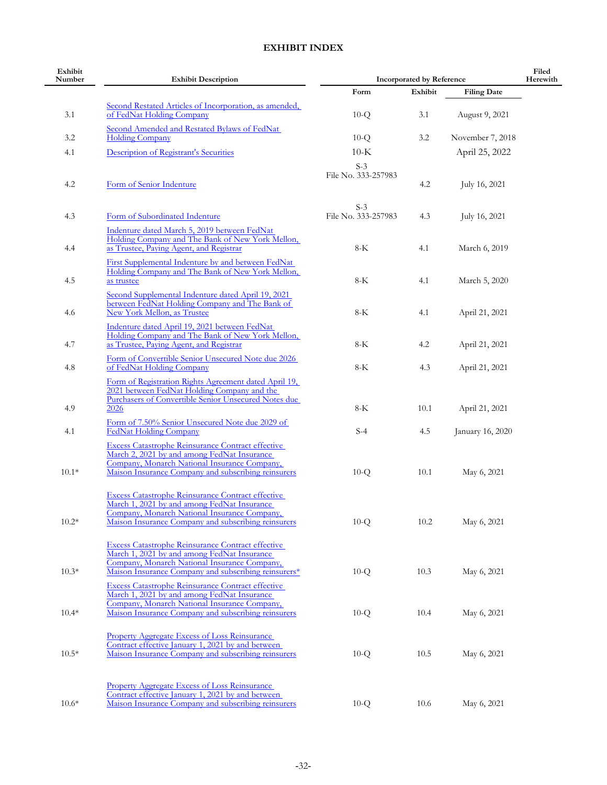# **EXHIBIT INDEX**

| Exhibit<br>Number | <b>Exhibit Description</b>                                                                                                                                                                                              | <b>Incorporated by Reference</b> | Filed<br>Herewith |                    |  |
|-------------------|-------------------------------------------------------------------------------------------------------------------------------------------------------------------------------------------------------------------------|----------------------------------|-------------------|--------------------|--|
|                   |                                                                                                                                                                                                                         | Form                             | Exhibit           | <b>Filing Date</b> |  |
| 3.1               | Second Restated Articles of Incorporation, as amended,<br>of FedNat Holding Company                                                                                                                                     | $10-Q$                           | 3.1               | August 9, 2021     |  |
| 3.2               | Second Amended and Restated Bylaws of FedNat<br><b>Holding Company</b>                                                                                                                                                  | $10-Q$                           | 3.2               | November 7, 2018   |  |
| 4.1               | Description of Registrant's Securities                                                                                                                                                                                  | $10-K$                           |                   | April 25, 2022     |  |
|                   |                                                                                                                                                                                                                         | $S-3$                            |                   |                    |  |
| 4.2               | Form of Senior Indenture                                                                                                                                                                                                | File No. 333-257983              | 4.2               | July 16, 2021      |  |
| 4.3               | Form of Subordinated Indenture                                                                                                                                                                                          | $S-3$<br>File No. 333-257983     | 4.3               | July 16, 2021      |  |
| 4.4               | Indenture dated March 5, 2019 between FedNat<br>Holding Company and The Bank of New York Mellon,<br>as Trustee, Paying Agent, and Registrar                                                                             | $8-K$                            | 4.1               | March 6, 2019      |  |
| 4.5               | First Supplemental Indenture by and between FedNat<br>Holding Company and The Bank of New York Mellon,<br>as trustee                                                                                                    | 8-K                              | 4.1               | March 5, 2020      |  |
| 4.6               | Second Supplemental Indenture dated April 19, 2021<br>between FedNat Holding Company and The Bank of<br>New York Mellon, as Trustee                                                                                     | $8-K$                            | 4.1               | April 21, 2021     |  |
| 4.7               | Indenture dated April 19, 2021 between FedNat<br>Holding Company and The Bank of New York Mellon,<br>as Trustee, Paying Agent, and Registrar                                                                            | 8-K                              | 4.2               | April 21, 2021     |  |
| 4.8               | Form of Convertible Senior Unsecured Note due 2026<br>of FedNat Holding Company                                                                                                                                         | $8-K$                            | 4.3               | April 21, 2021     |  |
| 4.9               | Form of Registration Rights Agreement dated April 19,<br>2021 between FedNat Holding Company and the<br>Purchasers of Convertible Senior Unsecured Notes due<br>2026<br>Form of 7.50% Senior Unsecured Note due 2029 of | $8-K$                            | 10.1              | April 21, 2021     |  |
| 4.1               | <b>FedNat Holding Company</b><br><b>Excess Catastrophe Reinsurance Contract effective</b><br>March 2, 2021 by and among FedNat Insurance                                                                                | $S-4$                            | 4.5               | January 16, 2020   |  |
| $10.1*$           | Company, Monarch National Insurance Company,<br>Maison Insurance Company and subscribing reinsurers                                                                                                                     | $10-Q$                           | 10.1              | May 6, 2021        |  |
| $10.2*$           | <b>Excess Catastrophe Reinsurance Contract effective</b><br>March 1, 2021 by and among FedNat Insurance<br>Company, Monarch National Insurance Company,<br>Maison Insurance Company and subscribing reinsurers          | $10-Q$                           | 10.2              | May 6, 2021        |  |
| $10.3*$           | <b>Excess Catastrophe Reinsurance Contract effective</b><br>March 1, 2021 by and among FedNat Insurance<br>Company, Monarch National Insurance Company,<br>Maison Insurance Company and subscribing reinsurers*         | $10-Q$                           | 10.3              | May 6, 2021        |  |
| $10.4*$           | <b>Excess Catastrophe Reinsurance Contract effective</b><br>March 1, 2021 by and among FedNat Insurance<br>Company, Monarch National Insurance Company,<br>Maison Insurance Company and subscribing reinsurers          | $10-Q$                           | 10.4              | May 6, 2021        |  |
| $10.5*$           | <b>Property Aggregate Excess of Loss Reinsurance</b><br>Contract effective January 1, 2021 by and between<br>Maison Insurance Company and subscribing reinsurers                                                        | $10-Q$                           | 10.5              | May 6, 2021        |  |
| $10.6*$           | <b>Property Aggregate Excess of Loss Reinsurance</b><br>Contract effective January 1, 2021 by and between<br>Maison Insurance Company and subscribing reinsurers                                                        | $10-Q$                           | 10.6              | May 6, 2021        |  |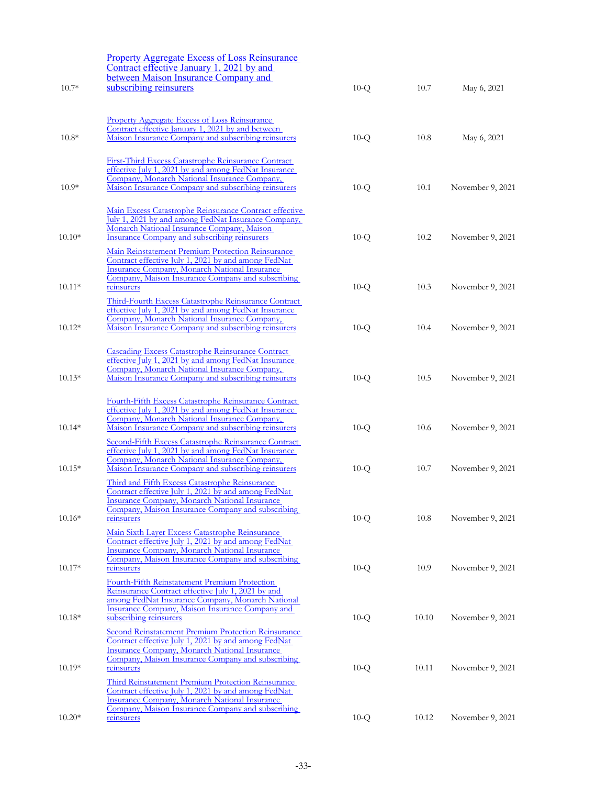|          | <b>Property Aggregate Excess of Loss Reinsurance</b><br>Contract effective January 1, 2021 by and<br>between Maison Insurance Company and                                                                                                                               |        |       |                  |
|----------|-------------------------------------------------------------------------------------------------------------------------------------------------------------------------------------------------------------------------------------------------------------------------|--------|-------|------------------|
| $10.7*$  | subscribing reinsurers                                                                                                                                                                                                                                                  | $10-Q$ | 10.7  | May 6, 2021      |
| $10.8*$  | Property Aggregate Excess of Loss Reinsurance<br>Contract effective January 1, 2021 by and between<br>Maison Insurance Company and subscribing reinsurers                                                                                                               | $10-Q$ | 10.8  | May 6, 2021      |
| $10.9*$  | <b>First-Third Excess Catastrophe Reinsurance Contract</b><br>effective July 1, 2021 by and among FedNat Insurance<br>Company, Monarch National Insurance Company,<br>Maison Insurance Company and subscribing reinsurers                                               | $10-Q$ | 10.1  | November 9, 2021 |
| $10.10*$ | Main Excess Catastrophe Reinsurance Contract effective<br>July 1, 2021 by and among FedNat Insurance Company,<br>Monarch National Insurance Company, Maison<br><b>Insurance Company and subscribing reinsurers</b><br>Main Reinstatement Premium Protection Reinsurance | $10-Q$ | 10.2  | November 9, 2021 |
| $10.11*$ | Contract effective July 1, 2021 by and among FedNat<br>Insurance Company, Monarch National Insurance<br>Company, Maison Insurance Company and subscribing<br>reinsurers<br>Third-Fourth Excess Catastrophe Reinsurance Contract                                         | $10-Q$ | 10.3  | November 9, 2021 |
| $10.12*$ | effective July 1, 2021 by and among FedNat Insurance<br>Company, Monarch National Insurance Company,<br>Maison Insurance Company and subscribing reinsurers                                                                                                             | $10-Q$ | 10.4  | November 9, 2021 |
| $10.13*$ | <b>Cascading Excess Catastrophe Reinsurance Contract</b><br>effective July 1, 2021 by and among FedNat Insurance<br>Company, Monarch National Insurance Company,<br>Maison Insurance Company and subscribing reinsurers                                                 | $10-Q$ | 10.5  | November 9, 2021 |
| $10.14*$ | Fourth-Fifth Excess Catastrophe Reinsurance Contract<br>effective July 1, 2021 by and among FedNat Insurance<br>Company, Monarch National Insurance Company,<br>Maison Insurance Company and subscribing reinsurers                                                     | $10-Q$ | 10.6  | November 9, 2021 |
| $10.15*$ | Second-Fifth Excess Catastrophe Reinsurance Contract<br>effective July 1, 2021 by and among FedNat Insurance<br>Company, Monarch National Insurance Company,<br>Maison Insurance Company and subscribing reinsurers                                                     | $10-Q$ | 10.7  | November 9, 2021 |
| $10.16*$ | Third and Fifth Excess Catastrophe Reinsurance<br>Contract effective July 1, 2021 by and among FedNat<br><b>Insurance Company, Monarch National Insurance</b><br>Company, Maison Insurance Company and subscribing<br>reinsurers                                        | $10-Q$ | 10.8  | November 9, 2021 |
| $10.17*$ | Main Sixth Layer Excess Catastrophe Reinsurance<br>Contract effective July 1, 2021 by and among FedNat<br>Insurance Company, Monarch National Insurance<br>Company, Maison Insurance Company and subscribing<br>reinsurers                                              | $10-Q$ | 10.9  | November 9, 2021 |
| $10.18*$ | Fourth-Fifth Reinstatement Premium Protection<br>Reinsurance Contract effective July 1, 2021 by and<br>among FedNat Insurance Company, Monarch National<br>Insurance Company, Maison Insurance Company and<br>subscribing reinsurers                                    | $10-Q$ | 10.10 | November 9, 2021 |
| $10.19*$ | Second Reinstatement Premium Protection Reinsurance<br>Contract effective July 1, 2021 by and among FedNat<br>Insurance Company, Monarch National Insurance<br>Company, Maison Insurance Company and subscribing<br>reinsurers                                          | $10-Q$ | 10.11 | November 9, 2021 |
|          | Third Reinstatement Premium Protection Reinsurance<br>Contract effective July 1, 2021 by and among FedNat<br><b>Insurance Company, Monarch National Insurance</b><br>Company, Maison Insurance Company and subscribing                                                  |        |       |                  |
| $10.20*$ | reinsurers                                                                                                                                                                                                                                                              | $10-Q$ | 10.12 | November 9, 2021 |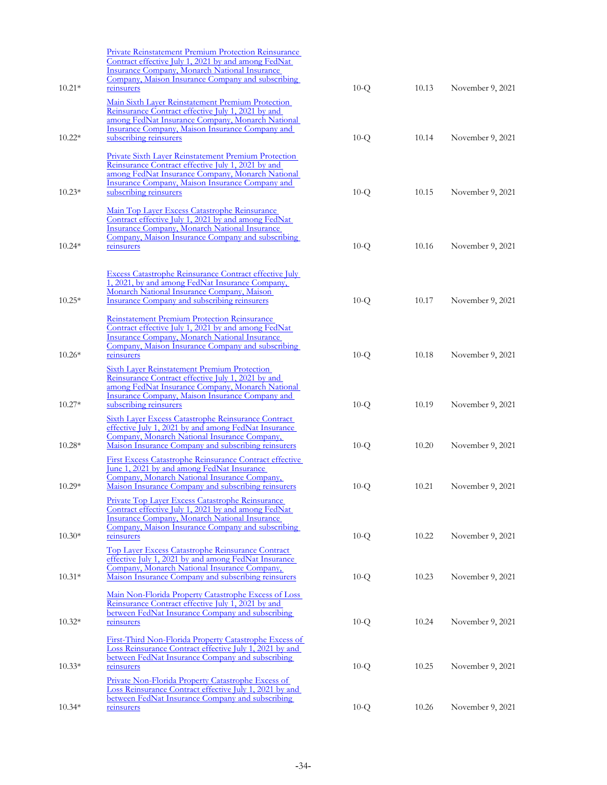|          | <b>Private Reinstatement Premium Protection Reinsurance</b>                                                          |        |       |                  |
|----------|----------------------------------------------------------------------------------------------------------------------|--------|-------|------------------|
|          | Contract effective July 1, 2021 by and among FedNat                                                                  |        |       |                  |
|          | <b>Insurance Company, Monarch National Insurance</b><br>Company, Maison Insurance Company and subscribing            |        |       |                  |
| $10.21*$ | reinsurers                                                                                                           | $10-Q$ | 10.13 | November 9, 2021 |
|          |                                                                                                                      |        |       |                  |
|          | Main Sixth Layer Reinstatement Premium Protection                                                                    |        |       |                  |
|          | Reinsurance Contract effective July 1, 2021 by and<br>among FedNat Insurance Company, Monarch National               |        |       |                  |
|          | Insurance Company, Maison Insurance Company and                                                                      |        |       |                  |
| $10.22*$ | subscribing reinsurers                                                                                               | $10-Q$ | 10.14 | November 9, 2021 |
|          |                                                                                                                      |        |       |                  |
|          | <b>Private Sixth Layer Reinstatement Premium Protection</b>                                                          |        |       |                  |
|          | Reinsurance Contract effective July 1, 2021 by and<br>among FedNat Insurance Company, Monarch National               |        |       |                  |
|          | Insurance Company, Maison Insurance Company and                                                                      |        |       |                  |
| $10.23*$ | subscribing reinsurers                                                                                               | $10-Q$ | 10.15 | November 9, 2021 |
|          |                                                                                                                      |        |       |                  |
|          | Main Top Layer Excess Catastrophe Reinsurance                                                                        |        |       |                  |
|          | Contract effective July 1, 2021 by and among FedNat                                                                  |        |       |                  |
|          | <b>Insurance Company, Monarch National Insurance</b><br>Company, Maison Insurance Company and subscribing            |        |       |                  |
| $10.24*$ | reinsurers                                                                                                           | $10-Q$ | 10.16 | November 9, 2021 |
|          |                                                                                                                      |        |       |                  |
|          |                                                                                                                      |        |       |                  |
|          | Excess Catastrophe Reinsurance Contract effective July<br>1, 2021, by and among FedNat Insurance Company,            |        |       |                  |
|          | Monarch National Insurance Company, Maison                                                                           |        |       |                  |
| $10.25*$ | <b>Insurance Company and subscribing reinsurers</b>                                                                  | $10-Q$ | 10.17 | November 9, 2021 |
|          |                                                                                                                      |        |       |                  |
|          | Reinstatement Premium Protection Reinsurance                                                                         |        |       |                  |
|          | Contract effective July 1, 2021 by and among FedNat                                                                  |        |       |                  |
|          | <b>Insurance Company, Monarch National Insurance</b><br>Company, Maison Insurance Company and subscribing            |        |       |                  |
| $10.26*$ | reinsurers                                                                                                           | $10-Q$ | 10.18 | November 9, 2021 |
|          |                                                                                                                      |        |       |                  |
|          | <b>Sixth Layer Reinstatement Premium Protection</b><br>Reinsurance Contract effective July 1, 2021 by and            |        |       |                  |
|          | among FedNat Insurance Company, Monarch National                                                                     |        |       |                  |
|          | Insurance Company, Maison Insurance Company and                                                                      |        |       |                  |
| $10.27*$ | subscribing reinsurers                                                                                               | $10-Q$ | 10.19 | November 9, 2021 |
|          | <b>Sixth Layer Excess Catastrophe Reinsurance Contract</b>                                                           |        |       |                  |
|          | effective July 1, 2021 by and among FedNat Insurance                                                                 |        |       |                  |
|          | Company, Monarch National Insurance Company,                                                                         |        |       |                  |
| $10.28*$ | Maison Insurance Company and subscribing reinsurers                                                                  | $10-Q$ | 10.20 | November 9, 2021 |
|          | <b>First Excess Catastrophe Reinsurance Contract effective</b>                                                       |        |       |                  |
|          | <u>June 1, 2021 by and among FedNat Insurance</u>                                                                    |        |       |                  |
| $10.29*$ | Company, Monarch National Insurance Company,                                                                         |        | 10.21 |                  |
|          | Maison Insurance Company and subscribing reinsurers                                                                  | $10-Q$ |       | November 9, 2021 |
|          | <b>Private Top Layer Excess Catastrophe Reinsurance</b>                                                              |        |       |                  |
|          | Contract effective July 1, 2021 by and among FedNat<br><b>Insurance Company, Monarch National Insurance</b>          |        |       |                  |
|          | Company, Maison Insurance Company and subscribing                                                                    |        |       |                  |
| $10.30*$ | reinsurers                                                                                                           | $10-Q$ | 10.22 | November 9, 2021 |
|          | Top Layer Excess Catastrophe Reinsurance Contract                                                                    |        |       |                  |
|          | effective July 1, 2021 by and among FedNat Insurance                                                                 |        |       |                  |
|          | Company, Monarch National Insurance Company,                                                                         |        |       |                  |
| $10.31*$ | Maison Insurance Company and subscribing reinsurers                                                                  | $10-Q$ | 10.23 | November 9, 2021 |
|          |                                                                                                                      |        |       |                  |
|          | Main Non-Florida Property Catastrophe Excess of Loss<br>Reinsurance Contract effective July 1, 2021 by and           |        |       |                  |
|          | between FedNat Insurance Company and subscribing                                                                     |        |       |                  |
| $10.32*$ | reinsurers                                                                                                           | $10-Q$ | 10.24 | November 9, 2021 |
|          |                                                                                                                      |        |       |                  |
|          | First-Third Non-Florida Property Catastrophe Excess of                                                               |        |       |                  |
|          | Loss Reinsurance Contract effective July 1, 2021 by and<br>between FedNat Insurance Company and subscribing          |        |       |                  |
| $10.33*$ | reinsurers                                                                                                           | $10-Q$ | 10.25 | November 9, 2021 |
|          |                                                                                                                      |        |       |                  |
|          | <b>Private Non-Florida Property Catastrophe Excess of</b><br>Loss Reinsurance Contract effective July 1, 2021 by and |        |       |                  |
|          | between FedNat Insurance Company and subscribing                                                                     |        |       |                  |
| $10.34*$ | reinsurers                                                                                                           | $10-Q$ | 10.26 | November 9, 2021 |
|          |                                                                                                                      |        |       |                  |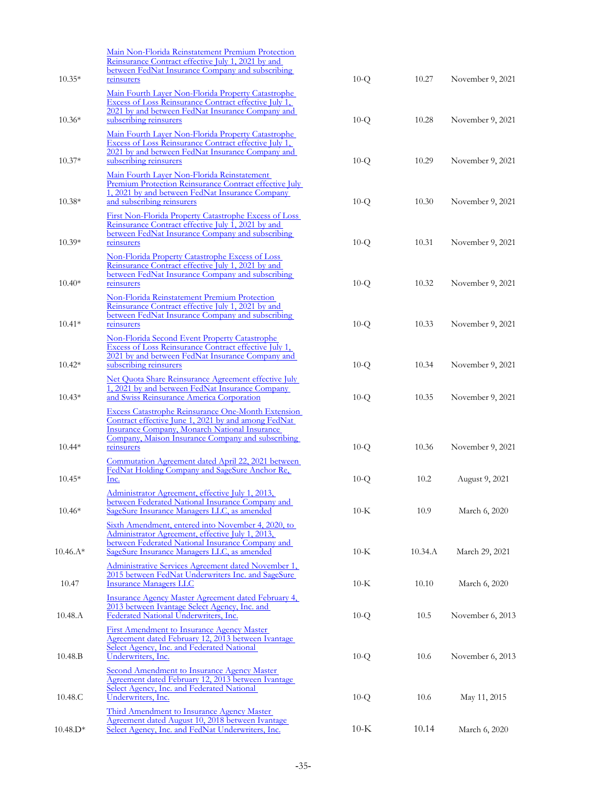| $10.35*$   | Main Non-Florida Reinstatement Premium Protection<br>Reinsurance Contract effective July 1, 2021 by and<br>between FedNat Insurance Company and subscribing<br>reinsurers                                                                   | $10-Q$ | 10.27   | November 9, 2021 |
|------------|---------------------------------------------------------------------------------------------------------------------------------------------------------------------------------------------------------------------------------------------|--------|---------|------------------|
|            | Main Fourth Layer Non-Florida Property Catastrophe<br>Excess of Loss Reinsurance Contract effective July 1,<br>2021 by and between FedNat Insurance Company and                                                                             |        |         |                  |
| $10.36*$   | subscribing reinsurers<br>Main Fourth Layer Non-Florida Property Catastrophe<br>Excess of Loss Reinsurance Contract effective July 1,                                                                                                       | $10-Q$ | 10.28   | November 9, 2021 |
| $10.37*$   | 2021 by and between FedNat Insurance Company and<br>subscribing reinsurers<br>Main Fourth Layer Non-Florida Reinstatement                                                                                                                   | $10-Q$ | 10.29   | November 9, 2021 |
| $10.38*$   | Premium Protection Reinsurance Contract effective July<br>1, 2021 by and between FedNat Insurance Company<br>and subscribing reinsurers                                                                                                     | $10-Q$ | 10.30   | November 9, 2021 |
| $10.39*$   | First Non-Florida Property Catastrophe Excess of Loss<br>Reinsurance Contract effective July 1, 2021 by and<br>between FedNat Insurance Company and subscribing<br>reinsurers                                                               | $10-Q$ | 10.31   | November 9, 2021 |
|            | Non-Florida Property Catastrophe Excess of Loss<br>Reinsurance Contract effective July 1, 2021 by and<br>between FedNat Insurance Company and subscribing                                                                                   |        |         |                  |
| $10.40*$   | reinsurers<br>Non-Florida Reinstatement Premium Protection<br>Reinsurance Contract effective July 1, 2021 by and                                                                                                                            | $10-Q$ | 10.32   | November 9, 2021 |
| $10.41*$   | between FedNat Insurance Company and subscribing<br>reinsurers<br>Non-Florida Second Event Property Catastrophe                                                                                                                             | $10-Q$ | 10.33   | November 9, 2021 |
| $10.42*$   | Excess of Loss Reinsurance Contract effective July 1,<br>2021 by and between FedNat Insurance Company and<br>subscribing reinsurers                                                                                                         | $10-Q$ | 10.34   | November 9, 2021 |
| $10.43*$   | Net Quota Share Reinsurance Agreement effective July<br>1, 2021 by and between FedNat Insurance Company<br>and Swiss Reinsurance America Corporation                                                                                        | $10-Q$ | 10.35   | November 9, 2021 |
| $10.44*$   | <b>Excess Catastrophe Reinsurance One-Month Extension</b><br>Contract effective June 1, 2021 by and among FedNat<br><b>Insurance Company, Monarch National Insurance</b><br>Company, Maison Insurance Company and subscribing<br>reinsurers | $10-Q$ | 10.36   | November 9, 2021 |
| $10.45*$   | Commutation Agreement dated April 22, 2021 between<br>FedNat Holding Company and SageSure Anchor Re,                                                                                                                                        |        | 10.2    |                  |
|            | Inc.<br>Administrator Agreement, effective July 1, 2013,<br>between Federated National Insurance Company and                                                                                                                                | $10-Q$ |         | August 9, 2021   |
| $10.46*$   | SageSure Insurance Managers LLC, as amended<br>Sixth Amendment, entered into November 4, 2020, to<br>Administrator Agreement, effective July 1, 2013,                                                                                       | $10-K$ | 10.9    | March 6, 2020    |
| $10.46.A*$ | between Federated National Insurance Company and<br>SageSure Insurance Managers LLC, as amended<br>Administrative Services Agreement dated November 1,<br>2015 between FedNat Underwriters Inc. and SageSure                                | $10-K$ | 10.34.A | March 29, 2021   |
| 10.47      | <b>Insurance Managers LLC</b><br>Insurance Agency Master Agreement dated February 4,<br>2013 between Ivantage Select Agency, Inc. and                                                                                                       | $10-K$ | 10.10   | March 6, 2020    |
| 10.48.A    | Federated National Underwriters, Inc.<br><b>First Amendment to Insurance Agency Master</b><br>Agreement dated February 12, 2013 between Ivantage                                                                                            | $10-Q$ | 10.5    | November 6, 2013 |
| 10.48.B    | Select Agency, Inc. and Federated National<br>Underwriters, Inc.<br><b>Second Amendment to Insurance Agency Master</b>                                                                                                                      | $10-Q$ | 10.6    | November 6, 2013 |
| 10.48.C    | Agreement dated February 12, 2013 between Ivantage<br>Select Agency, Inc. and Federated National<br>Underwriters, Inc.<br>Third Amendment to Insurance Agency Master                                                                        | $10-Q$ | 10.6    | May 11, 2015     |
| $10.48.D*$ | Agreement dated August 10, 2018 between Ivantage<br>Select Agency, Inc. and FedNat Underwriters, Inc.                                                                                                                                       | $10-K$ | 10.14   | March 6, 2020    |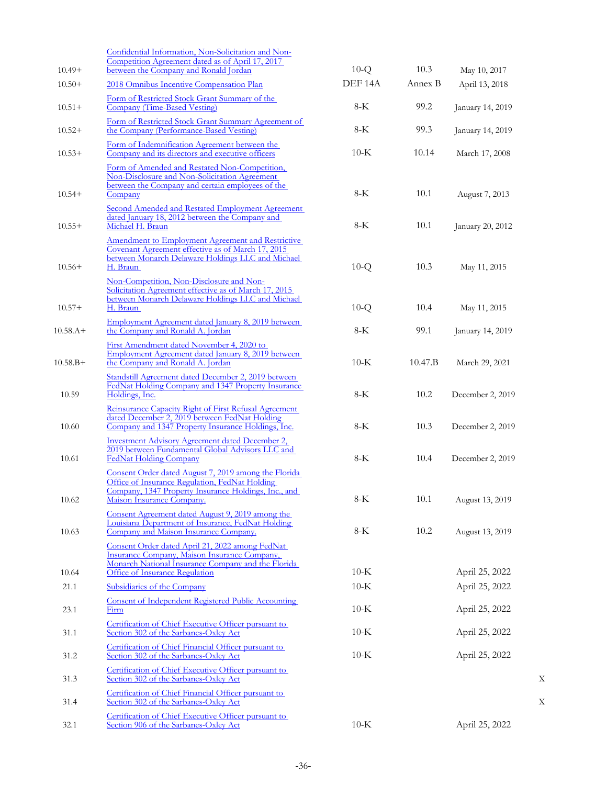| $10.49+$   | Confidential Information, Non-Solicitation and Non-<br>Competition Agreement dated as of April 17, 2017<br>between the Company and Ronald Jordan                                                                         | $10-Q$             | 10.3    | May 10, 2017     |   |
|------------|--------------------------------------------------------------------------------------------------------------------------------------------------------------------------------------------------------------------------|--------------------|---------|------------------|---|
| $10.50+$   | 2018 Omnibus Incentive Compensation Plan                                                                                                                                                                                 | DEF <sub>14A</sub> | Annex B | April 13, 2018   |   |
| $10.51+$   | Form of Restricted Stock Grant Summary of the<br>Company (Time-Based Vesting)                                                                                                                                            | $8-K$              | 99.2    | January 14, 2019 |   |
| $10.52+$   | Form of Restricted Stock Grant Summary Agreement of<br>the Company (Performance-Based Vesting)                                                                                                                           | $8-K$              | 99.3    | January 14, 2019 |   |
| $10.53+$   | Form of Indemnification Agreement between the<br>Company and its directors and executive officers                                                                                                                        | $10-K$             | 10.14   | March 17, 2008   |   |
| $10.54+$   | Form of Amended and Restated Non-Competition,<br>Non-Disclosure and Non-Solicitation Agreement<br>between the Company and certain employees of the<br>Company                                                            | $8-K$              | 10.1    | August 7, 2013   |   |
| $10.55+$   | Second Amended and Restated Employment Agreement<br>dated January 18, 2012 between the Company and<br>Michael H. Braun                                                                                                   | $8-K$              | 10.1    | January 20, 2012 |   |
| $10.56+$   | Amendment to Employment Agreement and Restrictive<br>Covenant Agreement effective as of March 17, 2015<br>between Monarch Delaware Holdings LLC and Michael<br>H. Braun                                                  | $10-Q$             | 10.3    | May 11, 2015     |   |
| $10.57+$   | Non-Competition, Non-Disclosure and Non-<br>Solicitation Agreement effective as of March 17, 2015<br>between Monarch Delaware Holdings LLC and Michael<br>H. Braun<br>Employment Agreement dated January 8, 2019 between | $10-Q$             | 10.4    | May 11, 2015     |   |
| $10.58.A+$ | the Company and Ronald A. Jordan                                                                                                                                                                                         | $8-K$              | 99.1    | January 14, 2019 |   |
| $10.58.B+$ | First Amendment dated November 4, 2020 to<br>Employment Agreement dated January 8, 2019 between<br>the Company and Ronald A. Jordan                                                                                      | $10-K$             | 10.47.B | March 29, 2021   |   |
| 10.59      | Standstill Agreement dated December 2, 2019 between<br>FedNat Holding Company and 1347 Property Insurance<br>Holdings, Inc.                                                                                              | $8-K$              | 10.2    | December 2, 2019 |   |
| 10.60      | Reinsurance Capacity Right of First Refusal Agreement<br>dated December 2, 2019 between FedNat Holding<br>Company and 1347 Property Insurance Holdings, Inc.                                                             | $8-K$              | 10.3    | December 2, 2019 |   |
| 10.61      | <b>Investment Advisory Agreement dated December 2,</b><br>2019 between Fundamental Global Advisors LLC and<br><b>FedNat Holding Company</b>                                                                              | $8-K$              | 10.4    | December 2, 2019 |   |
| 10.62      | Consent Order dated August 7, 2019 among the Florida<br>Office of Insurance Regulation, FedNat Holding<br>Company, 1347 Property Insurance Holdings, Inc., and<br>Maison Insurance Company.                              | $8-K$              | 10.1    | August 13, 2019  |   |
| 10.63      | Consent Agreement dated August 9, 2019 among the<br>Louisiana Department of Insurance, FedNat Holding<br>Company and Maison Insurance Company.                                                                           | $8-K$              | 10.2    | August 13, 2019  |   |
| 10.64      | Consent Order dated April 21, 2022 among FedNat<br>Insurance Company, Maison Insurance Company,<br>Monarch National Insurance Company and the Florida<br>Office of Insurance Regulation                                  | $10-K$             |         | April 25, 2022   |   |
| 21.1       | Subsidiaries of the Company                                                                                                                                                                                              | $10-K$             |         | April 25, 2022   |   |
| 23.1       | <b>Consent of Independent Registered Public Accounting</b><br>Firm                                                                                                                                                       | $10-K$             |         | April 25, 2022   |   |
| 31.1       | Certification of Chief Executive Officer pursuant to<br>Section 302 of the Sarbanes-Oxley Act                                                                                                                            | $10-K$             |         | April 25, 2022   |   |
| 31.2       | Certification of Chief Financial Officer pursuant to<br>Section 302 of the Sarbanes-Oxley Act                                                                                                                            | $10-K$             |         | April 25, 2022   |   |
| 31.3       | Certification of Chief Executive Officer pursuant to<br>Section 302 of the Sarbanes-Oxley Act                                                                                                                            |                    |         |                  | X |
| 31.4       | Certification of Chief Financial Officer pursuant to<br>Section 302 of the Sarbanes-Oxley Act                                                                                                                            |                    |         |                  | X |
| 32.1       | Certification of Chief Executive Officer pursuant to<br>Section 906 of the Sarbanes-Oxley Act                                                                                                                            | $10-K$             |         | April 25, 2022   |   |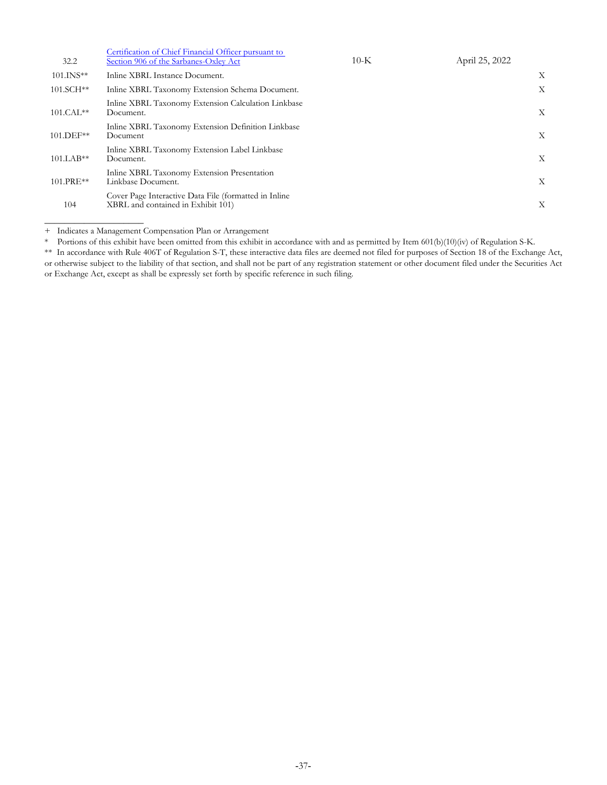| 32.2        | Certification of Chief Financial Officer pursuant to<br>Section 906 of the Sarbanes-Oxley Act | $10-K$ | April 25, 2022 |   |
|-------------|-----------------------------------------------------------------------------------------------|--------|----------------|---|
| $101.INS**$ | Inline XBRL Instance Document.                                                                |        |                | X |
| $101.SCH**$ | Inline XBRL Taxonomy Extension Schema Document.                                               |        |                | Χ |
| $101.CAL**$ | Inline XBRL Taxonomy Extension Calculation Linkbase<br>Document.                              |        |                | X |
| 101.DEF**   | Inline XBRL Taxonomy Extension Definition Linkbase<br>Document                                |        |                | X |
| $101.LAB**$ | Inline XBRL Taxonomy Extension Label Linkbase<br>Document.                                    |        |                | X |
| 101.PRE**   | Inline XBRL Taxonomy Extension Presentation<br>Linkbase Document.                             |        |                | X |
| 104         | Cover Page Interactive Data File (formatted in Inline<br>XBRL and contained in Exhibit 101)   |        |                | Χ |
|             |                                                                                               |        |                |   |

+ Indicates a Management Compensation Plan or Arrangement

 $\overline{\phantom{a}}$  , where  $\overline{\phantom{a}}$  , where  $\overline{\phantom{a}}$ 

Portions of this exhibit have been omitted from this exhibit in accordance with and as permitted by Item 601(b)(10)(iv) of Regulation S-K.

\*\* In accordance with Rule 406T of Regulation S-T, these interactive data files are deemed not filed for purposes of Section 18 of the Exchange Act, or otherwise subject to the liability of that section, and shall not be part of any registration statement or other document filed under the Securities Act or Exchange Act, except as shall be expressly set forth by specific reference in such filing.